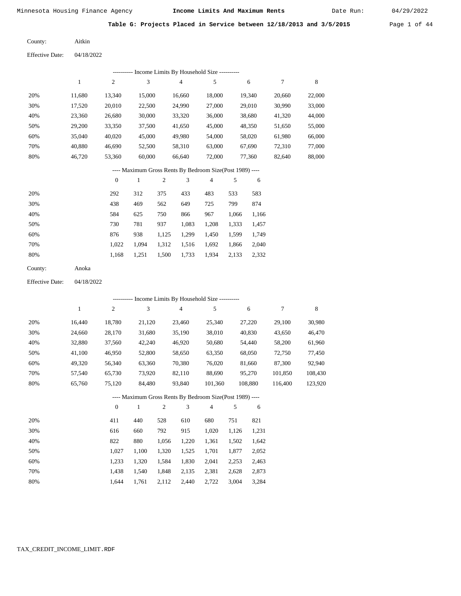Date Run:

|  |  | Table G: Projects Placed in Service between 12/18/2013 and 3/5/2015 |  | Page 1 of 44 |  |  |
|--|--|---------------------------------------------------------------------|--|--------------|--|--|
|  |  |                                                                     |  |              |  |  |

Aitkin County:

Effective Date: 04/18/2022

|                        |              |                  |                             |            | ---------- Income Limits By Household Size ----------    |                |       |         |                  |         |
|------------------------|--------------|------------------|-----------------------------|------------|----------------------------------------------------------|----------------|-------|---------|------------------|---------|
|                        | $\mathbf{1}$ | $\sqrt{2}$       | $\ensuremath{\mathfrak{Z}}$ |            | $\overline{\mathbf{4}}$                                  | 5              |       | 6       | $\boldsymbol{7}$ | 8       |
| 20%                    | 11,680       | 13,340           | 15,000                      |            | 16,660                                                   | 18,000         |       | 19,340  | 20,660           | 22,000  |
| 30%                    | 17,520       | 20,010           | 22,500                      |            | 24,990                                                   | 27,000         |       | 29,010  | 30,990           | 33,000  |
| 40%                    | 23,360       | 26,680           | 30,000                      |            | 33,320                                                   | 36,000         |       | 38,680  | 41,320           | 44,000  |
| 50%                    | 29,200       | 33,350           | 37,500                      |            | 41,650                                                   | 45,000         |       | 48,350  | 51,650           | 55,000  |
| 60%                    | 35,040       | 40,020           | 45,000                      |            | 49,980                                                   | 54,000         |       | 58,020  | 61,980           | 66,000  |
| 70%                    | 40,880       | 46,690           | 52,500                      |            | 58,310                                                   | 63,000         |       | 67,690  | 72,310           | 77,000  |
| $80\%$                 | 46,720       | 53,360           | 60,000                      |            | 66,640                                                   | 72,000         |       | 77,360  | 82,640           | 88,000  |
|                        |              |                  |                             |            | ---- Maximum Gross Rents By Bedroom Size(Post 1989) ---- |                |       |         |                  |         |
|                        |              | $\boldsymbol{0}$ | $\mathbf{1}$                | $\sqrt{2}$ | 3                                                        | $\overline{4}$ | 5     | 6       |                  |         |
| 20%                    |              | 292              | 312                         | 375        | 433                                                      | 483            | 533   | 583     |                  |         |
| 30%                    |              | 438              | 469                         | 562        | 649                                                      | 725            | 799   | 874     |                  |         |
| 40%                    |              | 584              | 625                         | 750        | 866                                                      | 967            | 1,066 | 1,166   |                  |         |
| 50%                    |              | 730              | 781                         | 937        | 1,083                                                    | 1,208          | 1,333 | 1,457   |                  |         |
| 60%                    |              | 876              | 938                         | 1,125      | 1,299                                                    | 1,450          | 1,599 | 1,749   |                  |         |
| 70%                    |              | 1,022            | 1,094                       | 1,312      | 1,516                                                    | 1,692          | 1,866 | 2,040   |                  |         |
| 80%                    |              | 1,168            | 1,251                       | 1,500      | 1,733                                                    | 1,934          | 2,133 | 2,332   |                  |         |
| County:                | Anoka        |                  |                             |            |                                                          |                |       |         |                  |         |
| <b>Effective Date:</b> | 04/18/2022   |                  |                             |            |                                                          |                |       |         |                  |         |
|                        |              |                  |                             |            | ---------- Income Limits By Household Size ----------    |                |       |         |                  |         |
|                        | $\mathbf{1}$ | $\sqrt{2}$       | 3                           |            | $\overline{4}$                                           | 5              |       | 6       | 7                | 8       |
| 20%                    | 16,440       | 18,780           | 21,120                      |            | 23,460                                                   | 25,340         |       | 27,220  | 29,100           | 30,980  |
| 30%                    | 24,660       | 28,170           | 31,680                      |            | 35,190                                                   | 38,010         |       | 40,830  | 43,650           | 46,470  |
| 40%                    | 32,880       | 37,560           | 42,240                      |            | 46,920                                                   | 50,680         |       | 54,440  | 58,200           | 61,960  |
| 50%                    | 41,100       | 46,950           | 52,800                      |            | 58,650                                                   | 63,350         |       | 68,050  | 72,750           | 77,450  |
| 60%                    | 49,320       | 56,340           | 63,360                      |            | 70,380                                                   | 76,020         |       | 81,660  | 87,300           | 92,940  |
| 70%                    | 57,540       | 65,730           | 73,920                      |            | 82,110                                                   | 88,690         |       | 95,270  | 101,850          | 108,430 |
| 80%                    | 65,760       | 75,120           | 84,480                      |            | 93,840                                                   | 101,360        |       | 108,880 | 116,400          | 123,920 |
|                        |              |                  |                             |            | ---- Maximum Gross Rents By Bedroom Size(Post 1989) ---- |                |       |         |                  |         |
|                        |              | $\boldsymbol{0}$ | $\mathbf{1}$                | $\sqrt{2}$ | 3                                                        | 4              | 5     | 6       |                  |         |
| 20%                    |              | 411              | 440                         | 528        | 610                                                      | 680            | 751   | 821     |                  |         |
| 30%                    |              | 616              | 660                         | 792        | 915                                                      | 1,020          | 1,126 | 1,231   |                  |         |
| 40%                    |              | 822              | 880                         | 1,056      | 1,220                                                    | 1,361          | 1,502 | 1,642   |                  |         |
| 50%                    |              | 1,027            | 1,100                       | 1,320      | 1,525                                                    | 1,701          | 1,877 | 2,052   |                  |         |
| 60%                    |              | 1,233            | 1,320                       | 1,584      | 1,830                                                    | 2,041          | 2,253 | 2,463   |                  |         |
| 70%                    |              | 1,438            | 1,540                       | 1,848      | 2,135                                                    | 2,381          | 2,628 | 2,873   |                  |         |
| $80\%$                 |              | 1,644            | 1,761                       | 2,112      | 2,440                                                    | 2,722          | 3,004 | 3,284   |                  |         |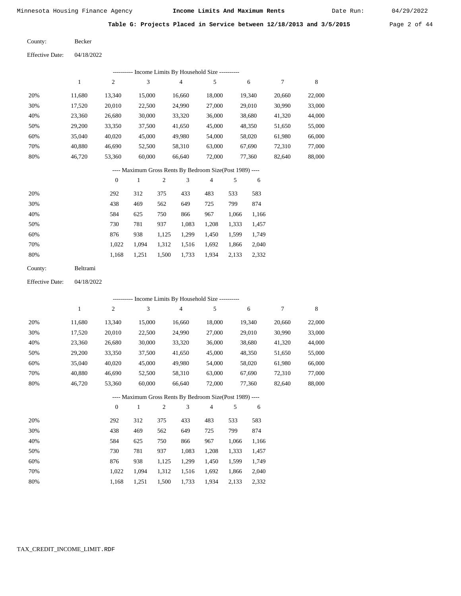Date Run:

**Table G: Projects Placed in Service between 12/18/2013 and 3/5/2015** Page 2 of 44

Becker County:

04/18/2022 Effective Date:

| 8                |
|------------------|
| 22,000<br>20,660 |
| 33,000<br>30,990 |
| 41,320<br>44,000 |
| 55,000<br>51,650 |
| 66,000<br>61.980 |
| 72,310<br>77,000 |
| 88,000<br>82,640 |
|                  |

#### ---- Maximum Gross Rents By Bedroom Size(Post 1989) ----

|     | $\mathbf{0}$ |       | 2     | 3     | 4     | 5     | 6     |
|-----|--------------|-------|-------|-------|-------|-------|-------|
| 20% | 292          | 312   | 375   | 433   | 483   | 533   | 583   |
| 30% | 438          | 469   | 562   | 649   | 725   | 799   | 874   |
| 40% | 584          | 625   | 750   | 866   | 967   | 1,066 | 1,166 |
| 50% | 730          | 781   | 937   | 1,083 | 1,208 | 1,333 | 1,457 |
| 60% | 876          | 938   | 1,125 | 1,299 | 1,450 | 1,599 | 1,749 |
| 70% | 1.022        | 1.094 | 1,312 | 1,516 | 1,692 | 1,866 | 2,040 |
| 80% | 1,168        | 1,251 | 1,500 | 1,733 | 1,934 | 2,133 | 2,332 |
|     |              |       |       |       |       |       |       |

| <b>Beltrami</b><br>County: |  |
|----------------------------|--|
|----------------------------|--|

04/18/2022 Effective Date:

|     | --------- Income Limits By Household Size ---------- |                |              |                |                                                          |                |       |        |        |        |  |  |
|-----|------------------------------------------------------|----------------|--------------|----------------|----------------------------------------------------------|----------------|-------|--------|--------|--------|--|--|
|     | 1                                                    | 2              | 3            |                | $\overline{4}$                                           | 5              |       | 6      | 7      | 8      |  |  |
| 20% | 11,680                                               | 13,340         | 15,000       |                | 16,660                                                   | 18,000         |       | 19,340 | 20,660 | 22,000 |  |  |
| 30% | 17,520                                               | 20,010         | 22,500       |                | 24,990                                                   | 27,000         |       | 29,010 | 30,990 | 33,000 |  |  |
| 40% | 23,360                                               | 26,680         | 30,000       |                | 33,320                                                   | 36,000         |       | 38,680 | 41,320 | 44,000 |  |  |
| 50% | 29,200                                               | 33,350         | 37,500       |                | 41,650                                                   | 45,000         |       | 48,350 | 51,650 | 55,000 |  |  |
| 60% | 35,040                                               | 40,020         | 45,000       |                | 49,980                                                   | 54,000         |       | 58,020 | 61,980 | 66,000 |  |  |
| 70% | 40,880                                               | 46,690         | 52,500       |                | 58,310                                                   | 63,000         |       | 67,690 | 72,310 | 77,000 |  |  |
| 80% | 46,720                                               | 53,360         | 60,000       |                | 66,640                                                   | 72,000         |       | 77,360 | 82,640 | 88,000 |  |  |
|     |                                                      |                |              |                | ---- Maximum Gross Rents By Bedroom Size(Post 1989) ---- |                |       |        |        |        |  |  |
|     |                                                      | $\overline{0}$ | $\mathbf{1}$ | $\overline{2}$ | 3                                                        | $\overline{4}$ | 5     | 6      |        |        |  |  |
| 20% |                                                      | 292            | 312          | 375            | 433                                                      | 483            | 533   | 583    |        |        |  |  |
| 30% |                                                      | 438            | 469          | 562            | 649                                                      | 725            | 799   | 874    |        |        |  |  |
| 40% |                                                      | 584            | 625          | 750            | 866                                                      | 967            | 1,066 | 1,166  |        |        |  |  |
| 50% |                                                      | 730            | 781          | 937            | 1,083                                                    | 1,208          | 1,333 | 1,457  |        |        |  |  |
| 60% |                                                      | 876            | 938          | 1,125          | 1,299                                                    | 1,450          | 1,599 | 1,749  |        |        |  |  |
| 70% |                                                      | 1,022          | 1,094        | 1,312          | 1,516                                                    | 1,692          | 1,866 | 2,040  |        |        |  |  |

1,500 1,733

1,934 2,133

2,332

1,168

1,251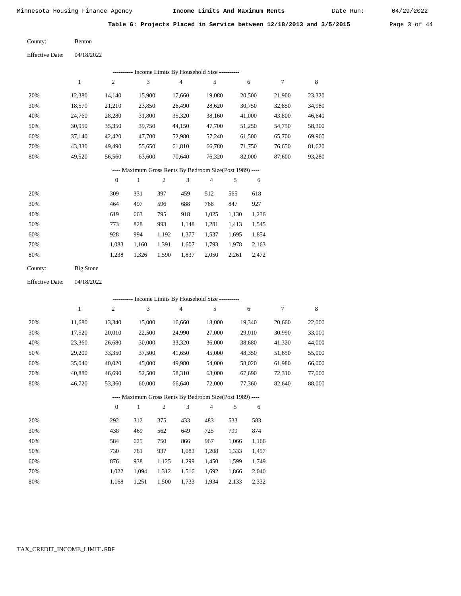Date Run:

**Table G: Projects Placed in Service between 12/18/2013 and 3/5/2015** Page 3 of 44

Benton County:

04/18/2022 Effective Date:

|     | --------- Income Limits By Household Size ---------- |                |        |                                                          |                |        |        |        |  |  |  |  |  |
|-----|------------------------------------------------------|----------------|--------|----------------------------------------------------------|----------------|--------|--------|--------|--|--|--|--|--|
|     | 1                                                    | $\overline{c}$ | 3      | $\overline{4}$                                           | 5              | 6      | 7      | 8      |  |  |  |  |  |
| 20% | 12,380                                               | 14,140         | 15.900 | 17.660                                                   | 19.080         | 20,500 | 21,900 | 23,320 |  |  |  |  |  |
| 30% | 18,570                                               | 21,210         | 23,850 | 26,490                                                   | 28,620         | 30,750 | 32,850 | 34,980 |  |  |  |  |  |
| 40% | 24,760                                               | 28,280         | 31,800 | 35,320                                                   | 38,160         | 41,000 | 43,800 | 46,640 |  |  |  |  |  |
| 50% | 30,950                                               | 35,350         | 39,750 | 44,150                                                   | 47,700         | 51,250 | 54,750 | 58,300 |  |  |  |  |  |
| 60% | 37,140                                               | 42,420         | 47,700 | 52,980                                                   | 57,240         | 61,500 | 65,700 | 69,960 |  |  |  |  |  |
| 70% | 43,330                                               | 49,490         | 55,650 | 61,810                                                   | 66,780         | 71,750 | 76,650 | 81,620 |  |  |  |  |  |
| 80% | 49.520                                               | 56,560         | 63,600 | 70.640                                                   | 76,320         | 82,000 | 87,600 | 93,280 |  |  |  |  |  |
|     |                                                      |                |        | ---- Maximum Gross Rents By Bedroom Size(Post 1989) ---- |                |        |        |        |  |  |  |  |  |
|     |                                                      | $\mathbf{0}$   | 1      | 3<br>2                                                   | $\overline{4}$ | 5<br>6 |        |        |  |  |  |  |  |

| 20% | 309   | 331   | 397   | 459   | 512   | 565   | 618   |
|-----|-------|-------|-------|-------|-------|-------|-------|
| 30% | 464   | 497   | 596   | 688   | 768   | 847   | 927   |
| 40% | 619   | 663   | 795   | 918   | 1.025 | 1.130 | 1,236 |
| 50% | 773   | 828   | 993   | 1.148 | 1,281 | 1.413 | 1,545 |
| 60% | 928   | 994   | 1,192 | 1,377 | 1,537 | 1,695 | 1,854 |
| 70% | 1.083 | 1.160 | 1,391 | 1,607 | 1,793 | 1,978 | 2,163 |
| 80% | 1,238 | 1,326 | 1,590 | 1,837 | 2,050 | 2,261 | 2,472 |
|     |       |       |       |       |       |       |       |

| County: | Big Stone |
|---------|-----------|
|         |           |

04/18/2022 Effective Date:

|     | ---------- Income Limits By Household Size ---------- |                  |        |                |                |                                                          |       |        |        |        |  |  |
|-----|-------------------------------------------------------|------------------|--------|----------------|----------------|----------------------------------------------------------|-------|--------|--------|--------|--|--|
|     | 1                                                     | $\overline{c}$   | 3      |                | $\overline{4}$ | 5                                                        |       | 6      | 7      | 8      |  |  |
| 20% | 11,680                                                | 13,340           | 15,000 |                | 16,660         | 18,000                                                   |       | 19,340 | 20,660 | 22,000 |  |  |
| 30% | 17,520                                                | 20,010           | 22,500 |                | 24,990         | 27,000                                                   |       | 29,010 | 30,990 | 33,000 |  |  |
| 40% | 23,360                                                | 26,680           | 30,000 |                | 33,320         | 36,000                                                   |       | 38,680 | 41,320 | 44,000 |  |  |
| 50% | 29,200                                                | 33,350           | 37,500 |                | 41,650         | 45,000                                                   |       | 48,350 | 51,650 | 55,000 |  |  |
| 60% | 35,040                                                | 40,020           | 45,000 |                | 49,980         | 54,000                                                   |       | 58,020 | 61,980 | 66,000 |  |  |
| 70% | 40,880                                                | 46,690           | 52,500 |                | 58,310         | 63,000                                                   |       | 67,690 | 72,310 | 77,000 |  |  |
| 80% | 46,720                                                | 53,360           | 60,000 |                | 66,640         | 72,000                                                   |       | 77,360 | 82,640 | 88,000 |  |  |
|     |                                                       |                  |        |                |                | ---- Maximum Gross Rents By Bedroom Size(Post 1989) ---- |       |        |        |        |  |  |
|     |                                                       | $\boldsymbol{0}$ | 1      | $\overline{2}$ | 3              | 4                                                        | 5     | 6      |        |        |  |  |
| 20% |                                                       | 292              | 312    | 375            | 433            | 483                                                      | 533   | 583    |        |        |  |  |
| 30% |                                                       | 438              | 469    | 562            | 649            | 725                                                      | 799   | 874    |        |        |  |  |
| 40% |                                                       | 584              | 625    | 750            | 866            | 967                                                      | 1,066 | 1,166  |        |        |  |  |
| 50% |                                                       | 730              | 781    | 937            | 1,083          | 1,208                                                    | 1,333 | 1,457  |        |        |  |  |
| 60% |                                                       | 876              | 938    | 1,125          | 1,299          | 1,450                                                    | 1,599 | 1,749  |        |        |  |  |
| 70% |                                                       | 1,022            | 1,094  | 1,312          | 1,516          | 1,692                                                    | 1,866 | 2,040  |        |        |  |  |

1,500 1,733

1,934 2,133 2,332

 1,022 1,094 1,168 1,251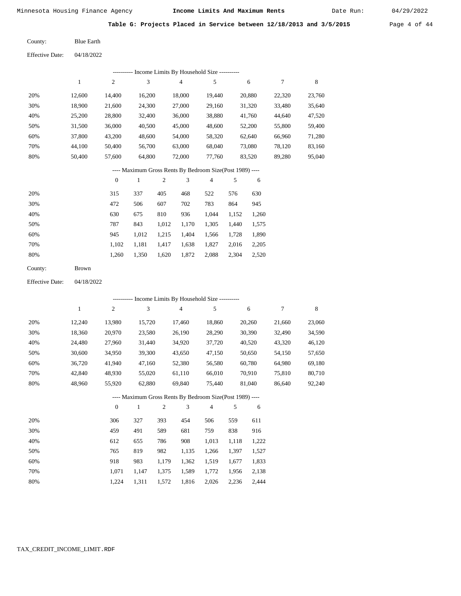Date Run:

 23,760 35,640 47,520 59,400 71,280 83,160 95,040

8

**Table G: Projects Placed in Service between 12/18/2013 and 3/5/2015** Page 4 of 44

Blue Earth County:

| <b>Effective Date:</b> | 04/18/2022 |                |        |                                              |        |        |        |
|------------------------|------------|----------------|--------|----------------------------------------------|--------|--------|--------|
|                        |            |                |        | - Income Limits By Household Size ---------- |        |        |        |
|                        | 1          | $\overline{2}$ | 3      | $\overline{4}$                               | 5      | 6      | 7      |
| 20%                    | 12.600     | 14.400         | 16.200 | 18.000                                       | 19.440 | 20,880 | 22,320 |
| 30%                    | 18,900     | 21,600         | 24,300 | 27,000                                       | 29,160 | 31,320 | 33,480 |
| 40%                    | 25,200     | 28,800         | 32,400 | 36,000                                       | 38,880 | 41,760 | 44,640 |
| 50%                    | 31,500     | 36,000         | 40,500 | 45,000                                       | 48,600 | 52,200 | 55,800 |
| 60%                    | 37,800     | 43,200         | 48,600 | 54,000                                       | 58,320 | 62,640 | 66,960 |
| 70%                    | 44,100     | 50.400         | 56,700 | 63,000                                       | 68,040 | 73,080 | 78,120 |
| 80%                    | 50,400     | 57,600         | 64,800 | 72,000                                       | 77,760 | 83,520 | 89,280 |
|                        |            |                |        |                                              |        |        |        |

#### ---- Maximum Gross Rents By Bedroom Size(Post 1989) ----

|     | $\mathbf{0}$ |       | 2     | 3     | 4     | 5     | 6     |
|-----|--------------|-------|-------|-------|-------|-------|-------|
| 20% | 315          | 337   | 405   | 468   | 522   | 576   | 630   |
| 30% | 472          | 506   | 607   | 702   | 783   | 864   | 945   |
| 40% | 630          | 675   | 810   | 936   | 1,044 | 1,152 | 1,260 |
| 50% | 787          | 843   | 1,012 | 1,170 | 1,305 | 1,440 | 1,575 |
| 60% | 945          | 1,012 | 1,215 | 1,404 | 1,566 | 1,728 | 1,890 |
| 70% | 1.102        | 1,181 | 1,417 | 1,638 | 1,827 | 2,016 | 2,205 |
| 80% | 1,260        | 1,350 | 1,620 | 1,872 | 2,088 | 2,304 | 2,520 |
|     |              |       |       |       |       |       |       |

| County:<br>Brown |  |
|------------------|--|
|------------------|--|

04/18/2022 Effective Date:

| ---------- Income Limits By Household Size ---------- |              |                |        |                |                                                          |                |       |        |        |        |
|-------------------------------------------------------|--------------|----------------|--------|----------------|----------------------------------------------------------|----------------|-------|--------|--------|--------|
|                                                       | $\mathbf{1}$ | $\overline{c}$ | 3      |                | $\overline{4}$                                           | 5              |       | 6      | 7      | 8      |
| 20%                                                   | 12,240       | 13,980         | 15,720 |                | 17,460                                                   | 18,860         |       | 20,260 | 21,660 | 23,060 |
| 30%                                                   | 18,360       | 20,970         | 23,580 |                | 26,190                                                   | 28,290         |       | 30,390 | 32,490 | 34,590 |
| 40%                                                   | 24,480       | 27,960         | 31,440 |                | 34,920                                                   | 37,720         |       | 40,520 | 43,320 | 46,120 |
| 50%                                                   | 30,600       | 34,950         | 39,300 |                | 43,650                                                   | 47,150         |       | 50,650 | 54,150 | 57,650 |
| 60%                                                   | 36,720       | 41,940         | 47,160 |                | 52,380                                                   | 56,580         |       | 60,780 | 64,980 | 69,180 |
| 70%                                                   | 42,840       | 48,930         | 55,020 |                | 61,110                                                   | 66,010         |       | 70,910 | 75,810 | 80,710 |
| 80%                                                   | 48,960       | 55,920         | 62,880 |                | 69,840                                                   | 75,440         |       | 81,040 | 86,640 | 92,240 |
|                                                       |              |                |        |                | ---- Maximum Gross Rents By Bedroom Size(Post 1989) ---- |                |       |        |        |        |
|                                                       |              | $\mathbf{0}$   | 1      | $\overline{2}$ | 3                                                        | $\overline{4}$ | 5     | 6      |        |        |
| 20%                                                   |              | 306            | 327    | 393            | 454                                                      | 506            | 559   | 611    |        |        |
| 30%                                                   |              | 459            | 491    | 589            | 681                                                      | 759            | 838   | 916    |        |        |
| 40%                                                   |              | 612            | 655    | 786            | 908                                                      | 1,013          | 1,118 | 1,222  |        |        |
| 50%                                                   |              | 765            | 819    | 982            | 1,135                                                    | 1,266          | 1,397 | 1,527  |        |        |
| 60%                                                   |              | 918            | 983    | 1,179          | 1,362                                                    | 1,519          | 1,677 | 1,833  |        |        |

 1,071 1,224

 1,147 1,311  1,375 1,572

 1,589 1,816  1,772 2,026  1,956 2,236  2,138 2,444

 70% 80%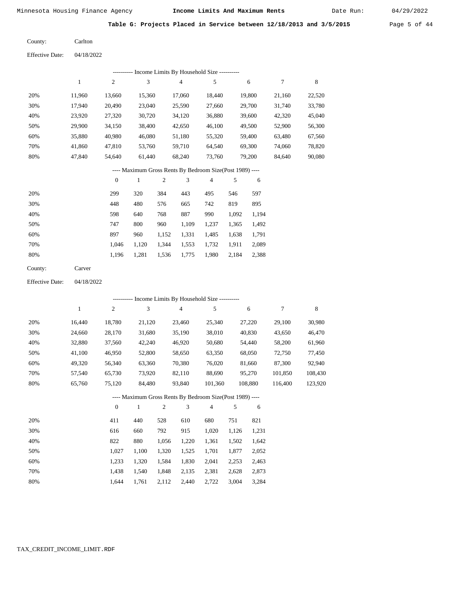Date Run:

**Table G: Projects Placed in Service between 12/18/2013 and 3/5/2015** Page 5 of 44

Carlton County:

| <b>Effective Date:</b> | 04/18/2022 |
|------------------------|------------|
|                        |            |

|     | Income Limits By Household Size ---------- |        |        |                |        |        |        |        |  |  |  |
|-----|--------------------------------------------|--------|--------|----------------|--------|--------|--------|--------|--|--|--|
|     |                                            | 2      | 3      | $\overline{4}$ | 5      | 6      |        | 8      |  |  |  |
| 20% | 11.960                                     | 13.660 | 15.360 | 17.060         | 18.440 | 19.800 | 21,160 | 22,520 |  |  |  |
| 30% | 17.940                                     | 20,490 | 23,040 | 25,590         | 27,660 | 29,700 | 31,740 | 33,780 |  |  |  |
| 40% | 23,920                                     | 27,320 | 30,720 | 34,120         | 36,880 | 39,600 | 42,320 | 45,040 |  |  |  |
| 50% | 29,900                                     | 34,150 | 38,400 | 42,650         | 46,100 | 49,500 | 52,900 | 56,300 |  |  |  |
| 60% | 35,880                                     | 40,980 | 46,080 | 51,180         | 55,320 | 59,400 | 63,480 | 67,560 |  |  |  |
| 70% | 41,860                                     | 47,810 | 53,760 | 59,710         | 64,540 | 69,300 | 74,060 | 78,820 |  |  |  |
| 80% | 47,840                                     | 54,640 | 61,440 | 68,240         | 73,760 | 79,200 | 84,640 | 90,080 |  |  |  |

# ---- Maximum Gross Rents By Bedroom Size(Post 1989) ----

|     | $\mathbf{0}$ |       | $\overline{2}$ | 3     | 4     | 5     | 6     |
|-----|--------------|-------|----------------|-------|-------|-------|-------|
| 20% | 299          | 320   | 384            | 443   | 495   | 546   | 597   |
| 30% | 448          | 480   | 576            | 665   | 742   | 819   | 895   |
| 40% | 598          | 640   | 768            | 887   | 990   | 1,092 | 1,194 |
| 50% | 747          | 800   | 960            | 1,109 | 1,237 | 1,365 | 1,492 |
| 60% | 897          | 960   | 1,152          | 1,331 | 1,485 | 1,638 | 1,791 |
| 70% | 1.046        | 1,120 | 1,344          | 1,553 | 1,732 | 1,911 | 2,089 |
| 80% | 1,196        | 1,281 | 1,536          | 1,775 | 1,980 | 2,184 | 2,388 |
|     |              |       |                |       |       |       |       |

| County: | Carver |
|---------|--------|
|---------|--------|

Effective Date: 04/18/2022

| ---------- Income Limits By Household Size ----------    |        |                |              |     |                |                |     |         |         |         |  |
|----------------------------------------------------------|--------|----------------|--------------|-----|----------------|----------------|-----|---------|---------|---------|--|
|                                                          | 1      | $\overline{c}$ | 3            |     | $\overline{4}$ | 5              |     | 6       | 7       | 8       |  |
| 20%                                                      | 16,440 | 18,780         | 21,120       |     | 23,460         | 25,340         |     | 27,220  | 29,100  | 30,980  |  |
| 30%                                                      | 24,660 | 28,170         | 31,680       |     | 35,190         | 38,010         |     | 40,830  | 43,650  | 46,470  |  |
| 40%                                                      | 32,880 | 37,560         | 42,240       |     | 46,920         | 50,680         |     | 54,440  | 58,200  | 61,960  |  |
| 50%                                                      | 41,100 | 46,950         | 52,800       |     | 58,650         | 63,350         |     | 68,050  | 72,750  | 77,450  |  |
| 60%                                                      | 49,320 | 56,340         | 63,360       |     | 70,380         | 76,020         |     | 81,660  | 87,300  | 92,940  |  |
| 70%                                                      | 57,540 | 65,730         | 73,920       |     | 82,110         | 88,690         |     | 95,270  | 101,850 | 108,430 |  |
| 80%                                                      | 65,760 | 75,120         | 84,480       |     | 93,840         | 101,360        |     | 108,880 | 116,400 | 123,920 |  |
| ---- Maximum Gross Rents By Bedroom Size(Post 1989) ---- |        |                |              |     |                |                |     |         |         |         |  |
|                                                          |        | $\theta$       | $\mathbf{1}$ | 2   | 3              | $\overline{4}$ | 5   | 6       |         |         |  |
| 20%                                                      |        | 411            | 440          | 528 | 610            | 680            | 751 | 821     |         |         |  |

| $\angle 0\%$ | 411   | 44V   | ہ∠ر   | <u>viv</u> | vov   | 721   | 0/4   |
|--------------|-------|-------|-------|------------|-------|-------|-------|
| 30%          | 616   | 660   | 792   | 915        | 1.020 | 1.126 | 1,231 |
| 40%          | 822   | 880   | 1.056 | 1.220      | 1.361 | 1.502 | 1,642 |
| 50%          | 1.027 | 1.100 | 1.320 | 1.525      | 1,701 | 1.877 | 2,052 |
| 60%          | 1.233 | 1.320 | 1.584 | 1.830      | 2,041 | 2.253 | 2,463 |
| 70%          | 1.438 | 1.540 | 1.848 | 2.135      | 2,381 | 2.628 | 2,873 |
| 80%          | 1.644 | 1.761 | 2,112 | 2,440      | 2,722 | 3,004 | 3,284 |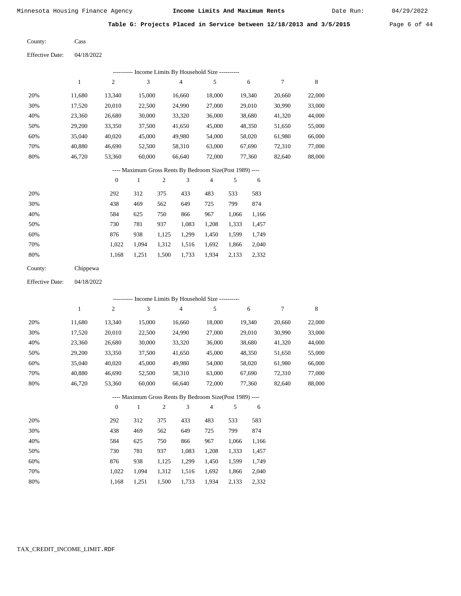Date Run:

**Table G: Projects Placed in Service between 12/18/2013 and 3/5/2015** Page 6 of 44

| County: | Cass |
|---------|------|
|---------|------|

Effective Date: 04/18/2022

|                                                          |              |                  |              |            | ---------- Income Limits By Household Size ----------    |                |       |        |        |         |
|----------------------------------------------------------|--------------|------------------|--------------|------------|----------------------------------------------------------|----------------|-------|--------|--------|---------|
|                                                          | $\mathbf{1}$ | $\sqrt{2}$       | 3            |            | $\overline{4}$                                           | 5              |       | 6      | 7      | $\,8\,$ |
| 20%                                                      | 11,680       | 13,340           | 15,000       |            | 16,660                                                   | 18,000         |       | 19,340 | 20,660 | 22,000  |
| 30%                                                      | 17,520       | 20,010           | 22,500       |            | 24,990                                                   | 27,000         |       | 29,010 | 30,990 | 33,000  |
| 40%                                                      | 23,360       | 26,680           | 30,000       |            | 33,320                                                   | 36,000         |       | 38,680 | 41,320 | 44,000  |
| 50%                                                      | 29,200       | 33,350           | 37,500       |            | 41,650                                                   | 45,000         |       | 48,350 | 51,650 | 55,000  |
| 60%                                                      | 35,040       | 40,020           | 45,000       |            | 49,980                                                   | 54,000         |       | 58,020 | 61,980 | 66,000  |
| 70%                                                      | 40,880       | 46,690           | 52,500       |            | 58,310                                                   | 63,000         |       | 67,690 | 72,310 | 77,000  |
| $80\%$                                                   | 46,720       | 53,360           | 60,000       |            | 66,640                                                   | 72,000         |       | 77,360 | 82,640 | 88,000  |
| ---- Maximum Gross Rents By Bedroom Size(Post 1989) ---- |              |                  |              |            |                                                          |                |       |        |        |         |
|                                                          |              | $\boldsymbol{0}$ | $\mathbf{1}$ | 2          | $\mathfrak{Z}$                                           | $\overline{4}$ | 5     | 6      |        |         |
| 20%                                                      |              | 292              | 312          | 375        | 433                                                      | 483            | 533   | 583    |        |         |
| 30%                                                      |              | 438              | 469          | 562        | 649                                                      | 725            | 799   | 874    |        |         |
| 40%                                                      |              | 584              | 625          | 750        | 866                                                      | 967            | 1,066 | 1,166  |        |         |
| 50%                                                      |              | 730              | 781          | 937        | 1,083                                                    | 1,208          | 1,333 | 1,457  |        |         |
| 60%                                                      |              | 876              | 938          | 1,125      | 1,299                                                    | 1,450          | 1,599 | 1,749  |        |         |
| 70%                                                      |              | 1,022            | 1,094        | 1,312      | 1,516                                                    | 1,692          | 1,866 | 2,040  |        |         |
| 80%                                                      |              | 1,168            | 1,251        | 1,500      | 1,733                                                    | 1,934          | 2,133 | 2,332  |        |         |
| County:                                                  | Chippewa     |                  |              |            |                                                          |                |       |        |        |         |
| <b>Effective Date:</b>                                   | 04/18/2022   |                  |              |            |                                                          |                |       |        |        |         |
|                                                          |              |                  |              |            | ---------- Income Limits By Household Size ----------    |                |       |        |        |         |
|                                                          | $\mathbf{1}$ | $\sqrt{2}$       | 3            |            | $\overline{4}$                                           | 5              |       | 6      | 7      | $\,8\,$ |
| 20%                                                      | 11,680       | 13,340           | 15,000       |            | 16,660                                                   | 18,000         |       | 19,340 | 20,660 | 22,000  |
| 30%                                                      | 17,520       | 20,010           | 22,500       |            | 24,990                                                   | 27,000         |       | 29,010 | 30,990 | 33,000  |
| 40%                                                      | 23,360       | 26,680           | 30,000       |            | 33,320                                                   | 36,000         |       | 38,680 | 41,320 | 44,000  |
| 50%                                                      | 29,200       | 33,350           | 37,500       |            | 41,650                                                   | 45,000         |       | 48,350 | 51,650 | 55,000  |
| 60%                                                      | 35,040       | 40,020           | 45,000       |            | 49,980                                                   | 54,000         |       | 58,020 | 61,980 | 66,000  |
| 70%                                                      | 40,880       | 46,690           | 52,500       |            | 58,310                                                   | 63,000         |       | 67,690 | 72,310 | 77,000  |
| 80%                                                      | 46,720       | 53,360           | 60,000       |            | 66,640                                                   | 72,000         |       | 77,360 | 82,640 | 88,000  |
|                                                          |              |                  |              |            | ---- Maximum Gross Rents By Bedroom Size(Post 1989) ---- |                |       |        |        |         |
|                                                          |              | $\boldsymbol{0}$ | $\mathbf{1}$ | $\sqrt{2}$ | 3                                                        | 4              | 5     | 6      |        |         |
| 20%                                                      |              | 292              | 312          | 375        | 433                                                      | 483            | 533   | 583    |        |         |
| 30%                                                      |              | 438              | 469          | 562        | 649                                                      | 725            | 799   | 874    |        |         |
| 40%                                                      |              | 584              | 625          | 750        | 866                                                      | 967            | 1,066 | 1,166  |        |         |
| 50%                                                      |              | 730              | 781          | 937        | 1,083                                                    | 1,208          | 1,333 | 1,457  |        |         |
| 60%                                                      |              | 876              | 938          | 1,125      | 1,299                                                    | 1,450          | 1,599 | 1,749  |        |         |
| 70%                                                      |              | 1,022            | 1,094        | 1,312      | 1,516                                                    | 1,692          | 1,866 | 2,040  |        |         |

1,168 1,251 1,500 1,733 1,934 2,133 2,332

TAX\_CREDIT\_INCOME\_LIMIT.RDF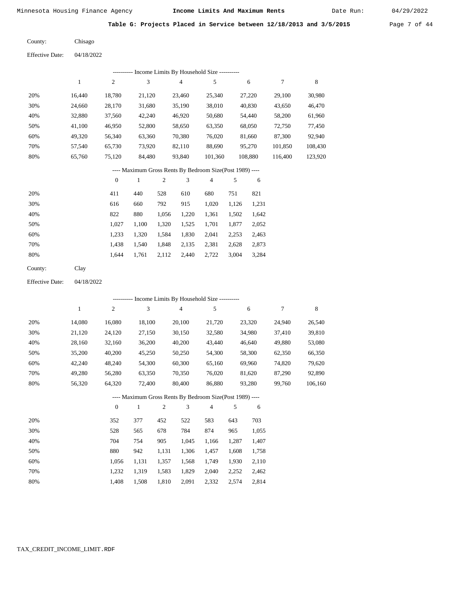Date Run:

**Table G: Projects Placed in Service between 12/18/2013 and 3/5/2015** Page 7 of 44

| County: | Chisago |
|---------|---------|
|         |         |

| <b>Effective Date:</b> | 04/18/2022 |
|------------------------|------------|
|------------------------|------------|

|     | ---------- Income Limits By Household Size ---------- |        |        |        |         |         |         |         |  |  |  |  |  |
|-----|-------------------------------------------------------|--------|--------|--------|---------|---------|---------|---------|--|--|--|--|--|
|     |                                                       | 2      | 3      | 4      | 5       | 6       |         | 8       |  |  |  |  |  |
| 20% | 16.440                                                | 18,780 | 21,120 | 23,460 | 25,340  | 27,220  | 29,100  | 30,980  |  |  |  |  |  |
| 30% | 24,660                                                | 28,170 | 31,680 | 35,190 | 38,010  | 40,830  | 43,650  | 46,470  |  |  |  |  |  |
| 40% | 32,880                                                | 37,560 | 42,240 | 46,920 | 50,680  | 54,440  | 58,200  | 61,960  |  |  |  |  |  |
| 50% | 41.100                                                | 46,950 | 52,800 | 58,650 | 63,350  | 68,050  | 72,750  | 77,450  |  |  |  |  |  |
| 60% | 49,320                                                | 56,340 | 63,360 | 70,380 | 76,020  | 81,660  | 87,300  | 92,940  |  |  |  |  |  |
| 70% | 57.540                                                | 65,730 | 73,920 | 82,110 | 88,690  | 95,270  | 101,850 | 108,430 |  |  |  |  |  |
| 80% | 65,760                                                | 75,120 | 84,480 | 93,840 | 101,360 | 108,880 | 116,400 | 123,920 |  |  |  |  |  |

# ---- Maximum Gross Rents By Bedroom Size(Post 1989) ----

|     | $\mathbf{0}$ |       | 2     | 3     | 4     | 5     | 6     |
|-----|--------------|-------|-------|-------|-------|-------|-------|
| 20% | 411          | 440   | 528   | 610   | 680   | 751   | 821   |
| 30% | 616          | 660   | 792   | 915   | 1,020 | 1,126 | 1,231 |
| 40% | 822          | 880   | 1,056 | 1,220 | 1,361 | 1,502 | 1,642 |
| 50% | 1,027        | 1,100 | 1,320 | 1,525 | 1,701 | 1,877 | 2,052 |
| 60% | 1,233        | 1,320 | 1,584 | 1,830 | 2,041 | 2,253 | 2,463 |
| 70% | 1,438        | 1.540 | 1,848 | 2,135 | 2,381 | 2,628 | 2,873 |
| 80% | 1.644        | 1,761 | 2,112 | 2,440 | 2,722 | 3,004 | 3,284 |
|     |              |       |       |       |       |       |       |

| County: | Clay |
|---------|------|
|---------|------|

04/18/2022 Effective Date:

|     |        |              | --------- Income Limits By Household Size ----------     |                |                |        |       |        |        |         |
|-----|--------|--------------|----------------------------------------------------------|----------------|----------------|--------|-------|--------|--------|---------|
|     | 1      | 2            | 3                                                        |                | $\overline{4}$ | 5      |       | 6      | 7      | 8       |
| 20% | 14,080 | 16,080       | 18,100                                                   |                | 20,100         | 21,720 |       | 23,320 | 24,940 | 26,540  |
| 30% | 21,120 | 24,120       | 27,150                                                   |                | 30,150         | 32,580 |       | 34,980 | 37,410 | 39,810  |
| 40% | 28,160 | 32,160       | 36,200                                                   |                | 40,200         | 43,440 |       | 46,640 | 49,880 | 53,080  |
| 50% | 35,200 | 40,200       | 45,250                                                   |                | 50,250         | 54,300 |       | 58,300 | 62,350 | 66,350  |
| 60% | 42,240 | 48,240       | 54,300                                                   |                | 60,300         | 65,160 |       | 69,960 | 74,820 | 79,620  |
| 70% | 49,280 | 56,280       | 63,350                                                   |                | 70,350         | 76,020 |       | 81,620 | 87,290 | 92,890  |
| 80% | 56,320 | 64,320       | 72,400                                                   |                | 80,400         | 86,880 |       | 93,280 | 99.760 | 106,160 |
|     |        |              | ---- Maximum Gross Rents By Bedroom Size(Post 1989) ---- |                |                |        |       |        |        |         |
|     |        | $\mathbf{0}$ | 1                                                        | $\overline{2}$ | 3              | 4      | 5     | 6      |        |         |
| 20% |        | 352          | 377                                                      | 452            | 522            | 583    | 643   | 703    |        |         |
| 30% |        | 528          | 565                                                      | 678            | 784            | 874    | 965   | 1,055  |        |         |
| 40% |        | 704          | 754                                                      | 905            | 1,045          | 1,166  | 1,287 | 1,407  |        |         |

| 50% | 880   |                                           |  | 942 1,131 1,306 1,457 1,608 1,758 |  |
|-----|-------|-------------------------------------------|--|-----------------------------------|--|
| 60% |       | 1,056 1,131 1,357 1,568 1,749 1,930 2,110 |  |                                   |  |
| 70% |       | 1,232 1,319 1,583 1,829 2,040 2,252 2,462 |  |                                   |  |
| 80% | 1.408 | 1,508 1,810 2,091 2,332 2,574 2,814       |  |                                   |  |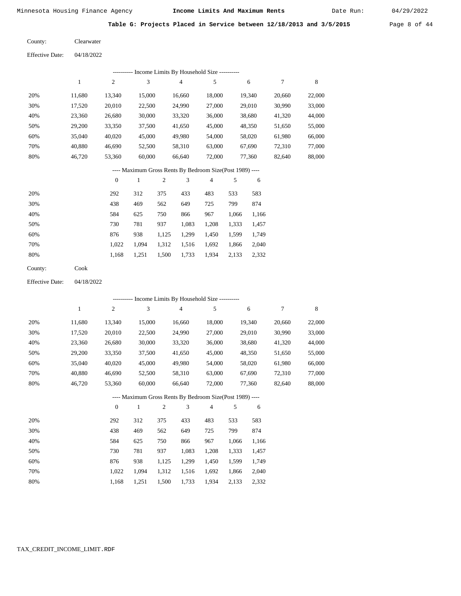Date Run:

**Table G: Projects Placed in Service between 12/18/2013 and 3/5/2015** Page 8 of 44

Effective Date: 04/18/2022 Clearwater County:

|                        |              |                  |              |            |                | --------- Income Limits By Household Size ---------      |            |        |        |             |
|------------------------|--------------|------------------|--------------|------------|----------------|----------------------------------------------------------|------------|--------|--------|-------------|
|                        | $\mathbf{1}$ | $\mathfrak{2}$   | 3            |            | 4              | 5                                                        |            | 6      | 7      | 8           |
| 20%                    | 11,680       | 13,340           | 15,000       |            | 16,660         | 18,000                                                   |            | 19,340 | 20,660 | 22,000      |
| 30%                    | 17,520       | 20,010           | 22,500       |            | 24,990         | 27,000                                                   |            | 29,010 | 30,990 | 33,000      |
| 40%                    | 23,360       | 26,680           | 30,000       |            | 33,320         | 36,000                                                   |            | 38,680 | 41,320 | 44,000      |
| 50%                    | 29,200       | 33,350           | 37,500       |            | 41,650         | 45,000                                                   |            | 48,350 | 51,650 | 55,000      |
| 60%                    | 35,040       | 40,020           | 45,000       |            | 49,980         | 54,000                                                   |            | 58,020 | 61,980 | 66,000      |
| 70%                    | 40,880       | 46,690           | 52,500       |            | 58,310         | 63,000                                                   |            | 67,690 | 72,310 | 77,000      |
| 80%                    | 46,720       | 53,360           | 60,000       |            | 66,640         | 72,000                                                   |            | 77,360 | 82,640 | 88,000      |
|                        |              |                  |              |            |                | ---- Maximum Gross Rents By Bedroom Size(Post 1989) ---- |            |        |        |             |
|                        |              | $\boldsymbol{0}$ | 1            | $\sqrt{2}$ | 3              | $\overline{4}$                                           | 5          | 6      |        |             |
| 20%                    |              | 292              | 312          | 375        | 433            | 483                                                      | 533        | 583    |        |             |
| 30%                    |              | 438              | 469          | 562        | 649            | 725                                                      | 799        | 874    |        |             |
| 40%                    |              | 584              | 625          | 750        | 866            | 967                                                      | 1,066      | 1,166  |        |             |
| 50%                    |              | 730              | 781          | 937        | 1,083          | 1,208                                                    | 1,333      | 1,457  |        |             |
| 60%                    |              | 876              | 938          | 1,125      | 1,299          | 1,450                                                    | 1,599      | 1,749  |        |             |
| 70%                    |              | 1,022            | 1,094        | 1,312      | 1,516          | 1,692                                                    | 1,866      | 2,040  |        |             |
| 80%                    |              | 1,168            | 1,251        | 1,500      | 1,733          | 1,934                                                    | 2,133      | 2,332  |        |             |
| County:                | Cook         |                  |              |            |                |                                                          |            |        |        |             |
| <b>Effective Date:</b> | 04/18/2022   |                  |              |            |                |                                                          |            |        |        |             |
|                        |              |                  |              |            |                | ---------- Income Limits By Household Size ----------    |            |        |        |             |
|                        | $\mathbf{1}$ | $\sqrt{2}$       | $\sqrt{3}$   |            | $\overline{4}$ | 5                                                        |            | 6      | 7      | $\,$ 8 $\,$ |
| 20%                    | 11,680       | 13,340           | 15,000       |            | 16,660         | 18,000                                                   |            | 19,340 | 20,660 | 22,000      |
| 30%                    | 17,520       | 20,010           | 22,500       |            | 24,990         | 27,000                                                   |            | 29,010 | 30,990 | 33,000      |
| 40%                    | 23,360       | 26,680           | 30,000       |            | 33,320         | 36,000                                                   |            | 38,680 | 41,320 | 44,000      |
| 50%                    | 29,200       | 33,350           | 37,500       |            | 41,650         | 45,000                                                   |            | 48,350 | 51,650 | 55,000      |
| 60%                    | 35,040       | 40,020           | 45,000       |            | 49,980         | 54,000                                                   |            | 58,020 | 61,980 | 66,000      |
| 70%                    | 40,880       | 46,690           | 52,500       |            | 58,310         | 63,000                                                   |            | 67,690 | 72,310 | 77,000      |
| 80%                    | 46,720       | 53,360           | 60,000       |            | 66,640         | 72,000                                                   |            | 77,360 | 82,640 | 88,000      |
|                        |              |                  |              |            |                | ---- Maximum Gross Rents By Bedroom Size(Post 1989) ---- |            |        |        |             |
|                        |              | $\boldsymbol{0}$ | $\mathbf{1}$ | $\sqrt{2}$ | 3              | $\overline{4}$                                           | $\sqrt{5}$ | 6      |        |             |
| 20%                    |              | 292              | 312          | 375        | 433            | 483                                                      | 533        | 583    |        |             |
| 30%                    |              | 438              | 469          | 562        | 649            | 725                                                      | 799        | 874    |        |             |
| 40%                    |              | 584              | 625          | 750        | 866            | 967                                                      | 1,066      | 1,166  |        |             |
| 50%                    |              | 730              | 781          | 937        | 1,083          | 1,208                                                    | 1,333      | 1,457  |        |             |
| 60%                    |              | 876              | 938          | 1,125      | 1,299          | 1,450                                                    | 1,599      | 1,749  |        |             |
| 70%                    |              | 1,022            | 1,094        | 1,312      | 1,516          | 1,692                                                    | 1,866      | 2,040  |        |             |
| 80%                    |              | 1,168            | 1,251        | 1,500      | 1,733          | 1,934                                                    | 2,133      | 2,332  |        |             |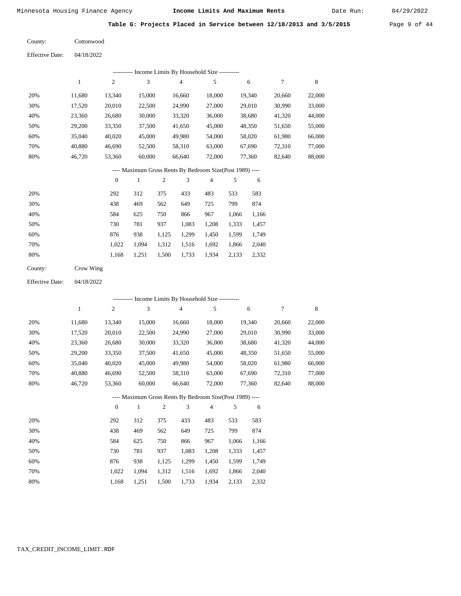Date Run:

|  |  | Table G: Projects Placed in Service between 12/18/2013 and 3/5/2015 |  | Page 9 of 44 |  |  |
|--|--|---------------------------------------------------------------------|--|--------------|--|--|
|  |  |                                                                     |  |              |  |  |

**Cottonwood** County:

| <b>Effective Date:</b> | 04/18/2022 |
|------------------------|------------|
|                        |            |

|     | Income Limits By Household Size ---------- |        |        |        |        |        |        |        |  |  |  |
|-----|--------------------------------------------|--------|--------|--------|--------|--------|--------|--------|--|--|--|
|     |                                            | 2      | 3      | 4      | 5      | 6      | 7      | 8      |  |  |  |
| 20% | 11.680                                     | 13,340 | 15,000 | 16.660 | 18,000 | 19,340 | 20,660 | 22,000 |  |  |  |
| 30% | 17,520                                     | 20,010 | 22,500 | 24,990 | 27,000 | 29,010 | 30,990 | 33,000 |  |  |  |
| 40% | 23,360                                     | 26,680 | 30,000 | 33,320 | 36,000 | 38,680 | 41,320 | 44,000 |  |  |  |
| 50% | 29,200                                     | 33,350 | 37,500 | 41,650 | 45,000 | 48,350 | 51,650 | 55,000 |  |  |  |
| 60% | 35,040                                     | 40,020 | 45,000 | 49,980 | 54,000 | 58,020 | 61,980 | 66,000 |  |  |  |
| 70% | 40,880                                     | 46,690 | 52,500 | 58,310 | 63,000 | 67,690 | 72,310 | 77,000 |  |  |  |
| 80% | 46,720                                     | 53,360 | 60,000 | 66,640 | 72,000 | 77,360 | 82,640 | 88,000 |  |  |  |

# ---- Maximum Gross Rents By Bedroom Size(Post 1989) ----

|     | $\mathbf{0}$ |       | $\overline{2}$ | 3     | 4     | 5     | 6     |
|-----|--------------|-------|----------------|-------|-------|-------|-------|
| 20% | 292          | 312   | 375            | 433   | 483   | 533   | 583   |
| 30% | 438          | 469   | 562            | 649   | 725   | 799   | 874   |
| 40% | 584          | 625   | 750            | 866   | 967   | 1,066 | 1,166 |
| 50% | 730          | 781   | 937            | 1,083 | 1,208 | 1,333 | 1,457 |
| 60% | 876          | 938   | 1,125          | 1,299 | 1,450 | 1,599 | 1,749 |
| 70% | 1.022        | 1.094 | 1,312          | 1,516 | 1,692 | 1,866 | 2,040 |
| 80% | 1,168        | 1,251 | 1,500          | 1,733 | 1,934 | 2,133 | 2,332 |

| County: |  | Crow Wing |
|---------|--|-----------|
|---------|--|-----------|

04/18/2022 Effective Date:

|     | ---------- Income Limits By Household Size ---------- |              |        |                |                                                          |                |       |        |        |        |  |
|-----|-------------------------------------------------------|--------------|--------|----------------|----------------------------------------------------------|----------------|-------|--------|--------|--------|--|
|     | $\mathbf{1}$                                          | $\mathbf{2}$ | 3      |                | $\overline{4}$                                           | 5              |       | 6      | 7      | 8      |  |
| 20% | 11,680                                                | 13,340       | 15,000 |                | 16,660                                                   | 18,000         |       | 19,340 | 20,660 | 22,000 |  |
| 30% | 17,520                                                | 20,010       | 22,500 |                | 24,990                                                   | 27,000         |       | 29,010 | 30,990 | 33,000 |  |
| 40% | 23,360                                                | 26,680       | 30,000 |                | 33,320                                                   | 36,000         |       | 38,680 | 41,320 | 44,000 |  |
| 50% | 29,200                                                | 33,350       | 37,500 |                | 41,650                                                   | 45,000         |       | 48,350 | 51,650 | 55,000 |  |
| 60% | 35,040                                                | 40,020       | 45,000 |                | 49,980                                                   | 54,000         |       | 58,020 | 61,980 | 66,000 |  |
| 70% | 40,880                                                | 46,690       | 52,500 |                | 58,310                                                   | 63,000         |       | 67,690 | 72,310 | 77,000 |  |
| 80% | 46,720                                                | 53,360       | 60,000 |                | 66,640                                                   | 72,000         |       | 77,360 | 82,640 | 88,000 |  |
|     |                                                       |              |        |                | ---- Maximum Gross Rents By Bedroom Size(Post 1989) ---- |                |       |        |        |        |  |
|     |                                                       | $\theta$     | 1      | $\overline{2}$ | 3                                                        | $\overline{4}$ | 5     | 6      |        |        |  |
| 20% |                                                       | 292          | 312    | 375            | 433                                                      | 483            | 533   | 583    |        |        |  |
| 30% |                                                       | 438          | 469    | 562            | 649                                                      | 725            | 799   | 874    |        |        |  |
| 40% |                                                       | 584          | 625    | 750            | 866                                                      | 967            | 1,066 | 1,166  |        |        |  |
| 50% |                                                       | 730          | 781    | 937            | 1,083                                                    | 1,208          | 1,333 | 1,457  |        |        |  |
| 60% |                                                       | 876          | 938    | 1,125          | 1,299                                                    | 1,450          | 1,599 | 1,749  |        |        |  |

 1,022 1,168

 1,094 1,251  1,312 1,500  1,516 1,733

 1,692 1,934  1,866 2,133  2,040 2,332

 70% 80%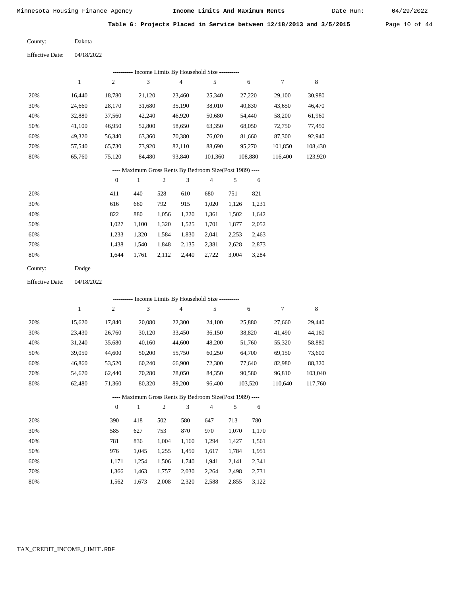Date Run:

**Table G: Projects Placed in Service between 12/18/2013 and 3/5/2015** Page 10 of 44

Dakota County:

04/18/2022 Effective Date:

| Income Limits By Household Size ---------- |        |                |        |        |         |         |         |         |  |  |  |
|--------------------------------------------|--------|----------------|--------|--------|---------|---------|---------|---------|--|--|--|
|                                            |        | $\overline{c}$ | 3      | 4      | 5       | 6       | 7       | 8       |  |  |  |
| 20%                                        | 16.440 | 18,780         | 21,120 | 23,460 | 25,340  | 27,220  | 29,100  | 30,980  |  |  |  |
| 30%                                        | 24,660 | 28,170         | 31,680 | 35,190 | 38,010  | 40,830  | 43,650  | 46,470  |  |  |  |
| 40%                                        | 32,880 | 37,560         | 42,240 | 46,920 | 50,680  | 54,440  | 58,200  | 61,960  |  |  |  |
| 50%                                        | 41,100 | 46,950         | 52,800 | 58,650 | 63,350  | 68,050  | 72,750  | 77,450  |  |  |  |
| 60%                                        | 49,320 | 56,340         | 63,360 | 70,380 | 76,020  | 81,660  | 87,300  | 92,940  |  |  |  |
| 70%                                        | 57,540 | 65,730         | 73,920 | 82,110 | 88,690  | 95,270  | 101,850 | 108,430 |  |  |  |
| 80%                                        | 65,760 | 75,120         | 84,480 | 93,840 | 101,360 | 108,880 | 116,400 | 123,920 |  |  |  |
|                                            |        |                |        |        |         |         |         |         |  |  |  |

---- Maximum Gross Rents By Bedroom Size(Post 1989) ----

|     | $\Omega$ |       | $\overline{2}$ | 3     | 4     | 5     | 6     |
|-----|----------|-------|----------------|-------|-------|-------|-------|
| 20% | 411      | 440   | 528            | 610   | 680   | 751   | 821   |
| 30% | 616      | 660   | 792            | 915   | 1,020 | 1,126 | 1,231 |
| 40% | 822      | 880   | 1,056          | 1,220 | 1,361 | 1,502 | 1,642 |
| 50% | 1.027    | 1.100 | 1,320          | 1,525 | 1,701 | 1,877 | 2,052 |
| 60% | 1,233    | 1,320 | 1,584          | 1,830 | 2,041 | 2,253 | 2,463 |
| 70% | 1,438    | 1,540 | 1,848          | 2,135 | 2,381 | 2,628 | 2,873 |
| 80% | 1.644    | 1,761 | 2,112          | 2,440 | 2,722 | 3,004 | 3,284 |
|     |          |       |                |       |       |       |       |

| County: | Dodge |
|---------|-------|
|---------|-------|

04/18/2022 Effective Date:

|     | --------- Income Limits By Household Size ---------- |              |                                                          |                |                |        |       |         |         |         |  |
|-----|------------------------------------------------------|--------------|----------------------------------------------------------|----------------|----------------|--------|-------|---------|---------|---------|--|
|     | 1                                                    | $\mathbf{2}$ | 3                                                        |                | $\overline{4}$ | 5      |       | 6       | 7       | 8       |  |
| 20% | 15,620                                               | 17,840       | 20,080                                                   |                | 22,300         | 24,100 |       | 25,880  | 27,660  | 29,440  |  |
| 30% | 23,430                                               | 26,760       | 30,120                                                   |                | 33,450         | 36,150 |       | 38,820  | 41,490  | 44,160  |  |
| 40% | 31,240                                               | 35,680       | 40,160                                                   |                | 44,600         | 48,200 |       | 51,760  | 55,320  | 58,880  |  |
| 50% | 39,050                                               | 44,600       | 50,200                                                   |                | 55,750         | 60,250 |       | 64,700  | 69,150  | 73,600  |  |
| 60% | 46,860                                               | 53,520       | 60,240                                                   |                | 66,900         | 72,300 |       | 77,640  | 82,980  | 88,320  |  |
| 70% | 54,670                                               | 62,440       | 70,280                                                   |                | 78,050         | 84,350 |       | 90,580  | 96,810  | 103,040 |  |
| 80% | 62,480                                               | 71,360       | 80,320                                                   |                | 89,200         | 96,400 |       | 103,520 | 110,640 | 117,760 |  |
|     |                                                      |              | ---- Maximum Gross Rents By Bedroom Size(Post 1989) ---- |                |                |        |       |         |         |         |  |
|     |                                                      | $\mathbf{0}$ | 1                                                        | $\overline{2}$ | 3              | 4      | 5     | 6       |         |         |  |
| 20% |                                                      | 390          | 418                                                      | 502            | 580            | 647    | 713   | 780     |         |         |  |
| 30% |                                                      | 585          | 627                                                      | 753            | 870            | 970    | 1,070 | 1,170   |         |         |  |
| 40% |                                                      | 781          | 836                                                      | 1,004          | 1,160          | 1,294  | 1,427 | 1,561   |         |         |  |
| 50% |                                                      | 976          | 1,045                                                    | 1,255          | 1,450          | 1,617  | 1,784 | 1,951   |         |         |  |

| 70%  |  |  | 1,366 1,463 1,757 2,030 2,264 2,498 2,731 |  |
|------|--|--|-------------------------------------------|--|
| -80% |  |  | 1,562 1,673 2,008 2,320 2,588 2,855 3,122 |  |

1,506

1,740

1,941

2,141

2,341

1,254

1,171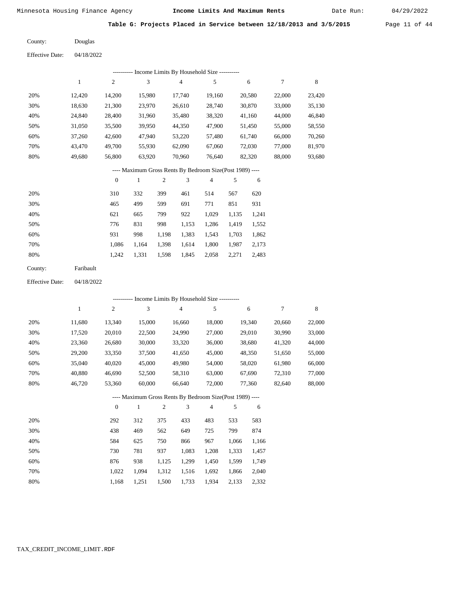Date Run:

**Table G: Projects Placed in Service between 12/18/2013 and 3/5/2015** Page 11 of 44

Douglas

04/18/2022 Effective Date:

County:

| Income Limits By Household Size ---------- |        |        |        |        |        |        |        |        |  |  |  |
|--------------------------------------------|--------|--------|--------|--------|--------|--------|--------|--------|--|--|--|
|                                            |        | 2      | 3      | 4      | 5      | 6      | 7      | 8      |  |  |  |
| 20%                                        | 12.420 | 14.200 | 15.980 | 17.740 | 19.160 | 20,580 | 22,000 | 23,420 |  |  |  |
| 30%                                        | 18,630 | 21,300 | 23.970 | 26,610 | 28,740 | 30,870 | 33,000 | 35,130 |  |  |  |
| 40%                                        | 24,840 | 28,400 | 31,960 | 35,480 | 38,320 | 41,160 | 44,000 | 46,840 |  |  |  |
| 50%                                        | 31,050 | 35,500 | 39,950 | 44,350 | 47,900 | 51,450 | 55,000 | 58,550 |  |  |  |
| 60%                                        | 37,260 | 42,600 | 47.940 | 53,220 | 57.480 | 61,740 | 66,000 | 70,260 |  |  |  |
| 70%                                        | 43,470 | 49,700 | 55,930 | 62,090 | 67,060 | 72,030 | 77,000 | 81,970 |  |  |  |
| 80%                                        | 49.680 | 56,800 | 63,920 | 70,960 | 76.640 | 82,320 | 88,000 | 93,680 |  |  |  |
|                                            |        |        |        |        |        |        |        |        |  |  |  |

### ---- Maximum Gross Rents By Bedroom Size(Post 1989) ----

|     | $\mathbf{0}$ |       | $\overline{c}$ | 3     | 4     | 5     | 6     |
|-----|--------------|-------|----------------|-------|-------|-------|-------|
| 20% | 310          | 332   | 399            | 461   | 514   | 567   | 620   |
| 30% | 465          | 499   | 599            | 691   | 771   | 851   | 931   |
| 40% | 621          | 665   | 799            | 922   | 1,029 | 1,135 | 1,241 |
| 50% | 776          | 831   | 998            | 1,153 | 1,286 | 1,419 | 1,552 |
| 60% | 931          | 998   | 1,198          | 1,383 | 1,543 | 1,703 | 1,862 |
| 70% | 1.086        | 1,164 | 1,398          | 1,614 | 1,800 | 1,987 | 2,173 |
| 80% | 1,242        | 1,331 | 1,598          | 1,845 | 2,058 | 2,271 | 2,483 |
|     |              |       |                |       |       |       |       |

| County: | Faribault |
|---------|-----------|
|---------|-----------|

04/18/2022 Effective Date:

|     |        |                |              |                |                | ---------- Income Limits By Household Size ----------    |       |        |        |        |
|-----|--------|----------------|--------------|----------------|----------------|----------------------------------------------------------|-------|--------|--------|--------|
|     | 1      | 2              | 3            |                | $\overline{4}$ | 5                                                        |       | 6      | $\tau$ | 8      |
| 20% | 11,680 | 13,340         | 15,000       |                | 16,660         | 18,000                                                   |       | 19,340 | 20,660 | 22,000 |
| 30% | 17,520 | 20,010         | 22,500       |                | 24,990         | 27,000                                                   |       | 29,010 | 30,990 | 33,000 |
| 40% | 23,360 | 26,680         | 30,000       |                | 33,320         | 36,000                                                   |       | 38,680 | 41,320 | 44,000 |
| 50% | 29,200 | 33,350         | 37,500       |                | 41,650         | 45,000                                                   |       | 48,350 | 51,650 | 55,000 |
| 60% | 35,040 | 40,020         | 45,000       |                | 49,980         | 54,000                                                   |       | 58,020 | 61,980 | 66,000 |
| 70% | 40,880 | 46,690         | 52,500       |                | 58,310         | 63,000                                                   |       | 67,690 | 72,310 | 77,000 |
| 80% | 46,720 | 53,360         | 60,000       |                | 66,640         | 72,000                                                   |       | 77,360 | 82,640 | 88,000 |
|     |        |                |              |                |                | ---- Maximum Gross Rents By Bedroom Size(Post 1989) ---- |       |        |        |        |
|     |        | $\overline{0}$ | $\mathbf{1}$ | $\mathfrak{2}$ | 3              | 4                                                        | 5     | 6      |        |        |
| 20% |        | 292            | 312          | 375            | 433            | 483                                                      | 533   | 583    |        |        |
| 30% |        | 438            | 469          | 562            | 649            | 725                                                      | 799   | 874    |        |        |
| 40% |        | 584            | 625          | 750            | 866            | 967                                                      | 1,066 | 1,166  |        |        |
| 50% |        | 730            | 781          | 937            | 1,083          | 1,208                                                    | 1,333 | 1,457  |        |        |
| 60% |        | 876            | 938          | 1,125          | 1,299          | 1,450                                                    | 1,599 | 1,749  |        |        |
| 70% |        | 1,022          | 1,094        | 1,312          | 1,516          | 1,692                                                    | 1,866 | 2,040  |        |        |
| 80% |        | 1,168          | 1,251        | 1,500          | 1,733          | 1,934                                                    | 2,133 | 2,332  |        |        |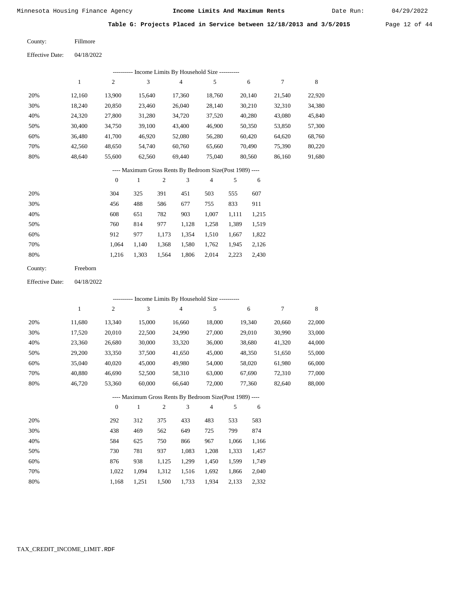Date Run:

**Table G: Projects Placed in Service between 12/18/2013 and 3/5/2015** Page 12 of 44

| County: | Fillmore |
|---------|----------|
|         |          |

Effective Date: 04/18/2022

| ---------- Income Limits By Household Size ----------    |        |                |        |        |        |        |        |        |  |  |  |
|----------------------------------------------------------|--------|----------------|--------|--------|--------|--------|--------|--------|--|--|--|
|                                                          | 1      | $\overline{2}$ | 3      | 4      | 5      | 6      | 7      | 8      |  |  |  |
| 20%                                                      | 12.160 | 13.900         | 15.640 | 17.360 | 18.760 | 20.140 | 21,540 | 22,920 |  |  |  |
| 30%                                                      | 18.240 | 20,850         | 23.460 | 26,040 | 28.140 | 30,210 | 32,310 | 34,380 |  |  |  |
| 40%                                                      | 24.320 | 27,800         | 31,280 | 34.720 | 37,520 | 40.280 | 43,080 | 45,840 |  |  |  |
| 50%                                                      | 30,400 | 34,750         | 39.100 | 43.400 | 46.900 | 50.350 | 53,850 | 57,300 |  |  |  |
| 60%                                                      | 36.480 | 41.700         | 46.920 | 52,080 | 56,280 | 60.420 | 64.620 | 68,760 |  |  |  |
| 70%                                                      | 42,560 | 48,650         | 54,740 | 60,760 | 65,660 | 70,490 | 75,390 | 80,220 |  |  |  |
| 80%                                                      | 48.640 | 55,600         | 62,560 | 69.440 | 75,040 | 80.560 | 86,160 | 91,680 |  |  |  |
| ---- Maximum Gross Rents By Bedroom Size(Post 1989) ---- |        |                |        |        |        |        |        |        |  |  |  |

|     | $\theta$ |       | 2     | 3     | 4     | 5     | 6     |
|-----|----------|-------|-------|-------|-------|-------|-------|
| 20% | 304      | 325   | 391   | 451   | 503   | 555   | 607   |
| 30% | 456      | 488   | 586   | 677   | 755   | 833   | 911   |
| 40% | 608      | 651   | 782   | 903   | 1,007 | 1,111 | 1,215 |
| 50% | 760      | 814   | 977   | 1,128 | 1,258 | 1,389 | 1,519 |
| 60% | 912      | 977   | 1,173 | 1,354 | 1,510 | 1,667 | 1,822 |
| 70% | 1.064    | 1.140 | 1,368 | 1,580 | 1,762 | 1,945 | 2,126 |
| 80% | 1,216    | 1,303 | 1,564 | 1,806 | 2,014 | 2,223 | 2,430 |
|     |          |       |       |       |       |       |       |

| County: | Freeborn |
|---------|----------|
|---------|----------|

Effective Date: 04/18/2022

| ---------- Income Limits By Household Size ---------- |        |                |              |                |                |                                                          |       |        |        |             |
|-------------------------------------------------------|--------|----------------|--------------|----------------|----------------|----------------------------------------------------------|-------|--------|--------|-------------|
|                                                       | 1      | $\overline{c}$ | 3            |                | $\overline{4}$ | 5                                                        |       | 6      | 7      | $\,$ 8 $\,$ |
| 20%                                                   | 11,680 | 13,340         | 15,000       |                | 16,660         | 18,000                                                   |       | 19,340 | 20,660 | 22,000      |
| 30%                                                   | 17,520 | 20,010         | 22,500       |                | 24,990         | 27,000                                                   |       | 29,010 | 30,990 | 33,000      |
| 40%                                                   | 23,360 | 26,680         | 30,000       |                | 33,320         | 36,000                                                   |       | 38,680 | 41,320 | 44,000      |
| 50%                                                   | 29,200 | 33,350         | 37,500       |                | 41,650         | 45,000                                                   |       | 48,350 | 51,650 | 55,000      |
| 60%                                                   | 35,040 | 40,020         | 45,000       |                | 49,980         | 54,000                                                   |       | 58,020 | 61,980 | 66,000      |
| 70%                                                   | 40,880 | 46,690         | 52,500       |                | 58,310         | 63,000                                                   |       | 67,690 | 72,310 | 77,000      |
| 80%                                                   | 46,720 | 53,360         | 60,000       |                | 66,640         | 72,000                                                   |       | 77,360 | 82,640 | 88,000      |
|                                                       |        |                |              |                |                | ---- Maximum Gross Rents By Bedroom Size(Post 1989) ---- |       |        |        |             |
|                                                       |        | $\overline{0}$ | $\mathbf{1}$ | $\overline{2}$ | 3              | $\overline{4}$                                           | 5     | 6      |        |             |
| 20%                                                   |        | 292            | 312          | 375            | 433            | 483                                                      | 533   | 583    |        |             |
| 30%                                                   |        | 438            | 469          | 562            | 649            | 725                                                      | 799   | 874    |        |             |
| 40%                                                   |        | 584            | 625          | 750            | 866            | 967                                                      | 1,066 | 1,166  |        |             |
| 50%                                                   |        | 730            | 781          | 937            | 1,083          | 1,208                                                    | 1,333 | 1,457  |        |             |
| 60%                                                   |        | 876            | 938          | 1,125          | 1,299          | 1,450                                                    | 1,599 | 1,749  |        |             |
| 70%                                                   |        | 1,022          | 1,094        | 1,312          | 1,516          | 1,692                                                    | 1,866 | 2,040  |        |             |

1,168 1,251 1,500 1,733 1,934 2,133 2,332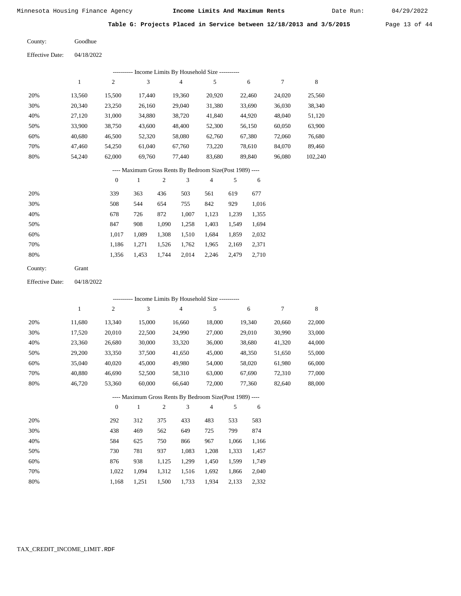Date Run:

**Table G: Projects Placed in Service between 12/18/2013 and 3/5/2015** Page 13 of 44

| County: | Goodhue |
|---------|---------|
|         |         |

| <b>Effective Date:</b> | 04/18/2022 |
|------------------------|------------|
|------------------------|------------|

| ---------- Income Limits By Household Size ---------- |        |        |        |        |        |        |        |         |
|-------------------------------------------------------|--------|--------|--------|--------|--------|--------|--------|---------|
|                                                       |        | 2      | 3      | 4      | 5      | 6      | 7      | 8       |
| 20%                                                   | 13.560 | 15.500 | 17.440 | 19.360 | 20.920 | 22,460 | 24,020 | 25,560  |
| 30%                                                   | 20,340 | 23,250 | 26,160 | 29,040 | 31,380 | 33,690 | 36,030 | 38,340  |
| 40%                                                   | 27,120 | 31,000 | 34,880 | 38,720 | 41,840 | 44,920 | 48,040 | 51,120  |
| 50%                                                   | 33,900 | 38,750 | 43,600 | 48,400 | 52,300 | 56,150 | 60,050 | 63,900  |
| 60%                                                   | 40,680 | 46,500 | 52,320 | 58,080 | 62,760 | 67,380 | 72,060 | 76,680  |
| 70%                                                   | 47.460 | 54,250 | 61,040 | 67,760 | 73,220 | 78.610 | 84,070 | 89,460  |
| 80%                                                   | 54,240 | 62,000 | 69,760 | 77,440 | 83,680 | 89,840 | 96,080 | 102,240 |
|                                                       |        |        |        |        |        |        |        |         |

# ---- Maximum Gross Rents By Bedroom Size(Post 1989) ----

|     | 0     |       | 2     | 3     | 4     | 5     | 6     |
|-----|-------|-------|-------|-------|-------|-------|-------|
| 20% | 339   | 363   | 436   | 503   | 561   | 619   | 677   |
| 30% | 508   | 544   | 654   | 755   | 842   | 929   | 1,016 |
| 40% | 678   | 726   | 872   | 1,007 | 1,123 | 1,239 | 1,355 |
| 50% | 847   | 908   | 1,090 | 1,258 | 1,403 | 1,549 | 1,694 |
| 60% | 1.017 | 1,089 | 1,308 | 1,510 | 1,684 | 1,859 | 2,032 |
| 70% | 1.186 | 1,271 | 1,526 | 1,762 | 1,965 | 2,169 | 2,371 |
| 80% | 1,356 | 1,453 | 1,744 | 2,014 | 2,246 | 2,479 | 2,710 |
|     |       |       |       |       |       |       |       |

| County: | Grant |
|---------|-------|
|---------|-------|

04/18/2022 Effective Date:

|     |              |                |        |       |                | ---------- Income Limits By Household Size ----------    |       |        |        |        |
|-----|--------------|----------------|--------|-------|----------------|----------------------------------------------------------|-------|--------|--------|--------|
|     | $\mathbf{1}$ | $\overline{c}$ | 3      |       | $\overline{4}$ | 5                                                        |       | 6      | 7      | 8      |
| 20% | 11,680       | 13,340         | 15,000 |       | 16,660         | 18,000                                                   |       | 19,340 | 20,660 | 22,000 |
| 30% | 17,520       | 20,010         | 22,500 |       | 24,990         | 27,000                                                   |       | 29,010 | 30,990 | 33,000 |
| 40% | 23,360       | 26,680         | 30,000 |       | 33,320         | 36,000                                                   |       | 38,680 | 41,320 | 44,000 |
| 50% | 29,200       | 33,350         | 37,500 |       | 41,650         | 45,000                                                   |       | 48,350 | 51,650 | 55,000 |
| 60% | 35,040       | 40,020         | 45,000 |       | 49,980         | 54,000                                                   |       | 58,020 | 61,980 | 66,000 |
| 70% | 40,880       | 46,690         | 52,500 |       | 58,310         | 63,000                                                   |       | 67,690 | 72,310 | 77,000 |
| 80% | 46,720       | 53,360         | 60,000 |       | 66,640         | 72,000                                                   |       | 77,360 | 82,640 | 88,000 |
|     |              |                |        |       |                | ---- Maximum Gross Rents By Bedroom Size(Post 1989) ---- |       |        |        |        |
|     |              | $\overline{0}$ | 1      | 2     | 3              | 4                                                        | 5     | 6      |        |        |
| 20% |              | 292            | 312    | 375   | 433            | 483                                                      | 533   | 583    |        |        |
| 30% |              | 438            | 469    | 562   | 649            | 725                                                      | 799   | 874    |        |        |
| 40% |              | 584            | 625    | 750   | 866            | 967                                                      | 1,066 | 1,166  |        |        |
| 50% |              | 730            | 781    | 937   | 1,083          | 1,208                                                    | 1,333 | 1,457  |        |        |
| 60% |              | 876            | 938    | 1,125 | 1,299          | 1,450                                                    | 1,599 | 1,749  |        |        |
| 70% |              | 1,022          | 1,094  | 1,312 | 1,516          | 1,692                                                    | 1,866 | 2,040  |        |        |

1,168 1,251 1,500 1,733 1,934 2,133 2,332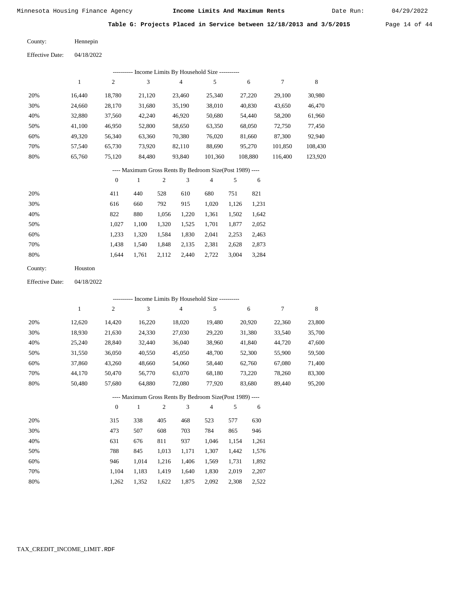Date Run:

**Table G: Projects Placed in Service between 12/18/2013 and 3/5/2015** Page 14 of 44

| County: | Hennepin |
|---------|----------|
|         |          |

Effective Date: 04/18/2022

| ---------- Income Limits By Household Size ---------- |        |        |        |        |         |         |         |         |
|-------------------------------------------------------|--------|--------|--------|--------|---------|---------|---------|---------|
|                                                       |        | 2      | 3      | 4      | 5       | 6       | 7       | 8       |
| 20%                                                   | 16.440 | 18,780 | 21,120 | 23.460 | 25,340  | 27,220  | 29.100  | 30,980  |
| 30%                                                   | 24,660 | 28,170 | 31,680 | 35,190 | 38,010  | 40,830  | 43,650  | 46,470  |
| 40%                                                   | 32,880 | 37,560 | 42,240 | 46,920 | 50,680  | 54,440  | 58,200  | 61,960  |
| 50%                                                   | 41,100 | 46,950 | 52,800 | 58,650 | 63,350  | 68,050  | 72,750  | 77,450  |
| 60%                                                   | 49.320 | 56,340 | 63,360 | 70,380 | 76,020  | 81,660  | 87,300  | 92,940  |
| 70%                                                   | 57,540 | 65,730 | 73.920 | 82,110 | 88,690  | 95,270  | 101,850 | 108,430 |
| 80%                                                   | 65,760 | 75,120 | 84,480 | 93,840 | 101,360 | 108,880 | 116,400 | 123,920 |

### ---- Maximum Gross Rents By Bedroom Size(Post 1989) ----

|     | $\mathbf{0}$ |       | 2     | 3     | 4     | 5     | 6     |
|-----|--------------|-------|-------|-------|-------|-------|-------|
| 20% | 411          | 440   | 528   | 610   | 680   | 751   | 821   |
| 30% | 616          | 660   | 792   | 915   | 1,020 | 1,126 | 1,231 |
| 40% | 822          | 880   | 1,056 | 1,220 | 1,361 | 1,502 | 1,642 |
| 50% | 1.027        | 1,100 | 1,320 | 1,525 | 1,701 | 1,877 | 2,052 |
| 60% | 1,233        | 1,320 | 1,584 | 1,830 | 2,041 | 2,253 | 2,463 |
| 70% | 1,438        | 1,540 | 1,848 | 2,135 | 2,381 | 2,628 | 2,873 |
| 80% | 1,644        | 1,761 | 2,112 | 2,440 | 2,722 | 3,004 | 3,284 |
|     |              |       |       |       |       |       |       |

| County: | Houston |
|---------|---------|
|---------|---------|

04/18/2022 Effective Date:

|     |        |                |              |                | --------- Income Limits By Household Size ----------     |                |       |        |        |        |
|-----|--------|----------------|--------------|----------------|----------------------------------------------------------|----------------|-------|--------|--------|--------|
|     | 1      | 2              | 3            |                | $\overline{4}$                                           | 5              |       | 6      | 7      | 8      |
| 20% | 12,620 | 14,420         | 16,220       |                | 18,020                                                   | 19,480         |       | 20,920 | 22,360 | 23,800 |
| 30% | 18,930 | 21,630         | 24,330       |                | 27,030                                                   | 29,220         |       | 31,380 | 33,540 | 35,700 |
| 40% | 25,240 | 28,840         | 32,440       |                | 36,040                                                   | 38,960         |       | 41,840 | 44,720 | 47,600 |
| 50% | 31,550 | 36,050         | 40,550       |                | 45,050                                                   | 48,700         |       | 52,300 | 55,900 | 59,500 |
| 60% | 37,860 | 43,260         | 48,660       |                | 54,060                                                   | 58,440         |       | 62,760 | 67,080 | 71,400 |
| 70% | 44,170 | 50,470         | 56,770       |                | 63,070                                                   | 68,180         |       | 73,220 | 78,260 | 83,300 |
| 80% | 50,480 | 57,680         | 64,880       |                | 72,080                                                   | 77,920         |       | 83,680 | 89,440 | 95,200 |
|     |        |                |              |                | ---- Maximum Gross Rents By Bedroom Size(Post 1989) ---- |                |       |        |        |        |
|     |        | $\overline{0}$ | $\mathbf{1}$ | $\overline{2}$ | 3                                                        | $\overline{4}$ | 5     | 6      |        |        |
| 20% |        | 315            | 338          | 405            | 468                                                      | 523            | 577   | 630    |        |        |
| 30% |        | 473            | 507          | 608            | 703                                                      | 784            | 865   | 946    |        |        |
| 40% |        | 631            | 676          | 811            | 937                                                      | 1,046          | 1,154 | 1,261  |        |        |
| 50% |        | 788            | 845          | 1,013          | 1,171                                                    | 1,307          | 1,442 | 1,576  |        |        |
| 60% |        | 946            | 1,014        | 1,216          | 1,406                                                    | 1,569          | 1,731 | 1,892  |        |        |
| 70% |        | 1,104          | 1,183        | 1,419          | 1,640                                                    | 1,830          | 2,019 | 2,207  |        |        |

1,352 1,622 1,875 2,092 2,308

2,522

1,262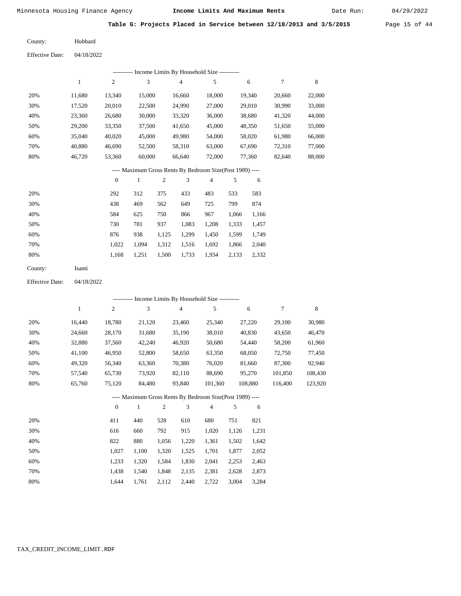Date Run:

**Table G: Projects Placed in Service between 12/18/2013 and 3/5/2015** Page 15 of 44

| County: | Hubbard |
|---------|---------|
|         |         |

| <b>Effective Date:</b> | 04/18/2022 |
|------------------------|------------|
|                        |            |

|     |        |        | ---------- Income Limits By Household Size ---------- |        |        |        |        |        |
|-----|--------|--------|-------------------------------------------------------|--------|--------|--------|--------|--------|
|     |        | 2      | 3                                                     | 4      | 5      | 6      | 7      | 8      |
| 20% | 11.680 | 13,340 | 15,000                                                | 16,660 | 18,000 | 19.340 | 20,660 | 22,000 |
| 30% | 17,520 | 20,010 | 22,500                                                | 24,990 | 27,000 | 29,010 | 30,990 | 33,000 |
| 40% | 23,360 | 26,680 | 30,000                                                | 33,320 | 36,000 | 38,680 | 41,320 | 44,000 |
| 50% | 29,200 | 33,350 | 37,500                                                | 41,650 | 45,000 | 48,350 | 51,650 | 55,000 |
| 60% | 35,040 | 40,020 | 45,000                                                | 49,980 | 54,000 | 58,020 | 61,980 | 66,000 |
| 70% | 40,880 | 46,690 | 52,500                                                | 58,310 | 63,000 | 67,690 | 72,310 | 77,000 |
| 80% | 46,720 | 53,360 | 60,000                                                | 66,640 | 72,000 | 77,360 | 82,640 | 88,000 |
|     |        |        |                                                       |        |        |        |        |        |

# ---- Maximum Gross Rents By Bedroom Size(Post 1989) ----

|     | $\mathbf{0}$ |       | 2     | 3     | 4     | 5     | 6     |
|-----|--------------|-------|-------|-------|-------|-------|-------|
| 20% | 292          | 312   | 375   | 433   | 483   | 533   | 583   |
| 30% | 438          | 469   | 562   | 649   | 725   | 799   | 874   |
| 40% | 584          | 625   | 750   | 866   | 967   | 1,066 | 1,166 |
| 50% | 730          | 781   | 937   | 1,083 | 1,208 | 1,333 | 1,457 |
| 60% | 876          | 938   | 1,125 | 1.299 | 1,450 | 1,599 | 1,749 |
| 70% | 1.022        | 1.094 | 1,312 | 1,516 | 1,692 | 1,866 | 2,040 |
| 80% | 1,168        | 1,251 | 1,500 | 1,733 | 1,934 | 2,133 | 2,332 |
|     |              |       |       |       |       |       |       |

| County: | Isanti |
|---------|--------|
|---------|--------|

Effective Date: 04/18/2022

|                                                          |        |              |        |     |                | ---------- Income Limits By Household Size ---------- |     |         |         |         |
|----------------------------------------------------------|--------|--------------|--------|-----|----------------|-------------------------------------------------------|-----|---------|---------|---------|
|                                                          | 1      | $\mathbf{2}$ | 3      |     | $\overline{4}$ | 5                                                     |     | 6       | 7       | 8       |
| 20%                                                      | 16,440 | 18,780       | 21,120 |     | 23,460         | 25,340                                                |     | 27,220  | 29,100  | 30,980  |
| 30%                                                      | 24,660 | 28,170       | 31,680 |     | 35,190         | 38,010                                                |     | 40,830  | 43,650  | 46,470  |
| 40%                                                      | 32,880 | 37,560       | 42,240 |     | 46,920         | 50,680                                                |     | 54,440  | 58,200  | 61,960  |
| 50%                                                      | 41,100 | 46,950       | 52,800 |     | 58,650         | 63,350                                                |     | 68,050  | 72,750  | 77,450  |
| 60%                                                      | 49,320 | 56,340       | 63,360 |     | 70,380         | 76,020                                                |     | 81,660  | 87,300  | 92,940  |
| 70%                                                      | 57,540 | 65,730       | 73.920 |     | 82,110         | 88,690                                                |     | 95,270  | 101,850 | 108,430 |
| 80%                                                      | 65,760 | 75,120       | 84,480 |     | 93,840         | 101,360                                               |     | 108,880 | 116.400 | 123,920 |
| ---- Maximum Gross Rents By Bedroom Size(Post 1989) ---- |        |              |        |     |                |                                                       |     |         |         |         |
|                                                          |        | $\mathbf{0}$ | 1      | 2   | 3              | $\overline{4}$                                        | 5   | 6       |         |         |
| 20%                                                      |        | 411          | 440    | 528 | 610            | 680                                                   | 751 | 821     |         |         |

| 30% | 616   | 660   | 792   | 915   | 1.020 | 1.126 | 1.231 |
|-----|-------|-------|-------|-------|-------|-------|-------|
| 40% | 822   | 880   | 1.056 | 1.220 | 1.361 | 1.502 | 1,642 |
| 50% | 1.027 | 1.100 | 1.320 | 1.525 | 1.701 | 1.877 | 2,052 |
| 60% | 1.233 | 1.320 | 1.584 | 1.830 | 2,041 | 2.253 | 2,463 |
| 70% | 1.438 | 1.540 | 1.848 | 2.135 | 2.381 | 2.628 | 2,873 |
| 80% | 1.644 | 1.761 | 2.112 | 2.440 | 2.722 | 3.004 | 3,284 |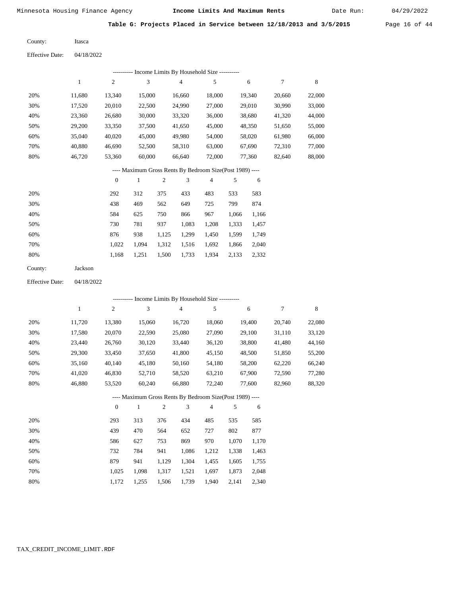Itasca

Minnesota Housing Finance Agency **Income Limits And Maximum Rents** 04/29/2022

Date Run:

**Table G: Projects Placed in Service between 12/18/2013 and 3/5/2015** Page 16 of 44

Effective Date: 04/18/2022

|                        |              |                  |              |                | --------- Income Limits By Household Size ----------     |                |                |                |        |             |
|------------------------|--------------|------------------|--------------|----------------|----------------------------------------------------------|----------------|----------------|----------------|--------|-------------|
|                        | $\mathbf{1}$ | $\sqrt{2}$       | 3            |                | 4                                                        | 5              |                | $\sqrt{6}$     | 7      | $\,$ 8 $\,$ |
| 20%                    | 11,680       | 13,340           | 15,000       |                | 16,660                                                   | 18,000         |                | 19,340         | 20,660 | 22,000      |
| 30%                    | 17,520       | 20,010           | 22,500       |                | 24,990                                                   | 27,000         |                | 29,010         | 30,990 | 33,000      |
| 40%                    | 23,360       | 26,680           | 30,000       |                | 33,320                                                   | 36,000         |                | 38,680         | 41,320 | 44,000      |
| 50%                    | 29,200       | 33,350           | 37,500       |                | 41,650                                                   | 45,000         |                | 48,350         | 51,650 | 55,000      |
| 60%                    | 35,040       | 40,020           | 45,000       |                | 49,980                                                   | 54,000         |                | 58,020         | 61,980 | 66,000      |
| 70%                    | 40,880       | 46,690           | 52,500       |                | 58,310                                                   | 63,000         |                | 67,690         | 72,310 | 77,000      |
| 80%                    | 46,720       | 53,360           | 60,000       |                | 66,640                                                   | 72,000         |                | 77,360         | 82,640 | 88,000      |
|                        |              |                  |              |                | ---- Maximum Gross Rents By Bedroom Size(Post 1989) ---- |                |                |                |        |             |
|                        |              | $\boldsymbol{0}$ | $\mathbf{1}$ | $\mathfrak{2}$ | 3                                                        | $\overline{4}$ | 5              | 6              |        |             |
| 20%                    |              | 292              | 312          | 375            | 433                                                      | 483            | 533            | 583            |        |             |
| 30%                    |              | 438              | 469          | 562            | 649                                                      | 725            | 799            | 874            |        |             |
| 40%                    |              | 584              | 625          | 750            | 866                                                      | 967            | 1,066          | 1,166          |        |             |
| 50%                    |              | 730              | 781          | 937            | 1,083                                                    | 1,208          | 1,333          | 1,457          |        |             |
| 60%                    |              | 876              | 938          | 1,125          | 1,299                                                    | 1,450          | 1,599          | 1,749          |        |             |
| 70%                    |              | 1,022            | 1,094        | 1,312          | 1,516                                                    | 1,692          | 1,866          | 2,040          |        |             |
| 80%                    |              | 1,168            | 1,251        | 1,500          | 1,733                                                    | 1,934          | 2,133          | 2,332          |        |             |
| County:                | Jackson      |                  |              |                |                                                          |                |                |                |        |             |
| <b>Effective Date:</b> | 04/18/2022   |                  |              |                |                                                          |                |                |                |        |             |
|                        |              |                  |              |                | ---------- Income Limits By Household Size ----------    |                |                |                |        |             |
|                        | $\mathbf{1}$ | $\overline{c}$   | 3            |                | 4                                                        | 5              |                | 6              | 7      | $\,$ 8 $\,$ |
| 20%                    | 11,720       | 13,380           | 15,060       |                | 16,720                                                   | 18,060         |                | 19,400         | 20,740 | 22,080      |
| 30%                    | 17,580       | 20,070           | 22,590       |                | 25,080                                                   | 27,090         |                | 29,100         | 31,110 | 33,120      |
| 40%                    | 23,440       | 26,760           | 30,120       |                | 33,440                                                   | 36,120         |                | 38,800         | 41,480 | 44,160      |
| 50%                    | 29,300       | 33,450           | 37,650       |                | 41,800                                                   | 45,150         |                | 48,500         | 51,850 | 55,200      |
| 60%                    | 35,160       | 40,140           | 45,180       |                | 50,160                                                   | 54,180         |                | 58,200         | 62,220 | 66,240      |
| 70%                    | 41,020       | 46,830           | 52,710       |                | 58,520                                                   | 63,210         |                | 67,900         | 72,590 | 77,280      |
| 80%                    | 46,880       | 53,520           | 60,240       |                | 66,880                                                   | 72,240         |                | 77,600         | 82,960 | 88,320      |
|                        |              |                  |              |                | ---- Maximum Gross Rents By Bedroom Size(Post 1989) ---- |                |                |                |        |             |
|                        |              | $\boldsymbol{0}$ | $\mathbf{1}$ | $\sqrt{2}$     | 3                                                        | 4              | 5              | 6              |        |             |
|                        |              |                  |              |                |                                                          |                |                |                |        |             |
| 20%                    |              | 293              | 313          | 376            | 434                                                      | 485            | 535            | 585            |        |             |
| 30%                    |              |                  |              |                |                                                          |                | 802            | 877            |        |             |
|                        |              | 439              | 470          | 564            | 652                                                      | 727            |                |                |        |             |
| 40%                    |              | 586              | 627          | 753            | 869                                                      | 970            | 1,070          | 1,170          |        |             |
| 50%<br>60%             |              | 732<br>879       | 784<br>941   | 941<br>1,129   | 1,086<br>1,304                                           | 1,212<br>1,455 | 1,338<br>1,605 | 1,463<br>1,755 |        |             |

1,025 1,098 1,317 1,521 1,697 1,873 2,048

1,940 2,141 2,340

1,172 1,255 1,506 1,739

 70% 80%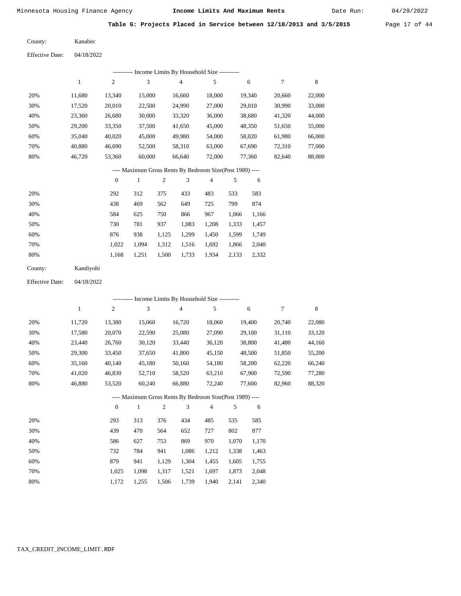Date Run:

**Table G: Projects Placed in Service between 12/18/2013 and 3/5/2015** Page 17 of 44

| County: | Kanabec |
|---------|---------|
|         |         |

| <b>Effective Date:</b> | 04/18/2022 |
|------------------------|------------|
|------------------------|------------|

|     | ---------- Income Limits By Household Size ---------- |        |        |        |        |        |        |        |  |  |  |  |
|-----|-------------------------------------------------------|--------|--------|--------|--------|--------|--------|--------|--|--|--|--|
|     |                                                       | 2      | 3      | 4      | 5      | 6      |        | 8      |  |  |  |  |
| 20% | 11.680                                                | 13,340 | 15,000 | 16,660 | 18,000 | 19,340 | 20,660 | 22,000 |  |  |  |  |
| 30% | 17,520                                                | 20,010 | 22,500 | 24,990 | 27,000 | 29,010 | 30,990 | 33,000 |  |  |  |  |
| 40% | 23,360                                                | 26,680 | 30,000 | 33,320 | 36,000 | 38,680 | 41,320 | 44,000 |  |  |  |  |
| 50% | 29,200                                                | 33,350 | 37,500 | 41,650 | 45,000 | 48,350 | 51,650 | 55,000 |  |  |  |  |
| 60% | 35,040                                                | 40,020 | 45,000 | 49,980 | 54,000 | 58,020 | 61,980 | 66,000 |  |  |  |  |
| 70% | 40.880                                                | 46.690 | 52,500 | 58,310 | 63,000 | 67,690 | 72,310 | 77,000 |  |  |  |  |
| 80% | 46.720                                                | 53,360 | 60,000 | 66,640 | 72,000 | 77,360 | 82,640 | 88,000 |  |  |  |  |

### ---- Maximum Gross Rents By Bedroom Size(Post 1989) ----

|     | $\mathbf{0}$ |       | 2     | 3     | 4     | 5     | 6     |
|-----|--------------|-------|-------|-------|-------|-------|-------|
| 20% | 292          | 312   | 375   | 433   | 483   | 533   | 583   |
| 30% | 438          | 469   | 562   | 649   | 725   | 799   | 874   |
| 40% | 584          | 625   | 750   | 866   | 967   | 1,066 | 1,166 |
| 50% | 730          | 781   | 937   | 1,083 | 1,208 | 1,333 | 1,457 |
| 60% | 876          | 938   | 1,125 | 1,299 | 1,450 | 1,599 | 1,749 |
| 70% | 1.022        | 1.094 | 1,312 | 1,516 | 1,692 | 1,866 | 2,040 |
| 80% | 1,168        | 1,251 | 1,500 | 1,733 | 1,934 | 2,133 | 2,332 |
|     |              |       |       |       |       |       |       |

| County: | Kandiyohi |
|---------|-----------|
|---------|-----------|

04/18/2022 Effective Date:

|     |              |                |        |              | - Income Limits By Household Size ----------             |                |       |        |        |        |
|-----|--------------|----------------|--------|--------------|----------------------------------------------------------|----------------|-------|--------|--------|--------|
|     | $\mathbf{1}$ | $\overline{c}$ | 3      |              | $\overline{4}$                                           | 5              |       | 6      | 7      | 8      |
| 20% | 11,720       | 13,380         | 15,060 |              | 16,720                                                   | 18,060         |       | 19,400 | 20,740 | 22,080 |
| 30% | 17,580       | 20,070         | 22,590 |              | 25,080                                                   | 27,090         |       | 29,100 | 31,110 | 33,120 |
| 40% | 23,440       | 26,760         | 30,120 |              | 33,440                                                   | 36,120         |       | 38,800 | 41,480 | 44,160 |
| 50% | 29,300       | 33,450         | 37,650 |              | 41,800                                                   | 45,150         |       | 48,500 | 51,850 | 55,200 |
| 60% | 35,160       | 40,140         | 45,180 |              | 50,160                                                   | 54,180         |       | 58,200 | 62,220 | 66,240 |
| 70% | 41,020       | 46,830         | 52,710 |              | 58,520                                                   | 63,210         |       | 67,900 | 72,590 | 77,280 |
| 80% | 46,880       | 53,520         | 60,240 |              | 66,880                                                   | 72,240         |       | 77,600 | 82,960 | 88,320 |
|     |              |                |        |              | ---- Maximum Gross Rents By Bedroom Size(Post 1989) ---- |                |       |        |        |        |
|     |              | $\theta$       | 1      | $\mathbf{2}$ | 3                                                        | $\overline{4}$ | 5     | 6      |        |        |
| 20% |              | 293            | 313    | 376          | 434                                                      | 485            | 535   | 585    |        |        |
| 30% |              | 439            | 470    | 564          | 652                                                      | 727            | 802   | 877    |        |        |
| 40% |              | 586            | 627    | 753          | 869                                                      | 970            | 1,070 | 1,170  |        |        |
| 50% |              | 732            | 784    | 941          | 1,086                                                    | 1,212          | 1,338 | 1,463  |        |        |
| 60% |              | 879            | 941    | 1,129        | 1,304                                                    | 1,455          | 1,605 | 1,755  |        |        |

 1,025 1,172

 1,098 1,255  1,317 1,506

 1,521 1,739

 1,697 1,940  1,873 2,141  2,048 2,340

 70% 80%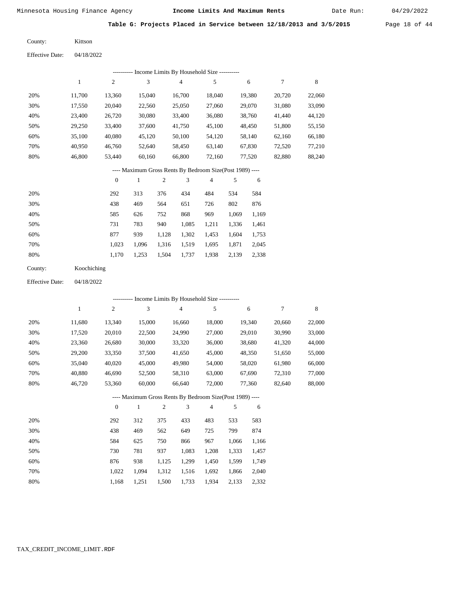Date Run:

**Table G: Projects Placed in Service between 12/18/2013 and 3/5/2015** Page 18 of 44

Kittson County:

04/18/2022 Effective Date:

| ---------- Income Limits By Household Size ---------- |        |                |        |        |        |        |        |        |  |  |  |
|-------------------------------------------------------|--------|----------------|--------|--------|--------|--------|--------|--------|--|--|--|
|                                                       |        | $\overline{c}$ | 3      | 4      | 5      | 6      | 7      | 8      |  |  |  |
| 20%                                                   | 11.700 | 13,360         | 15.040 | 16.700 | 18.040 | 19,380 | 20.720 | 22,060 |  |  |  |
| 30%                                                   | 17,550 | 20,040         | 22,560 | 25,050 | 27,060 | 29,070 | 31,080 | 33,090 |  |  |  |
| 40%                                                   | 23,400 | 26,720         | 30,080 | 33,400 | 36,080 | 38,760 | 41,440 | 44,120 |  |  |  |
| 50%                                                   | 29,250 | 33,400         | 37,600 | 41,750 | 45,100 | 48,450 | 51,800 | 55,150 |  |  |  |
| 60%                                                   | 35,100 | 40,080         | 45,120 | 50,100 | 54,120 | 58,140 | 62,160 | 66,180 |  |  |  |
| 70%                                                   | 40.950 | 46,760         | 52.640 | 58,450 | 63.140 | 67,830 | 72,520 | 77,210 |  |  |  |
| 80%                                                   | 46,800 | 53,440         | 60,160 | 66,800 | 72,160 | 77,520 | 82,880 | 88,240 |  |  |  |

#### ---- Maximum Gross Rents By Bedroom Size(Post 1989) ----

|     | $\mathbf{0}$ |       | 2     | 3     | 4     | 5     | 6     |
|-----|--------------|-------|-------|-------|-------|-------|-------|
| 20% | 292          | 313   | 376   | 434   | 484   | 534   | 584   |
| 30% | 438          | 469   | 564   | 651   | 726   | 802   | 876   |
| 40% | 585          | 626   | 752   | 868   | 969   | 1,069 | 1,169 |
| 50% | 731          | 783   | 940   | 1,085 | 1,211 | 1,336 | 1,461 |
| 60% | 877          | 939   | 1,128 | 1,302 | 1,453 | 1,604 | 1,753 |
| 70% | 1,023        | 1,096 | 1,316 | 1,519 | 1,695 | 1,871 | 2,045 |
| 80% | 1,170        | 1,253 | 1,504 | 1,737 | 1,938 | 2,139 | 2,338 |

| County: | Koochiching |
|---------|-------------|
|---------|-------------|

04/18/2022 Effective Date:

|     |        |                |        |                |                | ---------- Income Limits By Household Size ----------    |       |        |        |        |
|-----|--------|----------------|--------|----------------|----------------|----------------------------------------------------------|-------|--------|--------|--------|
|     | 1      | $\overline{c}$ | 3      |                | $\overline{4}$ | 5                                                        |       | 6      | 7      | 8      |
| 20% | 11,680 | 13,340         | 15,000 |                | 16,660         | 18,000                                                   |       | 19,340 | 20,660 | 22,000 |
| 30% | 17,520 | 20,010         | 22,500 |                | 24,990         | 27,000                                                   |       | 29,010 | 30,990 | 33,000 |
| 40% | 23,360 | 26,680         | 30,000 |                | 33,320         | 36,000                                                   |       | 38,680 | 41,320 | 44,000 |
| 50% | 29,200 | 33,350         | 37,500 |                | 41,650         | 45,000                                                   |       | 48,350 | 51,650 | 55,000 |
| 60% | 35,040 | 40,020         | 45,000 |                | 49,980         | 54,000                                                   |       | 58,020 | 61,980 | 66,000 |
| 70% | 40,880 | 46,690         | 52,500 |                | 58,310         | 63,000                                                   |       | 67,690 | 72,310 | 77,000 |
| 80% | 46,720 | 53,360         | 60,000 |                | 66,640         | 72,000                                                   |       | 77,360 | 82,640 | 88,000 |
|     |        |                |        |                |                | ---- Maximum Gross Rents By Bedroom Size(Post 1989) ---- |       |        |        |        |
|     |        | $\theta$       | 1      | $\overline{c}$ | 3              | $\overline{4}$                                           | 5     | 6      |        |        |
| 20% |        | 292            | 312    | 375            | 433            | 483                                                      | 533   | 583    |        |        |
| 30% |        | 438            | 469    | 562            | 649            | 725                                                      | 799   | 874    |        |        |
| 40% |        | 584            | 625    | 750            | 866            | 967                                                      | 1,066 | 1,166  |        |        |
| 50% |        | 730            | 781    | 937            | 1,083          | 1,208                                                    | 1,333 | 1,457  |        |        |
| 60% |        | 876            | 938    | 1,125          | 1,299          | 1,450                                                    | 1,599 | 1,749  |        |        |
| 70% |        | 1,022          | 1,094  | 1,312          | 1,516          | 1,692                                                    | 1,866 | 2,040  |        |        |

1,168

1,251

1,500

1,733

1,934

2,133

2,332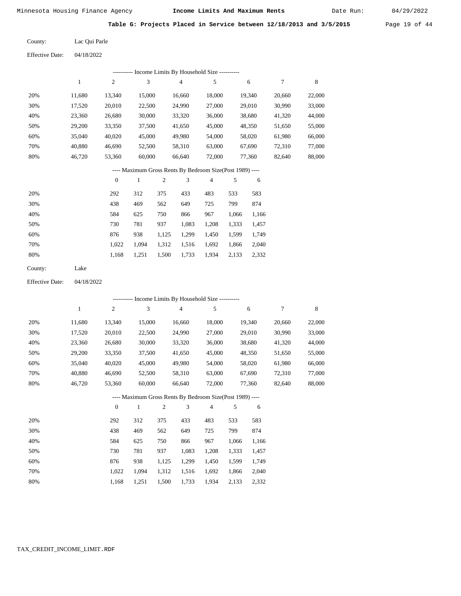Date Run:

Table G: Projects Placed in Service between 12/18/2013 and 3/5/2015 Page 19 of 44

| County: | Lac Qui Parle |
|---------|---------------|
|         |               |

Effective Date: 04/18/2022

|                        |              |                  |                  |                | --------- Income Limits By Household Size ----------     |        |        |        |                  |        |
|------------------------|--------------|------------------|------------------|----------------|----------------------------------------------------------|--------|--------|--------|------------------|--------|
|                        | $\mathbf{1}$ | $\mathfrak{2}$   | 3                |                | $\overline{4}$                                           | 5      |        | 6      | $\boldsymbol{7}$ | 8      |
| 20%                    | 11,680       | 13,340           | 15,000           |                | 16,660                                                   | 18,000 |        | 19,340 | 20,660           | 22,000 |
| 30%                    | 17,520       | 20,010           | 22,500           |                | 24,990                                                   | 27,000 |        | 29,010 | 30,990           | 33,000 |
| 40%                    | 23,360       | 26,680           | 30,000           |                | 33,320                                                   | 36,000 |        | 38,680 | 41,320           | 44,000 |
| 50%                    | 29,200       | 33,350           | 37,500           |                | 41,650                                                   | 45,000 |        | 48,350 | 51,650           | 55,000 |
| 60%                    | 35,040       | 40,020           | 45,000           |                | 49,980                                                   | 54,000 |        | 58,020 | 61,980           | 66,000 |
| 70%                    | 40,880       | 46,690           | 52,500           |                | 58,310                                                   | 63,000 |        | 67,690 | 72,310           | 77,000 |
| 80%                    | 46,720       | 53,360           | 60,000<br>66,640 |                | 72,000                                                   |        | 77,360 | 82,640 | 88,000           |        |
|                        |              |                  |                  |                | ---- Maximum Gross Rents By Bedroom Size(Post 1989) ---- |        |        |        |                  |        |
|                        |              | $\boldsymbol{0}$ | $\mathbf{1}$     | $\mathfrak{2}$ | 3                                                        | 4      | 5      | 6      |                  |        |
| 20%                    |              | 292              | 312              | 375            | 433                                                      | 483    | 533    | 583    |                  |        |
| 30%                    |              | 438              | 469              | 562            | 649                                                      | 725    | 799    | 874    |                  |        |
| 40%                    |              | 584              | 625              | 750            | 866                                                      | 967    | 1,066  | 1,166  |                  |        |
| 50%                    |              | 730              | 781              | 937            | 1,083                                                    | 1,208  | 1,333  | 1,457  |                  |        |
| 60%                    |              | 876              | 938              | 1,125          | 1,299                                                    | 1,450  | 1,599  | 1,749  |                  |        |
| 70%                    |              | 1,022            | 1,094            | 1,312          | 1,516                                                    | 1,692  | 1,866  | 2,040  |                  |        |
| 80%                    |              | 1,168            | 1,251            | 1,500          | 1,733                                                    | 1,934  | 2,133  | 2,332  |                  |        |
| County:                | Lake         |                  |                  |                |                                                          |        |        |        |                  |        |
| <b>Effective Date:</b> | 04/18/2022   |                  |                  |                |                                                          |        |        |        |                  |        |
|                        |              |                  |                  |                | --------- Income Limits By Household Size ----------     |        |        |        |                  |        |
|                        | $\mathbf{1}$ | $\mathfrak{2}$   | 3                |                | $\overline{4}$                                           | 5      |        | 6      | 7                | 8      |
| 20%                    | 11,680       | 13,340           | 15,000           |                | 16,660                                                   | 18,000 |        | 19,340 | 20,660           | 22,000 |
| 30%                    | 17,520       | 20,010           | 22,500           |                | 24,990                                                   | 27,000 |        | 29,010 | 30,990           | 33,000 |
| 40%                    | 23,360       | 26,680           | 30,000           |                | 33,320                                                   | 36,000 |        | 38,680 | 41,320           | 44,000 |
| 50%                    | 29,200       | 33,350           | 37,500           |                | 41,650                                                   | 45,000 |        | 48,350 | 51,650           | 55,000 |
| 60%                    | 35,040       | 40,020           | 45,000           |                | 49,980                                                   | 54,000 |        | 58,020 | 61,980           | 66,000 |
| 70%                    | 40,880       | 46,690           | 52,500           |                | 58,310                                                   | 63,000 |        | 67,690 | 72,310           | 77,000 |
| 80%                    | 46,720       | 53,360           | 60,000           |                | 66,640                                                   | 72,000 |        | 77,360 | 82,640           | 88,000 |
|                        |              |                  |                  |                | ---- Maximum Gross Rents By Bedroom Size(Post 1989) ---- |        |        |        |                  |        |
|                        |              | $\boldsymbol{0}$ | $\mathbf{1}$     | $\sqrt{2}$     | 3                                                        | 4      | 5      | 6      |                  |        |
| 20%                    |              | 292              | 312              | 375            | 433                                                      | 483    | 533    | 583    |                  |        |
| 30%                    |              | 438              | 469              | 562            | 649                                                      | 725    | 799    | 874    |                  |        |
| 40%                    |              | 584              | 625              | 750            | 866                                                      | 967    | 1,066  | 1,166  |                  |        |
| 50%                    |              | 730              | 781              | 937            | 1,083                                                    | 1,208  | 1,333  | 1,457  |                  |        |
| 60%                    |              | 876              | 938              | 1,125          | 1,299                                                    | 1,450  | 1,599  | 1,749  |                  |        |
| 70%                    |              | 1,022            | 1,094            | 1,312          | 1,516                                                    | 1,692  | 1,866  | 2,040  |                  |        |
| 80%                    |              | 1,168            | 1,251            | 1,500          | 1,733                                                    | 1,934  | 2,133  | 2,332  |                  |        |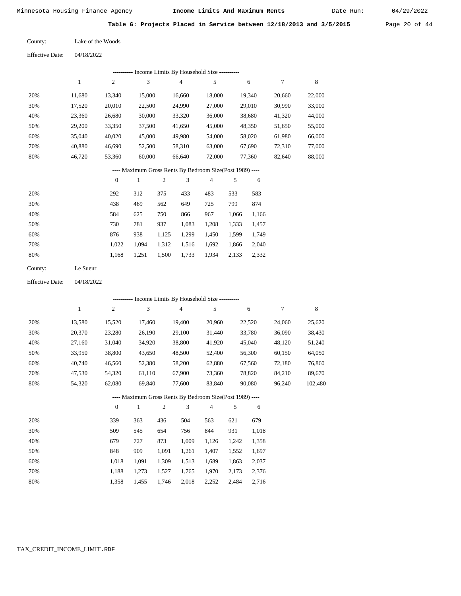Date Run:

**Table G: Projects Placed in Service between 12/18/2013 and 3/5/2015** Page 20 of 44

Effective Date: 04/18/2022

| ---------- Income Limits By Household Size ---------- |              |          |        |                                                          |                |       |        |        |        |  |
|-------------------------------------------------------|--------------|----------|--------|----------------------------------------------------------|----------------|-------|--------|--------|--------|--|
|                                                       | $\mathbf{1}$ | 2        | 3      | 4                                                        | 5              |       | 6      | 7      | 8      |  |
| 20%                                                   | 11,680       | 13,340   | 15,000 | 16,660                                                   | 18,000         |       | 19,340 | 20,660 | 22,000 |  |
| 30%                                                   | 17,520       | 20,010   | 22,500 | 24,990                                                   | 27,000         |       | 29,010 | 30,990 | 33,000 |  |
| 40%                                                   | 23,360       | 26,680   | 30,000 | 33,320                                                   | 36,000         |       | 38,680 | 41,320 | 44,000 |  |
| 50%                                                   | 29,200       | 33,350   | 37,500 | 41,650                                                   | 45,000         |       | 48,350 | 51,650 | 55,000 |  |
| 60%                                                   | 35,040       | 40,020   | 45,000 | 49,980                                                   | 54,000         |       | 58,020 | 61,980 | 66,000 |  |
| 70%                                                   | 40,880       | 46,690   | 52,500 | 58,310                                                   | 63,000         |       | 67,690 | 72,310 | 77,000 |  |
| 80%                                                   | 46,720       | 53,360   | 60,000 | 66,640                                                   | 72,000         |       | 77,360 | 82,640 | 88,000 |  |
|                                                       |              |          |        | ---- Maximum Gross Rents By Bedroom Size(Post 1989) ---- |                |       |        |        |        |  |
|                                                       |              | $\theta$ | 1      | 3<br>$\overline{2}$                                      | $\overline{4}$ | 5     | 6      |        |        |  |
| 20%                                                   |              | 292      | 312    | 375<br>433                                               | 483            | 533   | 583    |        |        |  |
| 30%                                                   |              | 438      | 469    | 649<br>562                                               | 725            | 799   | 874    |        |        |  |
| 40%                                                   |              | 584      | 625    | 750<br>866                                               | 967            | 1,066 | 1,166  |        |        |  |

| 50% | 730   | 781 937 1,083 1,208 1,333 1,457           |  |  |  |
|-----|-------|-------------------------------------------|--|--|--|
| 60% | 876 — | 938 1,125 1,299 1,450 1,599 1,749         |  |  |  |
| 70% |       | 1,022 1,094 1,312 1,516 1,692 1,866 2,040 |  |  |  |
| 80% |       | 1,168 1,251 1,500 1,733 1,934 2,133 2,332 |  |  |  |
|     |       |                                           |  |  |  |

| County: | Le Sueur |
|---------|----------|
|---------|----------|

Effective Date: 04/18/2022

|                  | ---------- Income Limits By Household Size ---------- |          |        |     |        |                                                          |     |        |        |         |  |  |
|------------------|-------------------------------------------------------|----------|--------|-----|--------|----------------------------------------------------------|-----|--------|--------|---------|--|--|
|                  | 1                                                     | 2        | 3      |     | 4      | 5                                                        |     | 6      | 7      | 8       |  |  |
| 20%              | 13,580                                                | 15,520   | 17,460 |     | 19,400 | 20,960                                                   |     | 22,520 | 24,060 | 25,620  |  |  |
| 30%              | 20,370                                                | 23,280   | 26,190 |     | 29,100 | 31,440                                                   |     | 33,780 | 36,090 | 38,430  |  |  |
| 40%              | 27,160                                                | 31,040   | 34,920 |     | 38,800 | 41,920                                                   |     | 45,040 | 48,120 | 51,240  |  |  |
| 50%              | 33,950                                                | 38,800   | 43,650 |     | 48,500 | 52,400                                                   |     | 56,300 | 60,150 | 64,050  |  |  |
| 60%              | 40,740                                                | 46,560   | 52,380 |     | 58,200 | 62,880                                                   |     | 67,560 | 72,180 | 76,860  |  |  |
| 70%              | 47,530                                                | 54,320   | 61,110 |     | 67,900 | 73,360                                                   |     | 78,820 | 84,210 | 89,670  |  |  |
| 80%              | 54,320                                                | 62,080   | 69,840 |     | 77,600 | 83,840                                                   |     | 90,080 | 96,240 | 102,480 |  |  |
|                  |                                                       |          |        |     |        | ---- Maximum Gross Rents By Bedroom Size(Post 1989) ---- |     |        |        |         |  |  |
|                  |                                                       | $\theta$ | 1      | 2   | 3      | 4                                                        | 5   | 6      |        |         |  |  |
| 200 <sub>4</sub> |                                                       | 220      | 262    | 126 | 504    | 562                                                      | 621 | 670    |        |         |  |  |

| 20% | 339   | 363   | 436   | 504   | 563   | 621   | 679   |
|-----|-------|-------|-------|-------|-------|-------|-------|
| 30% | 509   | 545   | 654   | 756   | 844   | 931   | 1,018 |
| 40% | 679   | 727   | 873   | 1.009 | 1.126 | 1.242 | 1,358 |
| 50% | 848   | 909   | 1.091 | 1.261 | 1.407 | 1.552 | 1,697 |
| 60% | 1.018 | 1.091 | 1.309 | 1,513 | 1,689 | 1,863 | 2,037 |
| 70% | 1.188 | 1.273 | 1.527 | 1.765 | 1,970 | 2.173 | 2,376 |
| 80% | 1.358 | 1.455 | 1,746 | 2.018 | 2,252 | 2.484 | 2,716 |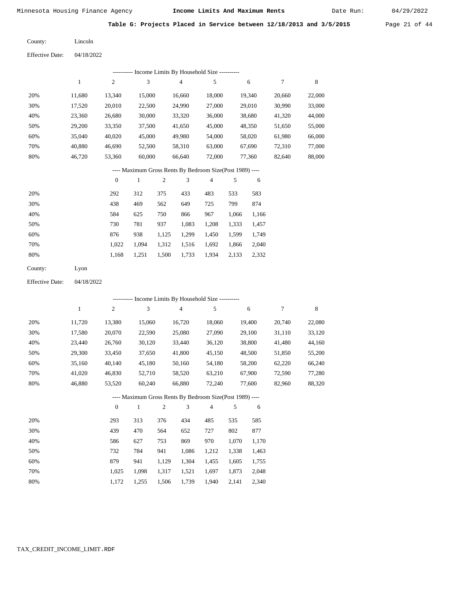Date Run:

**Table G: Projects Placed in Service between 12/18/2013 and 3/5/2015** Page 21 of 44

| County: | Lincoln |
|---------|---------|
|         |         |

| <b>Effective Date:</b> | 04/18/2022 |
|------------------------|------------|
|                        |            |

| -- Income Limits By Household Size ---------- |        |                |        |        |        |        |        |        |  |  |  |
|-----------------------------------------------|--------|----------------|--------|--------|--------|--------|--------|--------|--|--|--|
|                                               |        | $\overline{c}$ | 3      | 4      | 5      | 6      |        | 8      |  |  |  |
| 20%                                           | 11.680 | 13.340         | 15,000 | 16.660 | 18,000 | 19.340 | 20,660 | 22,000 |  |  |  |
| 30%                                           | 17,520 | 20,010         | 22,500 | 24,990 | 27,000 | 29,010 | 30,990 | 33,000 |  |  |  |
| 40%                                           | 23,360 | 26,680         | 30,000 | 33,320 | 36,000 | 38,680 | 41,320 | 44,000 |  |  |  |
| 50%                                           | 29,200 | 33,350         | 37,500 | 41,650 | 45,000 | 48,350 | 51,650 | 55,000 |  |  |  |
| 60%                                           | 35,040 | 40,020         | 45,000 | 49,980 | 54,000 | 58,020 | 61,980 | 66,000 |  |  |  |
| 70%                                           | 40.880 | 46,690         | 52,500 | 58,310 | 63,000 | 67,690 | 72.310 | 77,000 |  |  |  |
| 80%                                           | 46,720 | 53,360         | 60,000 | 66,640 | 72,000 | 77,360 | 82,640 | 88,000 |  |  |  |
|                                               |        |                |        |        |        |        |        |        |  |  |  |

### ---- Maximum Gross Rents By Bedroom Size(Post 1989) ----

|     | $\mathbf{0}$ |       | 2     | 3     | 4     | 5     | 6     |
|-----|--------------|-------|-------|-------|-------|-------|-------|
| 20% | 292          | 312   | 375   | 433   | 483   | 533   | 583   |
| 30% | 438          | 469   | 562   | 649   | 725   | 799   | 874   |
| 40% | 584          | 625   | 750   | 866   | 967   | 1,066 | 1,166 |
| 50% | 730          | 781   | 937   | 1,083 | 1,208 | 1,333 | 1,457 |
| 60% | 876          | 938   | 1,125 | 1,299 | 1,450 | 1,599 | 1,749 |
| 70% | 1.022        | 1.094 | 1,312 | 1,516 | 1,692 | 1,866 | 2,040 |
| 80% | 1,168        | 1,251 | 1,500 | 1,733 | 1,934 | 2,133 | 2,332 |
|     |              |       |       |       |       |       |       |

Lyon County:

04/18/2022 Effective Date:

|     |              |                |              |                | ---------- Income Limits By Household Size ----------    |                |       |        |        |        |
|-----|--------------|----------------|--------------|----------------|----------------------------------------------------------|----------------|-------|--------|--------|--------|
|     | $\mathbf{1}$ | $\overline{c}$ | 3            |                | $\overline{4}$                                           | 5              |       | 6      | 7      | 8      |
| 20% | 11,720       | 13,380         | 15,060       |                | 16,720                                                   | 18,060         |       | 19,400 | 20,740 | 22,080 |
| 30% | 17,580       | 20,070         | 22,590       |                | 25,080                                                   | 27,090         |       | 29,100 | 31,110 | 33,120 |
| 40% | 23,440       | 26,760         | 30,120       |                | 33,440                                                   | 36,120         |       | 38,800 | 41,480 | 44,160 |
| 50% | 29,300       | 33,450         | 37,650       |                | 41,800                                                   | 45,150         |       | 48,500 | 51,850 | 55,200 |
| 60% | 35,160       | 40,140         | 45,180       |                | 50,160                                                   | 54,180         |       | 58,200 | 62,220 | 66,240 |
| 70% | 41,020       | 46,830         | 52,710       |                | 58,520                                                   | 63,210         |       | 67,900 | 72,590 | 77,280 |
| 80% | 46,880       | 53,520         | 60,240       |                | 66,880                                                   | 72,240         |       | 77,600 | 82,960 | 88,320 |
|     |              |                |              |                | ---- Maximum Gross Rents By Bedroom Size(Post 1989) ---- |                |       |        |        |        |
|     |              | $\overline{0}$ | $\mathbf{1}$ | $\mathfrak{2}$ | 3                                                        | $\overline{4}$ | 5     | 6      |        |        |
| 20% |              | 293            | 313          | 376            | 434                                                      | 485            | 535   | 585    |        |        |
| 30% |              | 439            | 470          | 564            | 652                                                      | 727            | 802   | 877    |        |        |
| 40% |              | 586            | 627          | 753            | 869                                                      | 970            | 1,070 | 1,170  |        |        |
| 50% |              | 732            | 784          | 941            | 1,086                                                    | 1,212          | 1,338 | 1,463  |        |        |
| 60% |              | 879            | 941          | 1,129          | 1,304                                                    | 1,455          | 1,605 | 1,755  |        |        |

 1,025 1,172

 1,098 1,255  1,317 1,506

 1,521 1,739  1,697 1,940  1,873 2,141  2,048 2,340

 70% 80%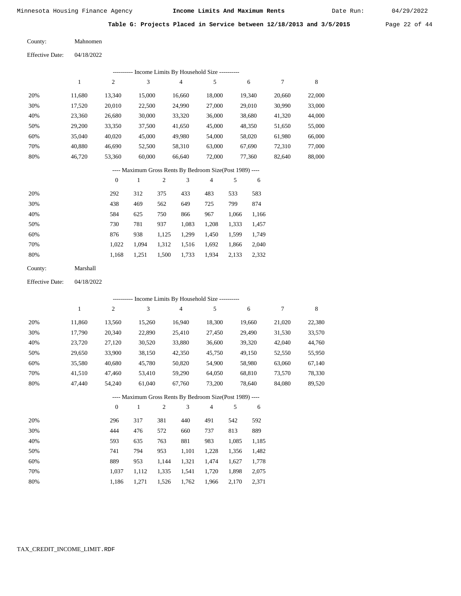Date Run:

**Table G: Projects Placed in Service between 12/18/2013 and 3/5/2015** Page 22 of 44

| County: | Mahnomen |
|---------|----------|
|         |          |

Effective Date: 04/18/2022

|     |        |                  |        |                | ---------- Income Limits By Household Size ----------    |                |       |        |        |        |
|-----|--------|------------------|--------|----------------|----------------------------------------------------------|----------------|-------|--------|--------|--------|
|     | 1      | $\overline{c}$   | 3      |                | $\overline{4}$                                           | 5              |       | 6      | 7      | 8      |
| 20% | 11,680 | 13,340           | 15,000 |                | 16,660                                                   | 18,000         |       | 19,340 | 20,660 | 22,000 |
| 30% | 17,520 | 20,010           | 22,500 |                | 24,990                                                   | 27,000         |       | 29,010 | 30,990 | 33,000 |
| 40% | 23,360 | 26,680           | 30,000 |                | 33,320                                                   | 36,000         |       | 38,680 | 41,320 | 44,000 |
| 50% | 29,200 | 33,350           | 37,500 |                | 41,650                                                   | 45,000         |       | 48,350 | 51,650 | 55,000 |
| 60% | 35,040 | 40,020           | 45,000 |                | 49,980                                                   | 54,000         |       | 58,020 | 61,980 | 66,000 |
| 70% | 40,880 | 46,690           | 52,500 |                | 58,310                                                   | 63,000         |       | 67,690 | 72,310 | 77,000 |
| 80% | 46,720 | 53,360           | 60,000 |                | 66,640                                                   | 72,000         |       | 77,360 | 82,640 | 88,000 |
|     |        |                  |        |                | ---- Maximum Gross Rents By Bedroom Size(Post 1989) ---- |                |       |        |        |        |
|     |        | $\boldsymbol{0}$ | 1      | $\overline{c}$ | 3                                                        | $\overline{4}$ | 5     | 6      |        |        |
| 20% |        | 292              | 312    | 375            | 433                                                      | 483            | 533   | 583    |        |        |
| 30% |        | 438              | 469    | 562            | 649                                                      | 725            | 799   | 874    |        |        |
| 40% |        | 584              | 625    | 750            | 866                                                      | 967            | 1,066 | 1,166  |        |        |
| 50% |        | 730              | 781    | 937            | 1,083                                                    | 1,208          | 1,333 | 1,457  |        |        |

| 60% | 876 | 938 1.125 1.299 1.450 1.599 1.749         |  |  |  |
|-----|-----|-------------------------------------------|--|--|--|
| 70% |     | 1,022 1,094 1,312 1,516 1,692 1,866 2,040 |  |  |  |
| 80% |     | 1,168 1,251 1,500 1,733 1,934 2,133 2,332 |  |  |  |

| Marshall |
|----------|
|          |

Effective Date: 04/18/2022

|     |        |                  |              |                |                | ---------- Income Limits By Household Size ----------    |       |        |        |             |
|-----|--------|------------------|--------------|----------------|----------------|----------------------------------------------------------|-------|--------|--------|-------------|
|     | 1      | $\boldsymbol{2}$ | 3            |                | $\overline{4}$ | 5                                                        |       | 6      | 7      | $\,$ 8 $\,$ |
| 20% | 11,860 | 13,560           | 15,260       |                | 16,940         | 18,300                                                   |       | 19,660 | 21,020 | 22,380      |
| 30% | 17,790 | 20,340           | 22,890       |                | 25,410         | 27,450                                                   |       | 29,490 | 31,530 | 33,570      |
| 40% | 23,720 | 27,120           | 30,520       |                | 33,880         | 36,600                                                   |       | 39,320 | 42,040 | 44,760      |
| 50% | 29,650 | 33,900           | 38,150       |                | 42,350         | 45,750                                                   |       | 49,150 | 52,550 | 55,950      |
| 60% | 35,580 | 40,680           | 45,780       |                | 50,820         | 54,900                                                   |       | 58,980 | 63,060 | 67,140      |
| 70% | 41,510 | 47,460           | 53,410       |                | 59,290         | 64,050                                                   |       | 68,810 | 73,570 | 78,330      |
| 80% | 47,440 | 54,240           | 61,040       |                | 67,760         | 73,200                                                   |       | 78,640 | 84,080 | 89,520      |
|     |        |                  |              |                |                | ---- Maximum Gross Rents By Bedroom Size(Post 1989) ---- |       |        |        |             |
|     |        | $\theta$         | $\mathbf{1}$ | $\overline{2}$ | 3              | $\overline{4}$                                           | 5     | 6      |        |             |
| 20% |        | 296              | 317          | 381            | 440            | 491                                                      | 542   | 592    |        |             |
| 30% |        | 444              | 476          | 572            | 660            | 737                                                      | 813   | 889    |        |             |
| 40% |        | 593              | 635          | 763            | 881            | 983                                                      | 1,085 | 1,185  |        |             |
| 50% |        | 741              | 794          | 953            | 1,101          | 1,228                                                    | 1,356 | 1,482  |        |             |
| 60% |        | 889              | 953          | 1,144          | 1,321          | 1,474                                                    | 1,627 | 1,778  |        |             |
| 70% |        | 1,037            | 1,112        | 1,335          | 1,541          | 1,720                                                    | 1,898 | 2,075  |        |             |

 1,037 1,112 1,335 1,541 1,720 1,898 2,075 1,186 1,271 1,526 1,762 1,966 2,170 2,371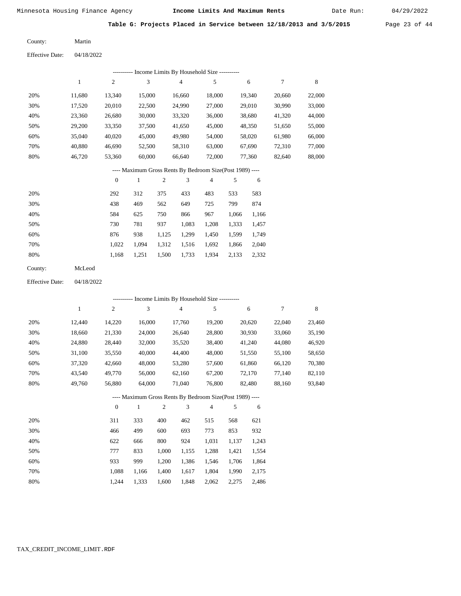Date Run:

**Table G: Projects Placed in Service between 12/18/2013 and 3/5/2015** Page 23 of 44

Martin County:

Effective Date: 04/18/2022

|                                                          |              |              |              |                  | --------- Income Limits By Household Size ---------- |        |       |        |        |        |  |
|----------------------------------------------------------|--------------|--------------|--------------|------------------|------------------------------------------------------|--------|-------|--------|--------|--------|--|
|                                                          | $\mathbf{1}$ | 2            | 3            |                  | $\overline{4}$                                       | 5      |       | 6      | 7      | 8      |  |
| 20%                                                      | 11,680       | 13,340       | 15,000       |                  | 16,660                                               | 18,000 |       | 19,340 | 20,660 | 22,000 |  |
| 30%                                                      | 17,520       | 20,010       | 22,500       |                  | 24,990                                               | 27,000 |       | 29,010 | 30,990 | 33,000 |  |
| 40%                                                      | 23,360       | 26,680       | 30,000       |                  | 33,320                                               | 36,000 |       | 38,680 | 41,320 | 44,000 |  |
| 50%                                                      | 29,200       | 33,350       | 37,500       |                  | 41,650                                               | 45,000 |       | 48,350 | 51,650 | 55,000 |  |
| 60%                                                      | 35,040       | 40,020       | 45,000       |                  | 49,980                                               | 54,000 |       | 58,020 | 61,980 | 66,000 |  |
| 70%                                                      | 40,880       | 46,690       | 52,500       |                  | 58,310                                               | 63,000 |       | 67,690 | 72,310 | 77,000 |  |
| 80%                                                      | 46,720       | 53,360       | 60,000       |                  | 66,640                                               | 72,000 |       | 77,360 | 82,640 | 88,000 |  |
| ---- Maximum Gross Rents By Bedroom Size(Post 1989) ---- |              |              |              |                  |                                                      |        |       |        |        |        |  |
|                                                          |              | $\mathbf{0}$ | $\mathbf{1}$ | $\boldsymbol{2}$ | 3                                                    | 4      | 5     | 6      |        |        |  |
| 20%                                                      |              | 292          | 312          | 375              | 433                                                  | 483    | 533   | 583    |        |        |  |
| 30%                                                      |              | 438          | 469          | 562              | 649                                                  | 725    | 799   | 874    |        |        |  |
| 40%                                                      |              | 584          | 625          | 750              | 866                                                  | 967    | 1,066 | 1,166  |        |        |  |
| 50%                                                      |              | 730          | 781          | 937              | 1,083                                                | 1,208  | 1,333 | 1,457  |        |        |  |
| 60%                                                      |              | 876          | 938          | 1,125            | 1,299                                                | 1,450  | 1,599 | 1,749  |        |        |  |
| 70%                                                      |              | 1,022        | 1,094        | 1,312            | 1,516                                                | 1,692  | 1,866 | 2,040  |        |        |  |
| 80%                                                      |              | 1,168        | 1,251        | 1,500            | 1,733                                                | 1,934  | 2,133 | 2,332  |        |        |  |
| County:                                                  | McLeod       |              |              |                  |                                                      |        |       |        |        |        |  |

Effective Date: 04/18/2022

|     | --------- Income Limits By Household Size ---------- |                |              |                |                |                                                          |       |        |        |        |  |  |  |
|-----|------------------------------------------------------|----------------|--------------|----------------|----------------|----------------------------------------------------------|-------|--------|--------|--------|--|--|--|
|     | 1                                                    | $\overline{c}$ | 3            |                | $\overline{4}$ | 5                                                        |       | 6      | $\tau$ | 8      |  |  |  |
| 20% | 12,440                                               | 14,220         | 16,000       |                | 17,760         | 19,200                                                   |       | 20,620 | 22,040 | 23,460 |  |  |  |
| 30% | 18,660                                               | 21,330         | 24,000       |                | 26,640         | 28,800                                                   |       | 30,930 | 33,060 | 35,190 |  |  |  |
| 40% | 24,880                                               | 28,440         | 32,000       |                | 35,520         | 38,400                                                   |       | 41,240 | 44,080 | 46,920 |  |  |  |
| 50% | 31,100                                               | 35,550         | 40,000       |                | 44,400         | 48,000                                                   |       | 51,550 | 55,100 | 58,650 |  |  |  |
| 60% | 37,320                                               | 42,660         | 48,000       |                | 53,280         | 57,600                                                   |       | 61,860 | 66,120 | 70,380 |  |  |  |
| 70% | 43,540                                               | 49,770         | 56,000       |                | 62,160         | 67,200                                                   |       | 72,170 | 77,140 | 82,110 |  |  |  |
| 80% | 49,760                                               | 56,880         | 64,000       |                | 71,040         | 76,800                                                   |       | 82,480 | 88,160 | 93,840 |  |  |  |
|     |                                                      |                |              |                |                | ---- Maximum Gross Rents By Bedroom Size(Post 1989) ---- |       |        |        |        |  |  |  |
|     |                                                      | $\overline{0}$ | $\mathbf{1}$ | $\mathfrak{2}$ | 3              | $\overline{4}$                                           | 5     | 6      |        |        |  |  |  |
| 20% |                                                      | 311            | 333          | 400            | 462            | 515                                                      | 568   | 621    |        |        |  |  |  |
| 30% |                                                      | 466            | 499          | 600            | 693            | 773                                                      | 853   | 932    |        |        |  |  |  |
| 40% |                                                      | 622            | 666          | 800            | 924            | 1,031                                                    | 1,137 | 1,243  |        |        |  |  |  |
| 50% |                                                      | 777            | 833          | 1,000          | 1,155          | 1,288                                                    | 1,421 | 1,554  |        |        |  |  |  |
| 60% |                                                      | 933            | 999          | 1,200          | 1,386          | 1,546                                                    | 1,706 | 1,864  |        |        |  |  |  |
| 70% |                                                      | 1,088          | 1,166        | 1,400          | 1,617          | 1,804                                                    | 1,990 | 2,175  |        |        |  |  |  |

1,244 1,333 1,600 1,848 2,062 2,275 2,486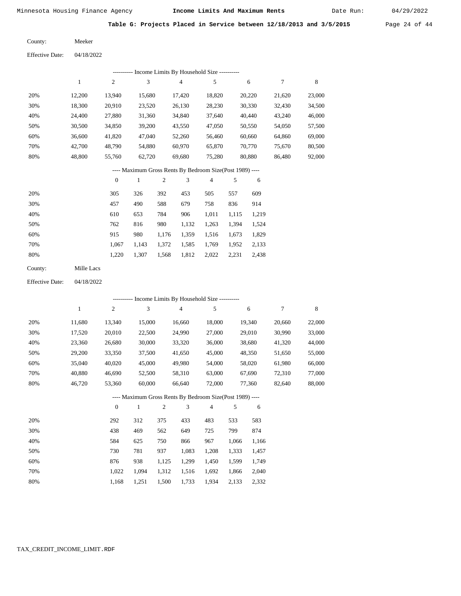Date Run:

**Table G: Projects Placed in Service between 12/18/2013 and 3/5/2015** Page 24 of 44

| Meeker |  |
|--------|--|

04/18/2022 Effective Date:

County:

|     | Income Limits By Household Size ----------<br>----------- |        |        |        |        |        |        |        |  |  |  |  |  |  |
|-----|-----------------------------------------------------------|--------|--------|--------|--------|--------|--------|--------|--|--|--|--|--|--|
|     | 1                                                         | 2      | 3      | 4      | 5      | 6      | 7      | 8      |  |  |  |  |  |  |
| 20% | 12.200                                                    | 13.940 | 15.680 | 17.420 | 18,820 | 20,220 | 21,620 | 23,000 |  |  |  |  |  |  |
| 30% | 18,300                                                    | 20,910 | 23,520 | 26,130 | 28,230 | 30,330 | 32,430 | 34,500 |  |  |  |  |  |  |
| 40% | 24,400                                                    | 27,880 | 31,360 | 34,840 | 37.640 | 40,440 | 43,240 | 46,000 |  |  |  |  |  |  |
| 50% | 30,500                                                    | 34,850 | 39,200 | 43,550 | 47,050 | 50,550 | 54,050 | 57,500 |  |  |  |  |  |  |
| 60% | 36.600                                                    | 41,820 | 47,040 | 52,260 | 56.460 | 60,660 | 64,860 | 69,000 |  |  |  |  |  |  |
| 70% | 42,700                                                    | 48,790 | 54,880 | 60,970 | 65,870 | 70,770 | 75.670 | 80,500 |  |  |  |  |  |  |
| 80% | 48,800                                                    | 55,760 | 62,720 | 69,680 | 75,280 | 80,880 | 86,480 | 92,000 |  |  |  |  |  |  |
|     |                                                           |        |        |        |        |        |        |        |  |  |  |  |  |  |

#### ---- Maximum Gross Rents By Bedroom Size(Post 1989) ----

|     | $\mathbf{0}$ |       | 2     | 3     | 4     | 5     | 6     |
|-----|--------------|-------|-------|-------|-------|-------|-------|
| 20% | 305          | 326   | 392   | 453   | 505   | 557   | 609   |
| 30% | 457          | 490   | 588   | 679   | 758   | 836   | 914   |
| 40% | 610          | 653   | 784   | 906   | 1,011 | 1,115 | 1,219 |
| 50% | 762          | 816   | 980   | 1,132 | 1,263 | 1,394 | 1,524 |
| 60% | 915          | 980   | 1,176 | 1,359 | 1,516 | 1,673 | 1,829 |
| 70% | 1.067        | 1.143 | 1,372 | 1,585 | 1,769 | 1,952 | 2,133 |
| 80% | 1,220        | 1,307 | 1,568 | 1,812 | 2,022 | 2,231 | 2,438 |
|     |              |       |       |       |       |       |       |

04/18/2022 Effective Date:

|     |        |          |        |                |                | ---------- Income Limits By Household Size ----------    |       |        |        |        |
|-----|--------|----------|--------|----------------|----------------|----------------------------------------------------------|-------|--------|--------|--------|
|     | 1      | 2        | 3      |                | $\overline{4}$ | 5                                                        |       | 6      | 7      | 8      |
| 20% | 11,680 | 13,340   | 15,000 |                | 16,660         | 18,000                                                   |       | 19,340 | 20,660 | 22,000 |
| 30% | 17,520 | 20,010   | 22,500 |                | 24,990         | 27,000                                                   |       | 29,010 | 30,990 | 33,000 |
| 40% | 23,360 | 26,680   | 30,000 |                | 33,320         | 36,000                                                   |       | 38,680 | 41,320 | 44,000 |
| 50% | 29,200 | 33,350   | 37,500 |                | 41,650         | 45,000                                                   |       | 48,350 | 51,650 | 55,000 |
| 60% | 35,040 | 40,020   | 45,000 |                | 49,980         | 54,000                                                   |       | 58,020 | 61,980 | 66,000 |
| 70% | 40,880 | 46,690   | 52,500 |                | 58,310         | 63,000                                                   |       | 67,690 | 72,310 | 77,000 |
| 80% | 46,720 | 53,360   | 60,000 |                | 66,640         | 72,000                                                   |       | 77,360 | 82,640 | 88,000 |
|     |        |          |        |                |                | ---- Maximum Gross Rents By Bedroom Size(Post 1989) ---- |       |        |        |        |
|     |        | $\theta$ | 1      | $\overline{2}$ | 3              | $\overline{4}$                                           | 5     | 6      |        |        |
| 20% |        | 292      | 312    | 375            | 433            | 483                                                      | 533   | 583    |        |        |
| 30% |        | 438      | 469    | 562            | 649            | 725                                                      | 799   | 874    |        |        |
| 40% |        | 584      | 625    | 750            | 866            | 967                                                      | 1,066 | 1,166  |        |        |
| 50% |        | 730      | 781    | 937            | 1,083          | 1,208                                                    | 1,333 | 1,457  |        |        |
| 60% |        | 876      | 938    | 1,125          | 1,299          | 1,450                                                    | 1,599 | 1,749  |        |        |
| 70% |        | 1,022    | 1,094  | 1,312          | 1,516          | 1,692                                                    | 1,866 | 2,040  |        |        |

1,500 1,733

1,934 2,133 2,332

1,168

1,251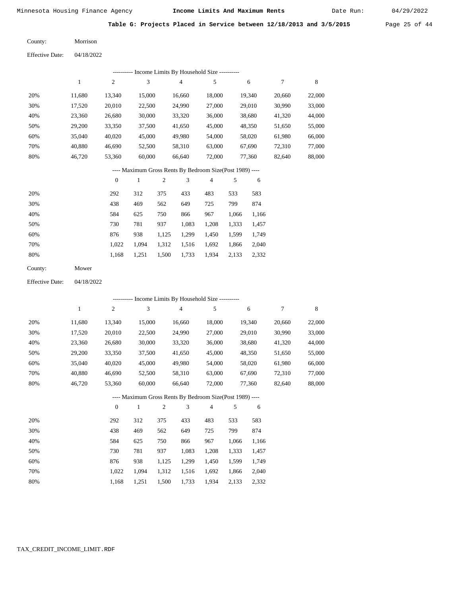Morrison

Minnesota Housing Finance Agency **Income Limits And Maximum Rents** 04/29/2022

Date Run:

**Table G: Projects Placed in Service between 12/18/2013 and 3/5/2015** Page 25 of 44

Effective Date: 04/18/2022

County:

|                        |            |                  |                |            |                | --------- Income Limits By Household Size ----------     |            |        |                  |             |
|------------------------|------------|------------------|----------------|------------|----------------|----------------------------------------------------------|------------|--------|------------------|-------------|
|                        | $\,1\,$    | $\mathfrak{2}$   | $\mathfrak{Z}$ |            | $\overline{4}$ | 5                                                        |            | 6      | 7                | $\,$ 8 $\,$ |
| 20%                    | 11,680     | 13,340           | 15,000         |            | 16,660         | 18,000                                                   |            | 19,340 | 20,660           | 22,000      |
| 30%                    | 17,520     | 20,010           | 22,500         |            | 24,990         | 27,000                                                   |            | 29,010 | 30,990           | 33,000      |
| 40%                    | 23,360     | 26,680           | 30,000         |            | 33,320         | 36,000                                                   |            | 38,680 | 41,320           | 44,000      |
| 50%                    | 29,200     | 33,350           | 37,500         |            | 41,650         | 45,000                                                   |            | 48,350 | 51,650           | 55,000      |
| 60%                    | 35,040     | 40,020           | 45,000         |            | 49,980         | 54,000                                                   |            | 58,020 | 61,980           | 66,000      |
| 70%                    | 40,880     | 46,690           | 52,500         |            | 58,310         | 63,000                                                   |            | 67,690 | 72,310           | 77,000      |
| 80%                    | 46,720     | 53,360           | 60,000         |            | 66,640         | 72,000                                                   |            | 77,360 | 82,640           | 88,000      |
|                        |            |                  |                |            |                | ---- Maximum Gross Rents By Bedroom Size(Post 1989) ---- |            |        |                  |             |
|                        |            | $\boldsymbol{0}$ | $\mathbf{1}$   | $\sqrt{2}$ | 3              | 4                                                        | $\sqrt{5}$ | 6      |                  |             |
| 20%                    |            | 292              | 312            | 375        | 433            | 483                                                      | 533        | 583    |                  |             |
| 30%                    |            | 438              | 469            | 562        | 649            | 725                                                      | 799        | 874    |                  |             |
| 40%                    |            | 584              | 625            | 750        | 866            | 967                                                      | 1,066      | 1,166  |                  |             |
| 50%                    |            | 730              | 781            | 937        | 1,083          | 1,208                                                    | 1,333      | 1,457  |                  |             |
| 60%                    |            | 876              | 938            | 1,125      | 1,299          | 1,450                                                    | 1,599      | 1,749  |                  |             |
| 70%                    |            | 1,022            | 1,094          | 1,312      | 1,516          | 1,692                                                    | 1,866      | 2,040  |                  |             |
| 80%                    |            | 1,168            | 1,251          | 1,500      | 1,733          | 1,934                                                    | 2,133      | 2,332  |                  |             |
| County:                | Mower      |                  |                |            |                |                                                          |            |        |                  |             |
| <b>Effective Date:</b> | 04/18/2022 |                  |                |            |                |                                                          |            |        |                  |             |
|                        |            |                  |                |            |                | --------- Income Limits By Household Size ----------     |            |        |                  |             |
|                        | $\,1$      | $\mathfrak{2}$   | 3              |            | 4              | $\mathfrak s$                                            |            | 6      | $\boldsymbol{7}$ | $\,$ 8 $\,$ |
| 20%                    | 11,680     | 13,340           | 15,000         |            | 16,660         | 18,000                                                   |            | 19,340 | 20,660           | 22,000      |
| 30%                    | 17,520     | 20,010           | 22,500         |            | 24,990         | 27,000                                                   |            | 29,010 | 30,990           | 33,000      |
| 40%                    | 23,360     | 26,680           | 30,000         |            | 33,320         | 36,000                                                   |            | 38,680 | 41,320           | 44,000      |
| 50%                    | 29,200     | 33,350           | 37,500         |            | 41,650         | 45,000                                                   |            | 48,350 | 51,650           | 55,000      |
| 60%                    | 35,040     | 40,020           | 45,000         |            | 49,980         | 54,000                                                   |            | 58,020 | 61,980           | 66,000      |
| 70%                    | 40,880     | 46,690           | 52,500         |            | 58,310         | 63,000                                                   |            | 67,690 | 72,310           | 77,000      |
| 80%                    | 46,720     | 53,360           | 60,000         |            | 66,640         | 72,000                                                   |            | 77,360 | 82,640           | 88,000      |
|                        |            |                  |                |            |                | ---- Maximum Gross Rents By Bedroom Size(Post 1989) ---- |            |        |                  |             |
|                        |            | $\boldsymbol{0}$ | 1              | $\sqrt{2}$ | 3              | 4                                                        | 5          | 6      |                  |             |
| 20%                    |            | 292              | 312            | 375        | 433            | 483                                                      | 533        | 583    |                  |             |
| 30%                    |            | 438              | 469            | 562        | 649            | 725                                                      | 799        | 874    |                  |             |
| 40%                    |            | 584              | 625            | 750        | 866            | 967                                                      | 1,066      | 1,166  |                  |             |
| 50%                    |            | 730              | 781            | 937        | 1,083          | 1,208                                                    | 1,333      | 1,457  |                  |             |
| 60%                    |            | 876              | 938            | 1,125      | 1,299          | 1,450                                                    | 1,599      | 1,749  |                  |             |
| 70%                    |            | 1,022            | 1,094          | 1,312      | 1,516          | 1,692                                                    | 1,866      | 2,040  |                  |             |
| 80%                    |            | 1,168            | 1,251          | 1,500      | 1,733          | 1,934                                                    | 2,133      | 2,332  |                  |             |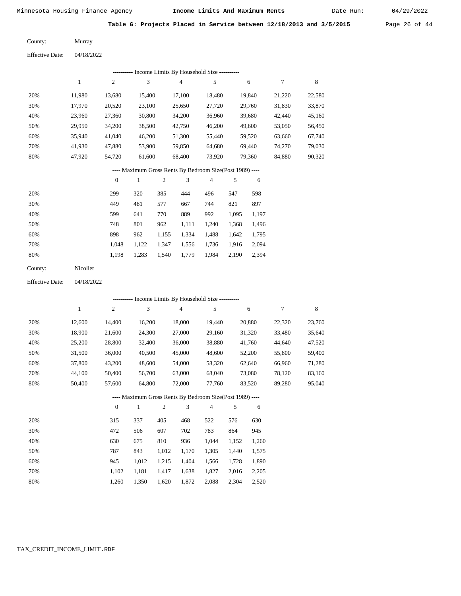Date Run:

**Table G: Projects Placed in Service between 12/18/2013 and 3/5/2015** Page 26 of 44

Murray County:

04/18/2022 Effective Date:

|     |        |          |        | ---------- Income Limits By Household Size ----------    |                |     |        |        |        |
|-----|--------|----------|--------|----------------------------------------------------------|----------------|-----|--------|--------|--------|
|     | 1      | 2        | 3      | $\overline{4}$                                           | 5              |     | 6      | 7      | 8      |
| 20% | 11,980 | 13,680   | 15,400 | 17,100                                                   | 18,480         |     | 19,840 | 21,220 | 22,580 |
| 30% | 17,970 | 20,520   | 23,100 | 25,650                                                   | 27,720         |     | 29,760 | 31,830 | 33,870 |
| 40% | 23,960 | 27,360   | 30,800 | 34,200                                                   | 36,960         |     | 39,680 | 42,440 | 45,160 |
| 50% | 29,950 | 34,200   | 38,500 | 42,750                                                   | 46,200         |     | 49,600 | 53,050 | 56,450 |
| 60% | 35,940 | 41,040   | 46,200 | 51,300                                                   | 55,440         |     | 59,520 | 63,660 | 67,740 |
| 70% | 41,930 | 47,880   | 53,900 | 59,850                                                   | 64,680         |     | 69,440 | 74,270 | 79,030 |
| 80% | 47,920 | 54,720   | 61,600 | 68,400                                                   | 73,920         |     | 79,360 | 84,880 | 90,320 |
|     |        |          |        | ---- Maximum Gross Rents By Bedroom Size(Post 1989) ---- |                |     |        |        |        |
|     |        | $\theta$ | 1      | 3<br>2                                                   | $\overline{4}$ | 5   | 6      |        |        |
| 20% |        | 299      | 320.   | 385<br>444                                               | 496            | 547 | 598    |        |        |

| 20% | 299   | 320   | 385   | 444   | 496   | 547   | 598   |
|-----|-------|-------|-------|-------|-------|-------|-------|
| 30% | 449   | 481   | 577   | 667   | 744   | 821   | 897   |
| 40% | 599   | 641   | 770   | 889   | 992   | 1.095 | 1,197 |
| 50% | 748   | 801   | 962   | 1.111 | 1.240 | 1,368 | 1,496 |
| 60% | 898   | 962   | 1.155 | 1.334 | 1.488 | 1.642 | 1,795 |
| 70% | 1.048 | 1.122 | 1.347 | 1.556 | 1,736 | 1.916 | 2,094 |
| 80% | 1.198 | 1,283 | 1,540 | 1,779 | 1,984 | 2,190 | 2,394 |

| County: | Nicollet |
|---------|----------|
|---------|----------|

04/18/2022 Effective Date:

|     |        |              |              |                | ---------- Income Limits By Household Size ----------    |                |       |        |        |        |
|-----|--------|--------------|--------------|----------------|----------------------------------------------------------|----------------|-------|--------|--------|--------|
|     | 1      | 2            | 3            |                | $\overline{4}$                                           | 5              |       | 6      | $\tau$ | 8      |
| 20% | 12,600 | 14,400       | 16,200       |                | 18,000                                                   | 19,440         |       | 20,880 | 22,320 | 23,760 |
| 30% | 18,900 | 21,600       | 24,300       |                | 27,000                                                   | 29,160         |       | 31,320 | 33,480 | 35,640 |
| 40% | 25,200 | 28,800       | 32,400       |                | 36,000                                                   | 38,880         |       | 41,760 | 44,640 | 47,520 |
| 50% | 31,500 | 36,000       | 40,500       |                | 45,000                                                   | 48,600         |       | 52,200 | 55,800 | 59,400 |
| 60% | 37,800 | 43,200       | 48,600       |                | 54,000                                                   | 58,320         |       | 62,640 | 66,960 | 71,280 |
| 70% | 44,100 | 50,400       | 56,700       |                | 63,000                                                   | 68,040         |       | 73,080 | 78,120 | 83,160 |
| 80% | 50,400 | 57,600       | 64,800       |                | 72,000                                                   | 77,760         |       | 83,520 | 89,280 | 95,040 |
|     |        |              |              |                | ---- Maximum Gross Rents By Bedroom Size(Post 1989) ---- |                |       |        |        |        |
|     |        | $\mathbf{0}$ | $\mathbf{1}$ | $\overline{2}$ | 3                                                        | $\overline{4}$ | 5     | 6      |        |        |
| 20% |        | 315          | 337          | 405            | 468                                                      | 522            | 576   | 630    |        |        |
| 30% |        | 472          | 506          | 607            | 702                                                      | 783            | 864   | 945    |        |        |
| 40% |        | 630          | 675          | 810            | 936                                                      | 1,044          | 1,152 | 1,260  |        |        |
| 50% |        | 787          | 843          | 1,012          | 1,170                                                    | 1,305          | 1,440 | 1,575  |        |        |
| 60% |        | 945          | 1,012        | 1,215          | 1,404                                                    | 1,566          | 1,728 | 1,890  |        |        |

1,417 1,638

1,620 1,872 2,088 2,304 2,520

1,827

2,016 2,205

 1,102 1,181 1,260 1,350

 70% 80%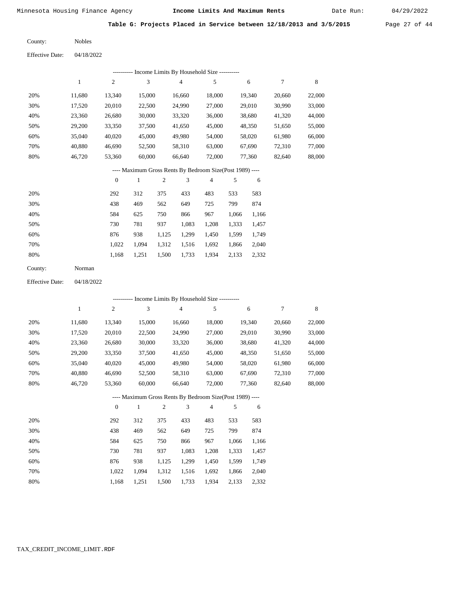Date Run:

**Table G: Projects Placed in Service between 12/18/2013 and 3/5/2015** Page 27 of 44

| County: | <b>Nobles</b> |
|---------|---------------|
|         |               |

| <b>Effective Date:</b> | 04/18/2022 |
|------------------------|------------|
|                        |            |

|     | Income Limits By Household Size ---------- |                |        |        |        |        |        |        |
|-----|--------------------------------------------|----------------|--------|--------|--------|--------|--------|--------|
|     |                                            | $\overline{c}$ | 3      | 4      | 5      | 6      |        | 8      |
| 20% | 11.680                                     | 13,340         | 15,000 | 16,660 | 18,000 | 19,340 | 20.660 | 22,000 |
| 30% | 17,520                                     | 20,010         | 22,500 | 24,990 | 27,000 | 29,010 | 30,990 | 33,000 |
| 40% | 23,360                                     | 26,680         | 30,000 | 33,320 | 36,000 | 38,680 | 41,320 | 44,000 |
| 50% | 29,200                                     | 33,350         | 37,500 | 41,650 | 45,000 | 48,350 | 51,650 | 55,000 |
| 60% | 35,040                                     | 40,020         | 45,000 | 49,980 | 54,000 | 58,020 | 61,980 | 66,000 |
| 70% | 40.880                                     | 46,690         | 52,500 | 58,310 | 63,000 | 67,690 | 72,310 | 77,000 |
| 80% | 46.720                                     | 53,360         | 60,000 | 66,640 | 72,000 | 77,360 | 82,640 | 88,000 |

# ---- Maximum Gross Rents By Bedroom Size(Post 1989) ----

|     | $\mathbf{0}$ |       | $\overline{c}$ | 3     | 4     | 5     | 6     |
|-----|--------------|-------|----------------|-------|-------|-------|-------|
| 20% | 292          | 312   | 375            | 433   | 483   | 533   | 583   |
| 30% | 438          | 469   | 562            | 649   | 725   | 799   | 874   |
| 40% | 584          | 625   | 750            | 866   | 967   | 1,066 | 1,166 |
| 50% | 730          | 781   | 937            | 1,083 | 1,208 | 1,333 | 1,457 |
| 60% | 876          | 938   | 1,125          | 1,299 | 1,450 | 1,599 | 1,749 |
| 70% | 1.022        | 1.094 | 1,312          | 1,516 | 1,692 | 1,866 | 2,040 |
| 80% | 1,168        | 1,251 | 1,500          | 1,733 | 1,934 | 2,133 | 2,332 |
|     |              |       |                |       |       |       |       |

| County: | Norman |
|---------|--------|
|---------|--------|

04/18/2022 Effective Date:

|     | ---------- Income Limits By Household Size ---------- |                |              |                |                |                                                          |       |        |        |             |
|-----|-------------------------------------------------------|----------------|--------------|----------------|----------------|----------------------------------------------------------|-------|--------|--------|-------------|
|     | 1                                                     | $\overline{c}$ | 3            |                | $\overline{4}$ | 5                                                        |       | 6      | 7      | $\,$ 8 $\,$ |
| 20% | 11,680                                                | 13,340         | 15,000       |                | 16,660         | 18,000                                                   |       | 19,340 | 20,660 | 22,000      |
| 30% | 17,520                                                | 20,010         | 22,500       |                | 24,990         | 27,000                                                   |       | 29,010 | 30,990 | 33,000      |
| 40% | 23,360                                                | 26,680         | 30,000       |                | 33,320         | 36,000                                                   |       | 38,680 | 41,320 | 44,000      |
| 50% | 29,200                                                | 33,350         | 37,500       |                | 41,650         | 45,000                                                   |       | 48,350 | 51,650 | 55,000      |
| 60% | 35,040                                                | 40,020         | 45,000       |                | 49,980         | 54,000                                                   |       | 58,020 | 61,980 | 66,000      |
| 70% | 40,880                                                | 46,690         | 52,500       |                | 58,310         | 63,000                                                   |       | 67,690 | 72,310 | 77,000      |
| 80% | 46,720                                                | 53,360         | 60,000       |                | 66,640         | 72,000                                                   |       | 77,360 | 82,640 | 88,000      |
|     |                                                       |                |              |                |                | ---- Maximum Gross Rents By Bedroom Size(Post 1989) ---- |       |        |        |             |
|     |                                                       | $\overline{0}$ | $\mathbf{1}$ | $\overline{2}$ | 3              | $\overline{4}$                                           | 5     | 6      |        |             |
| 20% |                                                       | 292            | 312          | 375            | 433            | 483                                                      | 533   | 583    |        |             |
| 30% |                                                       | 438            | 469          | 562            | 649            | 725                                                      | 799   | 874    |        |             |
| 40% |                                                       | 584            | 625          | 750            | 866            | 967                                                      | 1,066 | 1,166  |        |             |
| 50% |                                                       | 730            | 781          | 937            | 1,083          | 1,208                                                    | 1,333 | 1,457  |        |             |
| 60% |                                                       | 876            | 938          | 1,125          | 1,299          | 1,450                                                    | 1,599 | 1,749  |        |             |
| 70% |                                                       | 1,022          | 1,094        | 1,312          | 1,516          | 1,692                                                    | 1,866 | 2,040  |        |             |

1,168

1,251

1,500

1,733

1,934

2,133

2,332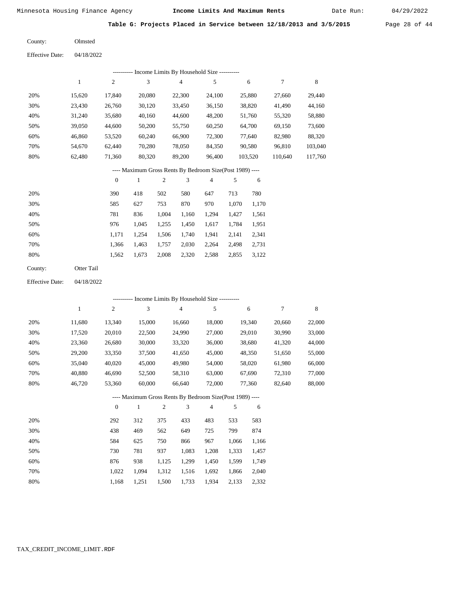Date Run:

**Table G: Projects Placed in Service between 12/18/2013 and 3/5/2015** Page 28 of 44

| County: | Olmsted |
|---------|---------|
|---------|---------|

Effective Date: 04/18/2022

|     | Income Limits By Household Size ---------- |                |        |        |        |         |         |         |
|-----|--------------------------------------------|----------------|--------|--------|--------|---------|---------|---------|
|     |                                            | $\overline{2}$ | 3      | 4      | 5      | 6       | 7       | 8       |
| 20% | 15.620                                     | 17,840         | 20,080 | 22,300 | 24,100 | 25,880  | 27,660  | 29,440  |
| 30% | 23,430                                     | 26,760         | 30,120 | 33,450 | 36,150 | 38,820  | 41,490  | 44,160  |
| 40% | 31,240                                     | 35,680         | 40,160 | 44,600 | 48,200 | 51,760  | 55,320  | 58,880  |
| 50% | 39,050                                     | 44,600         | 50,200 | 55,750 | 60,250 | 64,700  | 69,150  | 73,600  |
| 60% | 46,860                                     | 53,520         | 60,240 | 66,900 | 72,300 | 77,640  | 82,980  | 88,320  |
| 70% | 54.670                                     | 62.440         | 70,280 | 78,050 | 84,350 | 90,580  | 96,810  | 103,040 |
| 80% | 62,480                                     | 71,360         | 80,320 | 89,200 | 96,400 | 103,520 | 110,640 | 117,760 |

# ---- Maximum Gross Rents By Bedroom Size(Post 1989) ----

|     | $\mathbf{0}$ |       | $\overline{c}$ | 3     | 4     | 5     | 6     |
|-----|--------------|-------|----------------|-------|-------|-------|-------|
| 20% | 390          | 418   | 502            | 580   | 647   | 713   | 780   |
| 30% | 585          | 627   | 753            | 870   | 970   | 1,070 | 1,170 |
| 40% | 781          | 836   | 1,004          | 1,160 | 1,294 | 1,427 | 1,561 |
| 50% | 976          | 1,045 | 1,255          | 1,450 | 1,617 | 1,784 | 1,951 |
| 60% | 1,171        | 1,254 | 1,506          | 1,740 | 1,941 | 2,141 | 2,341 |
| 70% | 1,366        | 1,463 | 1,757          | 2,030 | 2,264 | 2,498 | 2,731 |
| 80% | 1,562        | 1,673 | 2,008          | 2,320 | 2,588 | 2,855 | 3,122 |
|     |              |       |                |       |       |       |       |

| County: | Otter Tail |
|---------|------------|
|         |            |

04/18/2022 Effective Date:

|     | - Income Limits By Household Size ---------- |          |              |                |                                                          |                |       |        |        |        |  |  |
|-----|----------------------------------------------|----------|--------------|----------------|----------------------------------------------------------|----------------|-------|--------|--------|--------|--|--|
|     | 1                                            | 2        | 3            |                | $\overline{4}$                                           | 5              |       | 6      | 7      | 8      |  |  |
| 20% | 11,680                                       | 13,340   | 15,000       |                | 16,660                                                   | 18,000         |       | 19,340 | 20,660 | 22,000 |  |  |
| 30% | 17,520                                       | 20,010   | 22,500       |                | 24,990                                                   | 27,000         |       | 29,010 | 30,990 | 33,000 |  |  |
| 40% | 23,360                                       | 26,680   | 30,000       |                | 33,320                                                   | 36,000         |       | 38,680 | 41,320 | 44,000 |  |  |
| 50% | 29,200                                       | 33,350   | 37,500       |                | 41,650                                                   | 45,000         |       | 48,350 | 51,650 | 55,000 |  |  |
| 60% | 35,040                                       | 40,020   | 45,000       |                | 49,980                                                   | 54,000         |       | 58,020 | 61,980 | 66,000 |  |  |
| 70% | 40,880                                       | 46,690   | 52,500       |                | 58,310                                                   | 63,000         |       | 67,690 | 72,310 | 77,000 |  |  |
| 80% | 46,720                                       | 53,360   | 60,000       |                | 66,640                                                   | 72,000         |       | 77,360 | 82,640 | 88,000 |  |  |
|     |                                              |          |              |                | ---- Maximum Gross Rents By Bedroom Size(Post 1989) ---- |                |       |        |        |        |  |  |
|     |                                              | $\theta$ | $\mathbf{1}$ | $\mathfrak{2}$ | 3                                                        | $\overline{4}$ | 5     | 6      |        |        |  |  |
| 20% |                                              | 292      | 312          | 375            | 433                                                      | 483            | 533   | 583    |        |        |  |  |
| 30% |                                              | 438      | 469          | 562            | 649                                                      | 725            | 799   | 874    |        |        |  |  |
| 40% |                                              | 584      | 625          | 750            | 866                                                      | 967            | 1,066 | 1,166  |        |        |  |  |
| 50% |                                              | 730      | 781          | 937            | 1,083                                                    | 1,208          | 1,333 | 1,457  |        |        |  |  |
| 60% |                                              | 876      | 938          | 1,125          | 1,299                                                    | 1,450          | 1,599 | 1,749  |        |        |  |  |
| 70% |                                              | 1,022    | 1,094        | 1,312          | 1,516                                                    | 1,692          | 1,866 | 2,040  |        |        |  |  |

1,168 1,251 1,500 1,733 1,934 2,133 2,332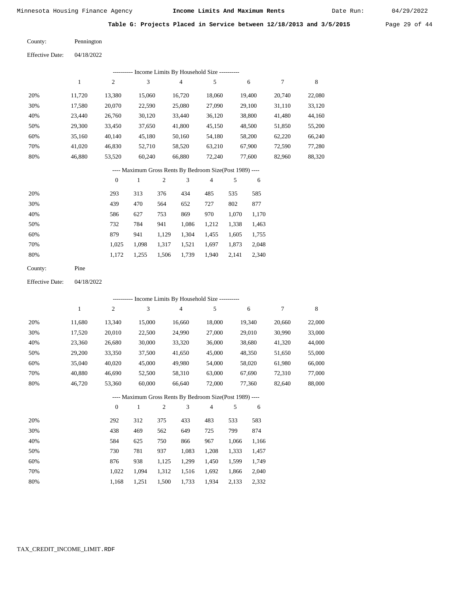Date Run:

**Table G: Projects Placed in Service between 12/18/2013 and 3/5/2015** Page 29 of 44

| County: | Pennington |
|---------|------------|

Effective Date: 04/18/2022

| Income Limits By Household Size ----------<br>---------- |        |                |        |        |                |        |        |        |  |  |  |
|----------------------------------------------------------|--------|----------------|--------|--------|----------------|--------|--------|--------|--|--|--|
|                                                          | 1      | $\overline{2}$ | 3      | 4      | 5              | 6      | 7      | 8      |  |  |  |
| 20%                                                      | 11,720 | 13.380         | 15,060 | 16.720 | 18,060         | 19.400 | 20.740 | 22,080 |  |  |  |
| 30%                                                      | 17,580 | 20,070         | 22,590 | 25,080 | 27,090         | 29,100 | 31,110 | 33,120 |  |  |  |
| 40%                                                      | 23.440 | 26,760         | 30,120 | 33,440 | 36,120         | 38,800 | 41,480 | 44,160 |  |  |  |
| 50%                                                      | 29,300 | 33,450         | 37,650 | 41,800 | 45,150         | 48,500 | 51,850 | 55,200 |  |  |  |
| 60%                                                      | 35,160 | 40,140         | 45,180 | 50,160 | 54,180         | 58,200 | 62,220 | 66,240 |  |  |  |
| 70%                                                      | 41,020 | 46,830         | 52,710 | 58,520 | 63,210         | 67,900 | 72,590 | 77,280 |  |  |  |
| 80%                                                      | 46,880 | 53,520         | 60,240 | 66,880 | 72,240         | 77,600 | 82,960 | 88,320 |  |  |  |
| ---- Maximum Gross Rents By Bedroom Size(Post 1989) ---- |        |                |        |        |                |        |        |        |  |  |  |
|                                                          |        | $\mathbf{0}$   |        | 3<br>2 | $\overline{4}$ | 5<br>6 |        |        |  |  |  |

| 20% | 293   | 313   | 376   | 434   | 485   | 535   | 585   |
|-----|-------|-------|-------|-------|-------|-------|-------|
| 30% | 439   | 470   | 564   | 652   | 727   | 802   | 877   |
| 40% | 586   | 627   | 753   | 869   | 970   | 1.070 | 1,170 |
| 50% | 732   | 784   | 941   | 1,086 | 1,212 | 1,338 | 1,463 |
| 60% | 879   | 941   | 1.129 | 1,304 | 1,455 | 1,605 | 1,755 |
| 70% | 1.025 | 1.098 | 1,317 | 1,521 | 1.697 | 1,873 | 2,048 |
| 80% | 1.172 | 1,255 | 1,506 | 1,739 | 1,940 | 2,141 | 2,340 |
|     |       |       |       |       |       |       |       |

Pine County:

04/18/2022 Effective Date:

|     | ---------- Income Limits By Household Size ---------- |                |              |                |                                                          |                |       |        |        |        |  |  |
|-----|-------------------------------------------------------|----------------|--------------|----------------|----------------------------------------------------------|----------------|-------|--------|--------|--------|--|--|
|     | $\mathbf{1}$                                          | $\overline{c}$ | 3            |                | $\overline{4}$                                           | 5              |       | 6      | 7      | 8      |  |  |
| 20% | 11,680                                                | 13,340         | 15,000       |                | 16,660                                                   | 18,000         |       | 19,340 | 20,660 | 22,000 |  |  |
| 30% | 17,520                                                | 20,010         | 22,500       |                | 24,990                                                   | 27,000         |       | 29,010 | 30,990 | 33,000 |  |  |
| 40% | 23,360                                                | 26,680         | 30,000       |                | 33,320                                                   | 36,000         |       | 38,680 | 41,320 | 44,000 |  |  |
| 50% | 29,200                                                | 33,350         | 37,500       |                | 41,650                                                   | 45,000         |       | 48,350 | 51,650 | 55,000 |  |  |
| 60% | 35,040                                                | 40,020         | 45,000       |                | 49,980                                                   | 54,000         |       | 58,020 | 61,980 | 66,000 |  |  |
| 70% | 40,880                                                | 46,690         | 52,500       |                | 58,310                                                   | 63,000         |       | 67,690 | 72,310 | 77,000 |  |  |
| 80% | 46,720                                                | 53,360         | 60,000       |                | 66,640                                                   | 72,000         |       | 77,360 | 82,640 | 88,000 |  |  |
|     |                                                       |                |              |                | ---- Maximum Gross Rents By Bedroom Size(Post 1989) ---- |                |       |        |        |        |  |  |
|     |                                                       | $\theta$       | $\mathbf{1}$ | $\overline{2}$ | 3                                                        | $\overline{4}$ | 5     | 6      |        |        |  |  |
| 20% |                                                       | 292            | 312          | 375            | 433                                                      | 483            | 533   | 583    |        |        |  |  |
| 30% |                                                       | 438            | 469          | 562            | 649                                                      | 725            | 799   | 874    |        |        |  |  |
| 40% |                                                       | 584            | 625          | 750            | 866                                                      | 967            | 1,066 | 1,166  |        |        |  |  |
| 50% |                                                       | 730            | 781          | 937            | 1,083                                                    | 1,208          | 1,333 | 1,457  |        |        |  |  |
| 60% |                                                       | 876            | 938          | 1,125          | 1,299                                                    | 1,450          | 1,599 | 1,749  |        |        |  |  |
| 70% |                                                       | 1,022          | 1,094        | 1,312          | 1,516                                                    | 1,692          | 1,866 | 2,040  |        |        |  |  |

1,168 1,251 1,500 1,733 1,934 2,133 2,332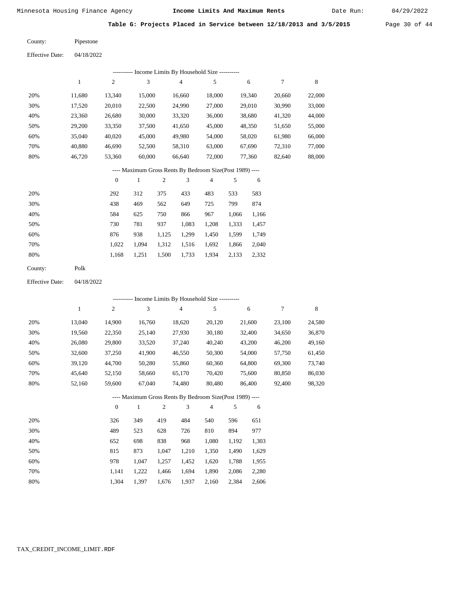Date Run:

**Table G: Projects Placed in Service between 12/18/2013 and 3/5/2015** Page 30 of 44

| County: | Pipestone |
|---------|-----------|
|         |           |

| <b>Effective Date:</b> | 04/18/2022 |
|------------------------|------------|
|                        |            |

|                                                           | ---------- Income Limits By Household Size ---------- |                |        |                |        |        |        |        |  |  |  |  |
|-----------------------------------------------------------|-------------------------------------------------------|----------------|--------|----------------|--------|--------|--------|--------|--|--|--|--|
|                                                           | 1                                                     | $\overline{2}$ | 3      | $\overline{4}$ | 5      | 6      | 7      | 8      |  |  |  |  |
| 20%                                                       | 11.680                                                | 13.340         | 15,000 | 16.660         | 18,000 | 19.340 | 20,660 | 22,000 |  |  |  |  |
| 30%                                                       | 17.520                                                | 20,010         | 22,500 | 24,990         | 27,000 | 29,010 | 30.990 | 33,000 |  |  |  |  |
| 40%                                                       | 23,360                                                | 26,680         | 30,000 | 33,320         | 36,000 | 38,680 | 41,320 | 44,000 |  |  |  |  |
| 50%                                                       | 29,200                                                | 33,350         | 37,500 | 41,650         | 45,000 | 48,350 | 51,650 | 55,000 |  |  |  |  |
| 60%                                                       | 35,040                                                | 40,020         | 45,000 | 49,980         | 54,000 | 58,020 | 61,980 | 66,000 |  |  |  |  |
| 70%                                                       | 40,880                                                | 46,690         | 52,500 | 58,310         | 63,000 | 67,690 | 72,310 | 77,000 |  |  |  |  |
| 80%                                                       | 46,720                                                | 53,360         | 60,000 | 66.640         | 72,000 | 77,360 | 82,640 | 88,000 |  |  |  |  |
| ---- Maximum Gross Rents By Bedroom Size (Post 1989) ---- |                                                       |                |        |                |        |        |        |        |  |  |  |  |

|     | $\mathbf{0}$ |       | 2     | 3     | 4     | 5     | 6     |
|-----|--------------|-------|-------|-------|-------|-------|-------|
| 20% | 292          | 312   | 375   | 433   | 483   | 533   | 583   |
| 30% | 438          | 469   | 562   | 649   | 725   | 799   | 874   |
| 40% | 584          | 625   | 750   | 866   | 967   | 1,066 | 1,166 |
| 50% | 730          | 781   | 937   | 1,083 | 1,208 | 1,333 | 1,457 |
| 60% | 876          | 938   | 1,125 | 1,299 | 1,450 | 1,599 | 1,749 |
| 70% | 1,022        | 1,094 | 1,312 | 1,516 | 1,692 | 1,866 | 2,040 |
| 80% | 1,168        | 1,251 | 1,500 | 1,733 | 1,934 | 2,133 | 2,332 |
|     |              |       |       |       |       |       |       |

| County: | Polk |
|---------|------|
|---------|------|

Effective Date: 04/18/2022

|     | ---------- Income Limits By Household Size ---------- |                  |        |                |                |                                                          |       |        |        |        |  |  |
|-----|-------------------------------------------------------|------------------|--------|----------------|----------------|----------------------------------------------------------|-------|--------|--------|--------|--|--|
|     | 1                                                     | $\boldsymbol{2}$ | 3      |                | $\overline{4}$ | 5                                                        |       | 6      | 7      | 8      |  |  |
| 20% | 13,040                                                | 14,900           | 16,760 |                | 18,620         | 20,120                                                   |       | 21,600 | 23,100 | 24,580 |  |  |
| 30% | 19,560                                                | 22,350           | 25,140 |                | 27,930         | 30,180                                                   |       | 32,400 | 34,650 | 36,870 |  |  |
| 40% | 26,080                                                | 29,800           | 33,520 |                | 37,240         | 40,240                                                   |       | 43,200 | 46,200 | 49,160 |  |  |
| 50% | 32,600                                                | 37,250           | 41,900 |                | 46,550         | 50,300                                                   |       | 54,000 | 57,750 | 61,450 |  |  |
| 60% | 39,120                                                | 44,700           | 50,280 |                | 55,860         | 60,360                                                   |       | 64,800 | 69,300 | 73,740 |  |  |
| 70% | 45,640                                                | 52,150           | 58,660 |                | 65,170         | 70,420                                                   |       | 75,600 | 80,850 | 86,030 |  |  |
| 80% | 52,160                                                | 59,600           | 67,040 |                | 74,480         | 80,480                                                   |       | 86,400 | 92,400 | 98,320 |  |  |
|     |                                                       |                  |        |                |                | ---- Maximum Gross Rents By Bedroom Size(Post 1989) ---- |       |        |        |        |  |  |
|     |                                                       | $\theta$         | 1      | $\overline{2}$ | 3              | $\overline{4}$                                           | 5     | 6      |        |        |  |  |
| 20% |                                                       | 326              | 349    | 419            | 484            | 540                                                      | 596   | 651    |        |        |  |  |
| 30% |                                                       | 489              | 523    | 628            | 726            | 810                                                      | 894   | 977    |        |        |  |  |
| 40% |                                                       | 652              | 698    | 838            | 968            | 1,080                                                    | 1,192 | 1,303  |        |        |  |  |
| 50% |                                                       | 815              | 873    | 1,047          | 1,210          | 1,350                                                    | 1,490 | 1,629  |        |        |  |  |
| 60% |                                                       | 978              | 1,047  | 1,257          | 1,452          | 1,620                                                    | 1,788 | 1,955  |        |        |  |  |
| 70% |                                                       | 1,141            | 1,222  | 1,466          | 1,694          | 1,890                                                    | 2,086 | 2,280  |        |        |  |  |

1,676 1,937

2,160 2,384

2,606

1,304 1,397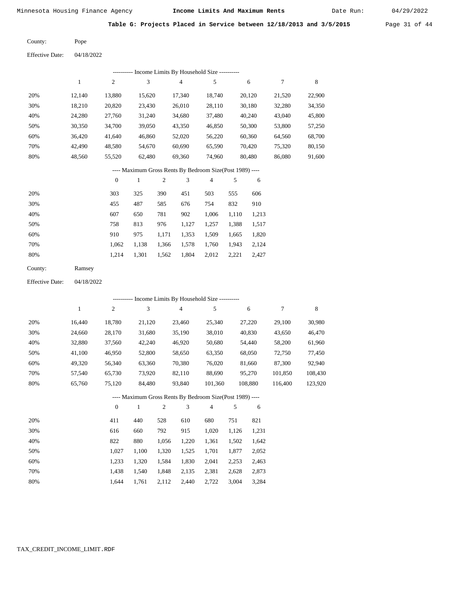Date Run:

**Table G: Projects Placed in Service between 12/18/2013 and 3/5/2015** Page 31 of 44

Pope County:

04/18/2022 Effective Date:

|                                                          | --------- Income Limits By Household Size ---------- |                  |        |                |                |                |       |        |        |        |  |  |
|----------------------------------------------------------|------------------------------------------------------|------------------|--------|----------------|----------------|----------------|-------|--------|--------|--------|--|--|
|                                                          | 1                                                    | $\mathfrak{2}$   | 3      |                | $\overline{4}$ | 5              |       | 6      | 7      | 8      |  |  |
| 20%                                                      | 12,140                                               | 13,880           | 15,620 |                | 17,340         | 18,740         |       | 20,120 | 21,520 | 22,900 |  |  |
| 30%                                                      | 18,210                                               | 20,820           | 23,430 |                | 26,010         | 28,110         |       | 30,180 | 32,280 | 34,350 |  |  |
| 40%                                                      | 24,280                                               | 27,760           | 31,240 |                | 34,680         | 37,480         |       | 40,240 | 43,040 | 45,800 |  |  |
| 50%                                                      | 30,350                                               | 34,700           | 39,050 |                | 43,350         | 46,850         |       | 50,300 | 53,800 | 57,250 |  |  |
| 60%                                                      | 36,420                                               | 41,640           | 46,860 |                | 52,020         | 56,220         |       | 60,360 | 64,560 | 68,700 |  |  |
| 70%                                                      | 42,490                                               | 48,580           | 54,670 |                | 60,690         | 65,590         |       | 70,420 | 75,320 | 80,150 |  |  |
| 80%                                                      | 48,560                                               | 55,520           | 62,480 |                | 69,360         | 74,960         |       | 80,480 | 86,080 | 91,600 |  |  |
| ---- Maximum Gross Rents By Bedroom Size(Post 1989) ---- |                                                      |                  |        |                |                |                |       |        |        |        |  |  |
|                                                          |                                                      | $\boldsymbol{0}$ | 1      | $\overline{c}$ | 3              | $\overline{4}$ | 5     | 6      |        |        |  |  |
| 20%                                                      |                                                      | 303              | 325    | 390            | 451            | 503            | 555   | 606    |        |        |  |  |
| 30%                                                      |                                                      | 455              | 487    | 585            | 676            | 754            | 832   | 910    |        |        |  |  |
| 40%                                                      |                                                      | 607              | 650    | 781            | 902            | 1,006          | 1,110 | 1,213  |        |        |  |  |
| 50%                                                      |                                                      | 758              | 813    | 976            | 1,127          | 1,257          | 1,388 | 1,517  |        |        |  |  |
| 60%                                                      |                                                      | 910              | 975    | 1,171          | 1,353          | 1,509          | 1,665 | 1,820  |        |        |  |  |
| 70%                                                      |                                                      | 1,062            | 1,138  | 1,366          | 1,578          | 1,760          | 1,943 | 2,124  |        |        |  |  |
| 80%                                                      |                                                      | 1,214            | 1,301  | 1,562          | 1,804          | 2,012          | 2,221 | 2,427  |        |        |  |  |

| County: | Ramsey |
|---------|--------|
|---------|--------|

Effective Date: 04/18/2022

|     |        |              |        |     |        | ---------- Income Limits By Household Size ----------    |     |         |         |         |
|-----|--------|--------------|--------|-----|--------|----------------------------------------------------------|-----|---------|---------|---------|
|     | 1      | 2            | 3      |     | 4      | 5                                                        |     | 6       | 7       | 8       |
| 20% | 16,440 | 18,780       | 21,120 |     | 23,460 | 25,340                                                   |     | 27,220  | 29,100  | 30,980  |
| 30% | 24,660 | 28,170       | 31,680 |     | 35,190 | 38,010                                                   |     | 40,830  | 43,650  | 46,470  |
| 40% | 32,880 | 37,560       | 42,240 |     | 46,920 | 50,680                                                   |     | 54,440  | 58,200  | 61,960  |
| 50% | 41,100 | 46,950       | 52,800 |     | 58,650 | 63,350                                                   |     | 68,050  | 72,750  | 77,450  |
| 60% | 49,320 | 56,340       | 63,360 |     | 70,380 | 76,020                                                   |     | 81,660  | 87,300  | 92,940  |
| 70% | 57,540 | 65,730       | 73,920 |     | 82,110 | 88,690                                                   |     | 95,270  | 101,850 | 108,430 |
| 80% | 65,760 | 75,120       | 84,480 |     | 93,840 | 101.360                                                  |     | 108.880 | 116,400 | 123,920 |
|     |        |              |        |     |        | ---- Maximum Gross Rents By Bedroom Size(Post 1989) ---- |     |         |         |         |
|     |        | $\mathbf{0}$ | 1      | 2   | 3      | $\overline{4}$                                           | 5   | 6       |         |         |
| 20% |        | 411          | 440    | 528 | 610    | 680                                                      | 751 | 821     |         |         |
|     |        |              |        |     |        |                                                          |     |         |         |         |

| 30% | 616   | 660   | 792   | 915   | 1.020 | 1.126 | 1,231 |
|-----|-------|-------|-------|-------|-------|-------|-------|
| 40% | 822   | 880   | 1.056 | 1.220 | 1.361 | 1.502 | 1.642 |
| 50% | 1.027 | 1.100 | 1.320 | 1.525 | 1.701 | 1.877 | 2,052 |
| 60% | 1.233 | 1.320 | 1.584 | 1.830 | 2,041 | 2.253 | 2,463 |
| 70% | 1.438 | 1.540 | 1.848 | 2.135 | 2.381 | 2.628 | 2,873 |
| 80% | 1.644 | 1.761 | 2,112 | 2,440 | 2,722 | 3,004 | 3,284 |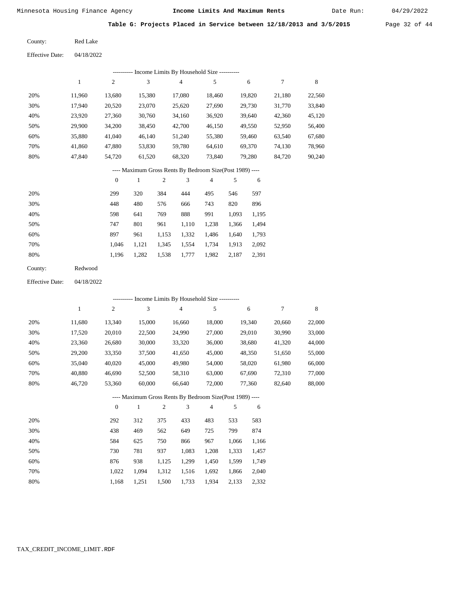Date Run:

|  |  |  | Table G: Projects Placed in Service between 12/18/2013 and 3/5/2015 |  | Page 32 of 44 |  |  |
|--|--|--|---------------------------------------------------------------------|--|---------------|--|--|
|  |  |  |                                                                     |  |               |  |  |

Red Lake County:

04/18/2022 Effective Date:

|     | ---------- Income Limits By Household Size ---------- |        |        |        |        |        |        |        |  |
|-----|-------------------------------------------------------|--------|--------|--------|--------|--------|--------|--------|--|
|     | 1                                                     | 2      | 3      | 4      | 5      | 6      |        | 8      |  |
| 20% | 11,960                                                | 13,680 | 15,380 | 17,080 | 18,460 | 19,820 | 21,180 | 22,560 |  |
| 30% | 17,940                                                | 20,520 | 23,070 | 25,620 | 27,690 | 29,730 | 31,770 | 33,840 |  |
| 40% | 23,920                                                | 27,360 | 30,760 | 34,160 | 36,920 | 39,640 | 42,360 | 45,120 |  |
| 50% | 29.900                                                | 34,200 | 38,450 | 42,700 | 46,150 | 49,550 | 52,950 | 56,400 |  |
| 60% | 35,880                                                | 41,040 | 46,140 | 51,240 | 55,380 | 59,460 | 63,540 | 67,680 |  |
| 70% | 41,860                                                | 47,880 | 53,830 | 59,780 | 64,610 | 69,370 | 74,130 | 78,960 |  |
| 80% | 47.840                                                | 54,720 | 61,520 | 68,320 | 73,840 | 79,280 | 84,720 | 90,240 |  |
|     |                                                       |        |        |        |        |        |        |        |  |

# ---- Maximum Gross Rents By Bedroom Size(Post 1989) ----

|     | $\theta$ |       | 2     | 3     | 4     | 5     | 6     |
|-----|----------|-------|-------|-------|-------|-------|-------|
| 20% | 299      | 320   | 384   | 444   | 495   | 546   | 597   |
| 30% | 448      | 480   | 576   | 666   | 743   | 820   | 896   |
| 40% | 598      | 641   | 769   | 888   | 991   | 1,093 | 1,195 |
| 50% | 747      | 801   | 961   | 1,110 | 1,238 | 1,366 | 1,494 |
| 60% | 897      | 961   | 1,153 | 1,332 | 1,486 | 1,640 | 1,793 |
| 70% | 1.046    | 1,121 | 1,345 | 1,554 | 1,734 | 1,913 | 2,092 |
| 80% | 1,196    | 1,282 | 1,538 | 1,777 | 1,982 | 2,187 | 2,391 |
|     |          |       |       |       |       |       |       |

| County: | Redwood |
|---------|---------|
|         |         |

04/18/2022 Effective Date:

|     |        |                |        |                |                | - Income Limits By Household Size ----------             |       |        |        |        |
|-----|--------|----------------|--------|----------------|----------------|----------------------------------------------------------|-------|--------|--------|--------|
|     | 1      | $\overline{c}$ | 3      |                | $\overline{4}$ | 5                                                        |       | 6      | 7      | 8      |
| 20% | 11,680 | 13,340         | 15,000 |                | 16,660         | 18,000                                                   |       | 19,340 | 20,660 | 22,000 |
| 30% | 17,520 | 20,010         | 22,500 |                | 24,990         | 27,000                                                   |       | 29,010 | 30,990 | 33,000 |
| 40% | 23,360 | 26,680         | 30,000 |                | 33,320         | 36,000                                                   |       | 38,680 | 41,320 | 44,000 |
| 50% | 29,200 | 33,350         | 37,500 |                | 41,650         | 45,000                                                   |       | 48,350 | 51,650 | 55,000 |
| 60% | 35,040 | 40,020         | 45,000 |                | 49,980         | 54,000                                                   |       | 58,020 | 61,980 | 66,000 |
| 70% | 40,880 | 46,690         | 52,500 |                | 58,310         | 63,000                                                   |       | 67,690 | 72,310 | 77,000 |
| 80% | 46,720 | 53,360         | 60,000 |                | 66,640         | 72,000                                                   |       | 77,360 | 82,640 | 88,000 |
|     |        |                |        |                |                | ---- Maximum Gross Rents By Bedroom Size(Post 1989) ---- |       |        |        |        |
|     |        | $\theta$       | 1      | $\overline{2}$ | 3              | $\overline{4}$                                           | 5     | 6      |        |        |
| 20% |        | 292            | 312    | 375            | 433            | 483                                                      | 533   | 583    |        |        |
| 30% |        | 438            | 469    | 562            | 649            | 725                                                      | 799   | 874    |        |        |
| 40% |        | 584            | 625    | 750            | 866            | 967                                                      | 1,066 | 1,166  |        |        |
| 50% |        | 730            | 781    | 937            | 1,083          | 1,208                                                    | 1,333 | 1,457  |        |        |
| 60% |        | 876            | 938    | 1,125          | 1,299          | 1,450                                                    | 1,599 | 1,749  |        |        |
| 70% |        | 1,022          | 1,094  | 1,312          | 1,516          | 1,692                                                    | 1,866 | 2,040  |        |        |

 1,312 1,516 1,500

1,733

1,934

2,133

2,332

1,168

1,251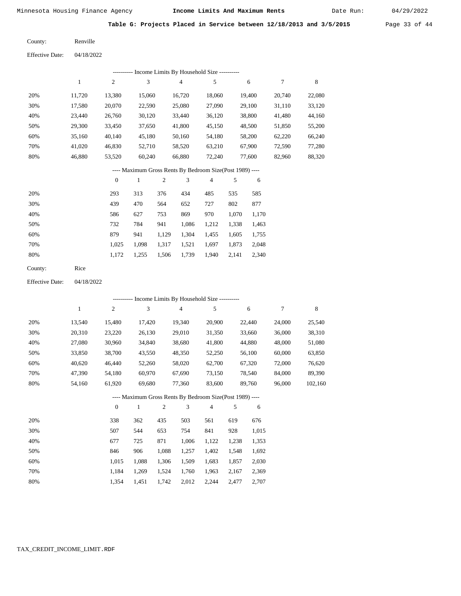Date Run:

**Table G: Projects Placed in Service between 12/18/2013 and 3/5/2015** Page 33 of 44

| County: | Renville |
|---------|----------|
|         |          |

Effective Date: 04/18/2022

| ---------- Income Limits By Household Size ---------- |        |                |        |        |        |        |        |        |  |
|-------------------------------------------------------|--------|----------------|--------|--------|--------|--------|--------|--------|--|
|                                                       |        | $\overline{c}$ | 3      | 4      | 5      | 6      | 7      | 8      |  |
| 20%                                                   | 11.720 | 13.380         | 15,060 | 16.720 | 18.060 | 19.400 | 20.740 | 22,080 |  |
| 30%                                                   | 17.580 | 20,070         | 22,590 | 25,080 | 27,090 | 29,100 | 31,110 | 33,120 |  |
| 40%                                                   | 23.440 | 26,760         | 30,120 | 33,440 | 36,120 | 38,800 | 41,480 | 44,160 |  |
| 50%                                                   | 29,300 | 33,450         | 37.650 | 41,800 | 45,150 | 48,500 | 51,850 | 55,200 |  |
| 60%                                                   | 35,160 | 40,140         | 45,180 | 50,160 | 54,180 | 58,200 | 62,220 | 66,240 |  |
| 70%                                                   | 41.020 | 46,830         | 52,710 | 58,520 | 63,210 | 67,900 | 72.590 | 77,280 |  |
| 80%                                                   | 46,880 | 53,520         | 60.240 | 66,880 | 72,240 | 77,600 | 82,960 | 88,320 |  |
|                                                       |        |                |        |        |        |        |        |        |  |

# ---- Maximum Gross Rents By Bedroom Size(Post 1989) ----

|     | $\mathbf{0}$ |       | $\overline{2}$ | 3     | 4     | 5     | 6     |
|-----|--------------|-------|----------------|-------|-------|-------|-------|
| 20% | 293          | 313   | 376            | 434   | 485   | 535   | 585   |
| 30% | 439          | 470   | 564            | 652   | 727   | 802   | 877   |
| 40% | 586          | 627   | 753            | 869   | 970   | 1,070 | 1,170 |
| 50% | 732          | 784   | 941            | 1,086 | 1,212 | 1,338 | 1,463 |
| 60% | 879          | 941   | 1,129          | 1,304 | 1,455 | 1,605 | 1,755 |
| 70% | 1,025        | 1,098 | 1,317          | 1,521 | 1,697 | 1,873 | 2,048 |
| 80% | 1,172        | 1,255 | 1,506          | 1,739 | 1,940 | 2,141 | 2,340 |
|     |              |       |                |       |       |       |       |

| County: | Rice |
|---------|------|
|---------|------|

04/18/2022 Effective Date:

|     |              |                  |              |                |                | ---------- Income Limits By Household Size ----------    |       |        |        |         |
|-----|--------------|------------------|--------------|----------------|----------------|----------------------------------------------------------|-------|--------|--------|---------|
|     | $\mathbf{1}$ | $\overline{c}$   | 3            |                | $\overline{4}$ | 5                                                        |       | 6      | 7      | 8       |
| 20% | 13,540       | 15,480           | 17,420       |                | 19,340         | 20,900                                                   |       | 22,440 | 24,000 | 25,540  |
| 30% | 20,310       | 23,220           | 26,130       |                | 29,010         | 31,350                                                   |       | 33,660 | 36,000 | 38,310  |
| 40% | 27,080       | 30,960           | 34,840       |                | 38,680         | 41,800                                                   |       | 44,880 | 48,000 | 51,080  |
| 50% | 33,850       | 38,700           | 43,550       |                | 48,350         | 52,250                                                   |       | 56,100 | 60,000 | 63,850  |
| 60% | 40,620       | 46,440           | 52,260       |                | 58,020         | 62,700                                                   |       | 67,320 | 72,000 | 76,620  |
| 70% | 47,390       | 54,180           | 60,970       |                | 67,690         | 73,150                                                   |       | 78,540 | 84,000 | 89,390  |
| 80% | 54,160       | 61,920           | 69,680       |                | 77,360         | 83,600                                                   |       | 89,760 | 96,000 | 102,160 |
|     |              |                  |              |                |                | ---- Maximum Gross Rents By Bedroom Size(Post 1989) ---- |       |        |        |         |
|     |              | $\boldsymbol{0}$ | $\mathbf{1}$ | $\overline{c}$ | 3              | $\overline{4}$                                           | 5     | 6      |        |         |
| 20% |              | 338              | 362          | 435            | 503            | 561                                                      | 619   | 676    |        |         |
| 30% |              | 507              | 544          | 653            | 754            | 841                                                      | 928   | 1,015  |        |         |
| 40% |              | 677              | 725          | 871            | 1,006          | 1,122                                                    | 1,238 | 1,353  |        |         |
| 50% |              | 846              | 906          | 1,088          | 1,257          | 1,402                                                    | 1,548 | 1,692  |        |         |
| 60% |              | 1,015            | 1,088        | 1,306          | 1,509          | 1,683                                                    | 1,857 | 2,030  |        |         |

 1,184 1,354  1,088 1,269 1,451

 1,306 1,524 1,742  1,509 1,760 2,012

 1,963 2,244  1,857 2,167 2,477  2,030 2,369 2,707

 60% 70% 80%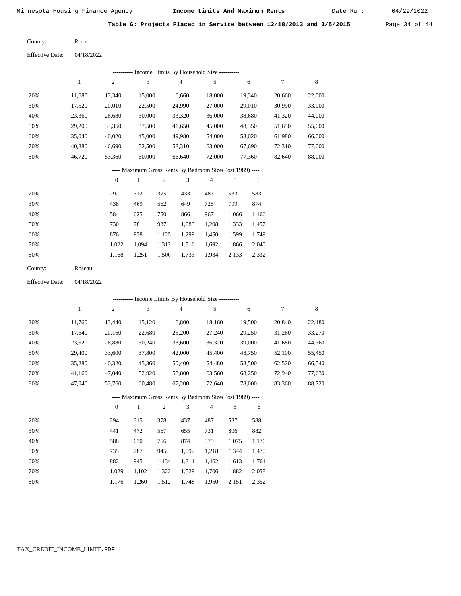Rock

Minnesota Housing Finance Agency **Income Limits And Maximum Rents** 04/29/2022

Date Run:

**Table G: Projects Placed in Service between 12/18/2013 and 3/5/2015** Page 34 of 44

County:

04/18/2022 Effective Date:

| ---------- Income Limits By Household Size ---------- |        |                  |        |                |                                                          |                |       |        |        |        |  |
|-------------------------------------------------------|--------|------------------|--------|----------------|----------------------------------------------------------|----------------|-------|--------|--------|--------|--|
|                                                       | 1      | $\overline{2}$   | 3      |                | $\overline{4}$                                           | 5              |       | 6      | 7      | 8      |  |
| 20%                                                   | 11,680 | 13,340           | 15,000 |                | 16,660                                                   | 18,000         |       | 19,340 | 20,660 | 22,000 |  |
| 30%                                                   | 17,520 | 20,010           | 22,500 |                | 24,990                                                   | 27,000         |       | 29,010 | 30,990 | 33,000 |  |
| 40%                                                   | 23,360 | 26,680           | 30,000 |                | 33,320                                                   | 36,000         |       | 38,680 | 41,320 | 44,000 |  |
| 50%                                                   | 29,200 | 33,350           | 37,500 |                | 41,650                                                   | 45,000         |       | 48,350 | 51,650 | 55,000 |  |
| 60%                                                   | 35,040 | 40,020           | 45,000 |                | 49,980                                                   | 54,000         |       | 58,020 | 61,980 | 66,000 |  |
| 70%                                                   | 40,880 | 46,690           | 52,500 |                | 58,310                                                   | 63,000         |       | 67,690 | 72,310 | 77,000 |  |
| 80%                                                   | 46,720 | 53,360           | 60,000 |                | 66,640                                                   | 72,000         |       | 77,360 | 82,640 | 88,000 |  |
|                                                       |        |                  |        |                | ---- Maximum Gross Rents By Bedroom Size(Post 1989) ---- |                |       |        |        |        |  |
|                                                       |        | $\boldsymbol{0}$ | 1      | $\overline{c}$ | 3                                                        | $\overline{4}$ | 5     | 6      |        |        |  |
| 20%                                                   |        | 292              | 312    | 375            | 433                                                      | 483            | 533   | 583    |        |        |  |
| 30%                                                   |        | 438              | 469    | 562            | 649                                                      | 725            | 799   | 874    |        |        |  |
| 40%                                                   |        | 584              | 625    | 750            | 866                                                      | 967            | 1,066 | 1,166  |        |        |  |
| 50%                                                   |        | 730              | 781    | 937            | 1,083                                                    | 1,208          | 1,333 | 1,457  |        |        |  |
| 60%                                                   |        | 876              | 938    | 1,125          | 1,299                                                    | 1,450          | 1,599 | 1,749  |        |        |  |

| County: | Roseau |
|---------|--------|

 1,022 1,168  1,094 1,251  1,312 1,500  1,516 1,733

 1,692 1,934

 1,866 2,133  2,040 2,332

04/18/2022 Effective Date:

 70% 80%

60%

 20% 30% 40% 50% 60% 70% 80% 11,760 17,640 23,520 29,400 35,280 41,160 47,040 13,440 20,160 26,880 33,600 40,320 47,040 53,760 15,120 22,680 30,240 37,800 45,360 52,920 60,480 16,800 25,200 33,600 42,000 50,400 58,800 67,200 18,160 27,240 36,320 45,400 54,480 63,560 72,640 19,500 29,250 39,000 48,750 58,500 68,250 78,000 20,840 31,260 41,680 52,100 62,520 72,940 83,360 22,180 33,270 44,360 55,450 66,540 77,630 88,720 20% 30% 40% 50% 294 441 588 735 315 472 630 787 378 567 756 945 437 655 874 1,092 487 731 975 1,218 537 806 1,075 1,344 588 882 1,176 1,470 1 2 3 4 5 6 7 8 0 1 2 3 4 5 6 ---------- Income Limits By Household Size ---------- ---- Maximum Gross Rents By Bedroom Size(Post 1989) ----

| 70% | 1,029 1,102 1,323 1,529 1,706 1,882 2,058 |  |  |  |
|-----|-------------------------------------------|--|--|--|
| 80% | 1.176 1.260 1.512 1.748 1.950 2.151 2.352 |  |  |  |

1,134

1,311

1,462

1,613

1,764

945

882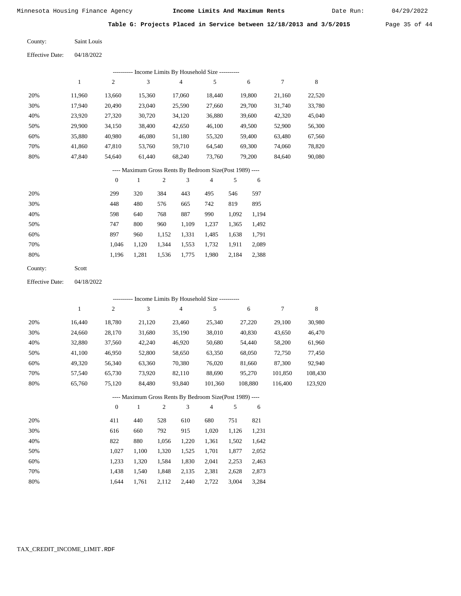41,860 47,840  47,810 54,640

Minnesota Housing Finance Agency **Income Limits And Maximum Rents** 04/29/2022

Date Run:

**Table G: Projects Placed in Service between 12/18/2013 and 3/5/2015** Page 35 of 44

 22,520 33,780 45,040 56,300 67,560 78,820 90,080

8

| County: | Saint Louis |
|---------|-------------|
|         |             |

| <b>Effective Date:</b> | 04/18/2022 |                |                                            |                |        |        |
|------------------------|------------|----------------|--------------------------------------------|----------------|--------|--------|
|                        |            |                | Income Limits By Household Size ---------- |                |        |        |
|                        | 1          | $\overline{c}$ | 3                                          | $\overline{4}$ | 5      | 6      |
| 20%                    | 11.960     | 13.660         | 15.360                                     | 17.060         | 18.440 | 19,800 |
| 30%                    | 17,940     | 20,490         | 23,040                                     | 25,590         | 27,660 | 29,700 |
| 40%                    | 23,920     | 27,320         | 30,720                                     | 34,120         | 36,880 | 39,600 |
| 50%                    | 29,900     | 34,150         | 38,400                                     | 42,650         | 46,100 | 49,500 |
| 60%                    | 35,880     | 40.980         | 46,080                                     | 51,180         | 55,320 | 59,400 |

#### ---- Maximum Gross Rents By Bedroom Size(Post 1989) ----

 59,710 68,240  64,540 73,760  69,300 79,200  21,160 31,740 42,320 52,900 63,480 74,060 84,640

7

|     | $\mathbf{0}$ |       | 2     | 3     | 4     | 5     | 6     |
|-----|--------------|-------|-------|-------|-------|-------|-------|
| 20% | 299          | 320   | 384   | 443   | 495   | 546   | 597   |
| 30% | 448          | 480   | 576   | 665   | 742   | 819   | 895   |
| 40% | 598          | 640   | 768   | 887   | 990   | 1,092 | 1,194 |
| 50% | 747          | 800   | 960   | 1,109 | 1,237 | 1,365 | 1,492 |
| 60% | 897          | 960   | 1,152 | 1,331 | 1,485 | 1,638 | 1,791 |
| 70% | 1.046        | 1.120 | 1,344 | 1,553 | 1,732 | 1,911 | 2,089 |
| 80% | 1,196        | 1,281 | 1,536 | 1,775 | 1,980 | 2,184 | 2,388 |
|     |              |       |       |       |       |       |       |

 53,760 61,440

| County: | Scott |
|---------|-------|
|---------|-------|

 70% 80%

04/18/2022 Effective Date:

|     |        |              | ---------- Income Limits By Household Size ----------    |       |                |                |       |         |         |         |
|-----|--------|--------------|----------------------------------------------------------|-------|----------------|----------------|-------|---------|---------|---------|
|     | 1      | 2            | 3                                                        |       | $\overline{4}$ | 5              |       | 6       | 7       | 8       |
| 20% | 16,440 | 18,780       | 21,120                                                   |       | 23,460         | 25,340         |       | 27,220  | 29,100  | 30,980  |
| 30% | 24,660 | 28,170       | 31,680                                                   |       | 35,190         | 38,010         |       | 40,830  | 43,650  | 46,470  |
| 40% | 32,880 | 37,560       | 42,240                                                   |       | 46,920         | 50,680         |       | 54,440  | 58,200  | 61,960  |
| 50% | 41,100 | 46,950       | 52,800                                                   |       | 58,650         | 63,350         |       | 68,050  | 72,750  | 77,450  |
| 60% | 49,320 | 56,340       | 63,360                                                   |       | 70,380         | 76,020         |       | 81,660  | 87,300  | 92,940  |
| 70% | 57,540 | 65,730       | 73,920                                                   |       | 82,110         | 88,690         |       | 95,270  | 101,850 | 108,430 |
| 80% | 65,760 | 75,120       | 84,480                                                   |       | 93,840         | 101,360        |       | 108,880 | 116,400 | 123,920 |
|     |        |              | ---- Maximum Gross Rents By Bedroom Size(Post 1989) ---- |       |                |                |       |         |         |         |
|     |        | $\mathbf{0}$ | 1                                                        | 2     | 3              | $\overline{4}$ | 5     | 6       |         |         |
| 20% |        | 411          | 440                                                      | 528   | 610            | 680            | 751   | 821     |         |         |
| 30% |        | 616          | 660                                                      | 792   | 915            | 1,020          | 1,126 | 1,231   |         |         |
| 40% |        | 822          | 880                                                      | 1.056 | 1.220          | 1.361          | 1.502 | 1.642   |         |         |

|     |                                           | $11000 - 11220 - 11001 - 11002 - 11012$ |  |  |
|-----|-------------------------------------------|-----------------------------------------|--|--|
| 50% | 1,027 1,100 1,320 1,525 1,701 1,877 2,052 |                                         |  |  |
| 60% | 1,233 1,320 1,584 1,830 2,041 2,253 2,463 |                                         |  |  |
| 70% | 1,438 1,540 1,848 2,135 2,381 2,628 2,873 |                                         |  |  |
| 80% | 1,644 1,761 2,112 2,440 2,722 3,004 3,284 |                                         |  |  |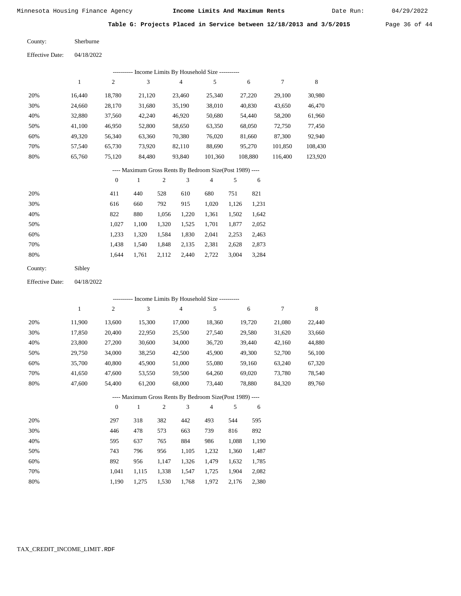Date Run:

**Table G: Projects Placed in Service between 12/18/2013 and 3/5/2015** Page 36 of 44

Sherburne County:

04/18/2022 Effective Date:

| ---------- Income Limits By Household Size ---------- |        |                |        |        |         |         |         |         |  |  |  |  |
|-------------------------------------------------------|--------|----------------|--------|--------|---------|---------|---------|---------|--|--|--|--|
|                                                       |        | $\overline{2}$ | 3      | 4      |         | 6       |         | 8       |  |  |  |  |
| 20%                                                   | 16.440 | 18,780         | 21,120 | 23.460 | 25,340  | 27,220  | 29.100  | 30,980  |  |  |  |  |
| 30%                                                   | 24,660 | 28,170         | 31,680 | 35,190 | 38,010  | 40,830  | 43,650  | 46,470  |  |  |  |  |
| 40%                                                   | 32,880 | 37,560         | 42,240 | 46,920 | 50,680  | 54,440  | 58,200  | 61,960  |  |  |  |  |
| 50%                                                   | 41,100 | 46,950         | 52,800 | 58,650 | 63,350  | 68,050  | 72,750  | 77,450  |  |  |  |  |
| 60%                                                   | 49,320 | 56,340         | 63,360 | 70,380 | 76,020  | 81,660  | 87,300  | 92,940  |  |  |  |  |
| 70%                                                   | 57,540 | 65,730         | 73,920 | 82,110 | 88,690  | 95,270  | 101,850 | 108,430 |  |  |  |  |
| 80%                                                   | 65,760 | 75,120         | 84,480 | 93,840 | 101,360 | 108,880 | 116,400 | 123,920 |  |  |  |  |

# ---- Maximum Gross Rents By Bedroom Size(Post 1989) ----

|     | $\mathbf{0}$ |       | $\overline{2}$ | 3     | 4     | 5     | 6     |
|-----|--------------|-------|----------------|-------|-------|-------|-------|
| 20% | 411          | 440   | 528            | 610   | 680   | 751   | 821   |
| 30% | 616          | 660   | 792            | 915   | 1,020 | 1,126 | 1,231 |
| 40% | 822          | 880   | 1,056          | 1,220 | 1,361 | 1,502 | 1,642 |
| 50% | 1,027        | 1,100 | 1,320          | 1,525 | 1,701 | 1,877 | 2,052 |
| 60% | 1,233        | 1,320 | 1,584          | 1,830 | 2,041 | 2,253 | 2,463 |
| 70% | 1,438        | 1,540 | 1,848          | 2,135 | 2,381 | 2,628 | 2,873 |
| 80% | 1.644        | 1,761 | 2,112          | 2,440 | 2,722 | 3,004 | 3,284 |
|     |              |       |                |       |       |       |       |

| County: | Sibley |
|---------|--------|
|---------|--------|

04/18/2022 Effective Date:

|                                                          | ---------- Income Limits By Household Size ---------- |                |              |                |                |                |       |        |        |             |  |  |
|----------------------------------------------------------|-------------------------------------------------------|----------------|--------------|----------------|----------------|----------------|-------|--------|--------|-------------|--|--|
|                                                          | 1                                                     | $\overline{c}$ | 3            |                | $\overline{4}$ | 5              |       | 6      | 7      | $\,$ 8 $\,$ |  |  |
| 20%                                                      | 11,900                                                | 13,600         | 15,300       |                | 17,000         | 18,360         |       | 19,720 | 21,080 | 22,440      |  |  |
| 30%                                                      | 17,850                                                | 20,400         | 22,950       |                | 25,500         | 27,540         |       | 29,580 | 31,620 | 33,660      |  |  |
| 40%                                                      | 23,800                                                | 27,200         | 30,600       |                | 34,000         | 36,720         |       | 39,440 | 42,160 | 44,880      |  |  |
| 50%                                                      | 29,750                                                | 34,000         | 38,250       |                | 42,500         | 45,900         |       | 49,300 | 52,700 | 56,100      |  |  |
| 60%                                                      | 35,700                                                | 40,800         | 45,900       |                | 51,000         | 55,080         |       | 59,160 | 63,240 | 67,320      |  |  |
| 70%                                                      | 41,650                                                | 47,600         | 53,550       |                | 59,500         | 64,260         |       | 69,020 | 73,780 | 78,540      |  |  |
| 80%                                                      | 47,600                                                | 54,400         | 61,200       |                | 68,000         | 73,440         |       | 78,880 | 84,320 | 89,760      |  |  |
| ---- Maximum Gross Rents By Bedroom Size(Post 1989) ---- |                                                       |                |              |                |                |                |       |        |        |             |  |  |
|                                                          |                                                       | $\overline{0}$ | $\mathbf{1}$ | $\overline{2}$ | 3              | $\overline{4}$ | 5     | 6      |        |             |  |  |
| 20%                                                      |                                                       | 297            | 318          | 382            | 442            | 493            | 544   | 595    |        |             |  |  |
| 30%                                                      |                                                       | 446            | 478          | 573            | 663            | 739            | 816   | 892    |        |             |  |  |
| 40%                                                      |                                                       | 595            | 637          | 765            | 884            | 986            | 1,088 | 1,190  |        |             |  |  |
| 50%                                                      |                                                       | 743            | 796          | 956            | 1,105          | 1,232          | 1,360 | 1,487  |        |             |  |  |
| 60%                                                      |                                                       | 892            | 956          | 1,147          | 1,326          | 1,479          | 1,632 | 1,785  |        |             |  |  |
| 70%                                                      |                                                       | 1,041          | 1,115        | 1,338          | 1,547          | 1,725          | 1,904 | 2,082  |        |             |  |  |

1,190 1,275 1,530 1,768 1,972 2,176 2,380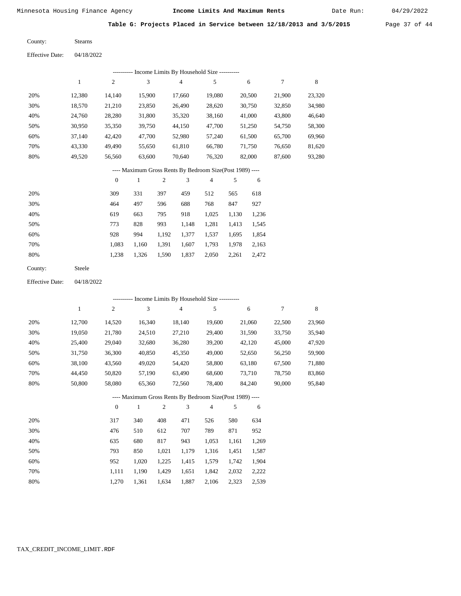Date Run:

Table G: Projects Placed in Service between 12/18/2013 and 3/5/2015 Page 37 of 44

Stearns County:

Effective Date: 04/18/2022

|     | ---------- Income Limits By Household Size ---------- |              |        |     |        |                                                          |     |        |        |        |  |  |  |
|-----|-------------------------------------------------------|--------------|--------|-----|--------|----------------------------------------------------------|-----|--------|--------|--------|--|--|--|
|     | 1                                                     | 2            | 3      |     | 4      | 5                                                        |     | 6      | 7      | 8      |  |  |  |
| 20% | 12,380                                                | 14,140       | 15,900 |     | 17,660 | 19,080                                                   |     | 20,500 | 21,900 | 23,320 |  |  |  |
| 30% | 18,570                                                | 21,210       | 23,850 |     | 26,490 | 28,620                                                   |     | 30,750 | 32,850 | 34,980 |  |  |  |
| 40% | 24,760                                                | 28,280       | 31,800 |     | 35,320 | 38,160                                                   |     | 41,000 | 43,800 | 46,640 |  |  |  |
| 50% | 30,950                                                | 35,350       | 39,750 |     | 44,150 | 47,700                                                   |     | 51,250 | 54,750 | 58,300 |  |  |  |
| 60% | 37,140                                                | 42,420       | 47,700 |     | 52,980 | 57,240                                                   |     | 61,500 | 65,700 | 69,960 |  |  |  |
| 70% | 43,330                                                | 49,490       | 55,650 |     | 61,810 | 66,780                                                   |     | 71,750 | 76,650 | 81,620 |  |  |  |
| 80% | 49,520                                                | 56,560       | 63,600 |     | 70,640 | 76,320                                                   |     | 82,000 | 87,600 | 93,280 |  |  |  |
|     |                                                       |              |        |     |        | ---- Maximum Gross Rents By Bedroom Size(Post 1989) ---- |     |        |        |        |  |  |  |
|     |                                                       | $\mathbf{0}$ | 1      | 2   | 3      | $\overline{4}$                                           | 5   | 6      |        |        |  |  |  |
| 20% |                                                       | 309          | 331    | 397 | 459    | 512                                                      | 565 | 618    |        |        |  |  |  |
| 30% |                                                       | 464          | 497    | 596 | 688    | 768                                                      | 847 | 927    |        |        |  |  |  |

| 918 1,025 1,130 1,236<br>40%<br>795<br>619<br>663   |  |
|-----------------------------------------------------|--|
| 50%<br>1,148 1,281 1,413 1,545<br>828<br>993<br>773 |  |
| 1,192 1,377 1,537 1,695 1,854<br>60%<br>928<br>994  |  |
| 70%<br>1,160 1,391 1,607 1,793 1,978 2,163<br>1.083 |  |
| 80%<br>1,326 1,590 1,837 2,050 2,261 2,472<br>1.238 |  |

| County: | Steele |
|---------|--------|
|---------|--------|

Effective Date: 04/18/2022

|     | ---------- Income Limits By Household Size ---------- |                |                                                          |                |                |                |       |        |        |        |  |  |
|-----|-------------------------------------------------------|----------------|----------------------------------------------------------|----------------|----------------|----------------|-------|--------|--------|--------|--|--|
|     | 1                                                     | $\overline{c}$ | 3                                                        |                | $\overline{4}$ | 5              |       | 6      | 7      | 8      |  |  |
| 20% | 12,700                                                | 14,520         | 16,340                                                   |                | 18,140         | 19,600         |       | 21,060 | 22,500 | 23,960 |  |  |
| 30% | 19,050                                                | 21,780         | 24,510                                                   |                | 27,210         | 29,400         |       | 31,590 | 33,750 | 35,940 |  |  |
| 40% | 25,400                                                | 29,040         | 32,680                                                   |                | 36,280         | 39,200         |       | 42,120 | 45,000 | 47,920 |  |  |
| 50% | 31,750                                                | 36,300         | 40,850                                                   |                | 45,350         | 49,000         |       | 52,650 | 56,250 | 59,900 |  |  |
| 60% | 38,100                                                | 43,560         | 49,020                                                   |                | 54,420         | 58,800         |       | 63,180 | 67,500 | 71,880 |  |  |
| 70% | 44,450                                                | 50,820         | 57,190                                                   |                | 63,490         | 68,600         |       | 73,710 | 78,750 | 83,860 |  |  |
| 80% | 50,800                                                | 58,080         | 65,360                                                   |                | 72,560         | 78,400         |       | 84,240 | 90,000 | 95,840 |  |  |
|     |                                                       |                | ---- Maximum Gross Rents By Bedroom Size(Post 1989) ---- |                |                |                |       |        |        |        |  |  |
|     |                                                       | $\mathbf{0}$   | 1                                                        | $\overline{2}$ | 3              | $\overline{4}$ | 5     | 6      |        |        |  |  |
| 20% |                                                       | 317            | 340                                                      | 408            | 471            | 526            | 580   | 634    |        |        |  |  |
| 30% |                                                       | 476            | 510                                                      | 612            | 707            | 789            | 871   | 952    |        |        |  |  |
| 40% |                                                       | 635            | 680                                                      | 817            | 943            | 1,053          | 1,161 | 1,269  |        |        |  |  |
| 50% |                                                       | 793            | 850                                                      | 1,021          | 1,179          | 1,316          | 1,451 | 1,587  |        |        |  |  |

952 1,020 1,225 1,415 1,579 1,742 1,904

|  | 1,111 1,190 1,429 1,651 1,842 2,032 2,222 |  |  |
|--|-------------------------------------------|--|--|
|  | 1,270 1,361 1,634 1,887 2,106 2,323 2,539 |  |  |

 60% 70% 80%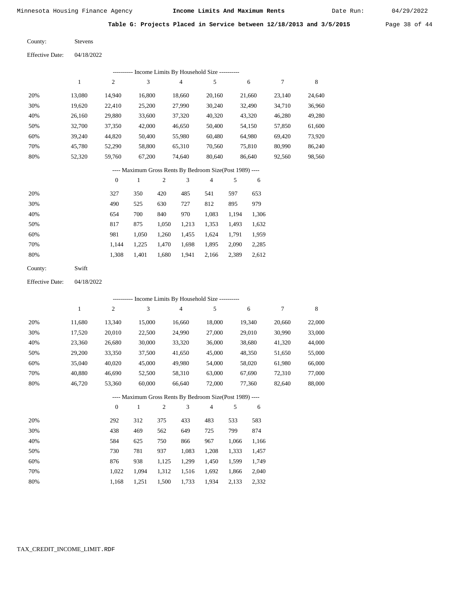Date Run:

**Table G: Projects Placed in Service between 12/18/2013 and 3/5/2015** Page 38 of 44

Stevens County:

04/18/2022 Effective Date:

|     | ---------- Income Limits By Household Size ----------     |                |        |        |        |        |        |        |  |  |  |  |  |
|-----|-----------------------------------------------------------|----------------|--------|--------|--------|--------|--------|--------|--|--|--|--|--|
|     |                                                           | $\overline{2}$ | 3      | 4      | 5      | 6      | 7      | 8      |  |  |  |  |  |
| 20% | 13.080                                                    | 14.940         | 16.800 | 18.660 | 20.160 | 21,660 | 23.140 | 24,640 |  |  |  |  |  |
| 30% | 19,620                                                    | 22.410         | 25,200 | 27,990 | 30,240 | 32,490 | 34,710 | 36,960 |  |  |  |  |  |
| 40% | 26.160                                                    | 29,880         | 33,600 | 37,320 | 40,320 | 43,320 | 46,280 | 49,280 |  |  |  |  |  |
| 50% | 32,700                                                    | 37,350         | 42,000 | 46,650 | 50,400 | 54,150 | 57,850 | 61,600 |  |  |  |  |  |
| 60% | 39.240                                                    | 44,820         | 50,400 | 55,980 | 60,480 | 64,980 | 69,420 | 73,920 |  |  |  |  |  |
| 70% | 45.780                                                    | 52,290         | 58,800 | 65,310 | 70,560 | 75,810 | 80,990 | 86,240 |  |  |  |  |  |
| 80% | 52,320                                                    | 59,760         | 67,200 | 74.640 | 80.640 | 86,640 | 92,560 | 98,560 |  |  |  |  |  |
|     | ---- Maximum Gross Rents By Bedroom Size (Post 1989) ---- |                |        |        |        |        |        |        |  |  |  |  |  |

|     | $\overline{0}$ |       | $\overline{c}$ | 3     | 4     |       | 6     |
|-----|----------------|-------|----------------|-------|-------|-------|-------|
| 20% | 327            | 350   | 420            | 485   | 541   | 597   | 653   |
| 30% | 490            | 525   | 630            | 727   | 812   | 895   | 979   |
| 40% | 654            | 700   | 840            | 970   | 1,083 | 1,194 | 1,306 |
| 50% | 817            | 875   | 1,050          | 1,213 | 1,353 | 1,493 | 1,632 |
| 60% | 981            | 1,050 | 1,260          | 1,455 | 1,624 | 1,791 | 1,959 |
| 70% | 1.144          | 1,225 | 1,470          | 1,698 | 1,895 | 2,090 | 2,285 |
| 80% | 1,308          | 1,401 | 1,680          | 1,941 | 2,166 | 2,389 | 2,612 |
|     |                |       |                |       |       |       |       |

| County: | Swift |
|---------|-------|
|---------|-------|

Effective Date: 04/18/2022

|                                                          | ---------- Income Limits By Household Size ---------- |                |              |                |                |                |       |        |        |        |  |  |
|----------------------------------------------------------|-------------------------------------------------------|----------------|--------------|----------------|----------------|----------------|-------|--------|--------|--------|--|--|
|                                                          | $\mathbf{1}$                                          | $\overline{c}$ | 3            |                | $\overline{4}$ | 5              |       | 6      | 7      | 8      |  |  |
| 20%                                                      | 11,680                                                | 13,340         | 15,000       |                | 16,660         | 18,000         |       | 19,340 | 20,660 | 22,000 |  |  |
| 30%                                                      | 17,520                                                | 20,010         | 22,500       |                | 24,990         | 27,000         |       | 29,010 | 30,990 | 33,000 |  |  |
| 40%                                                      | 23,360                                                | 26,680         | 30,000       |                | 33,320         | 36,000         |       | 38,680 | 41,320 | 44,000 |  |  |
| 50%                                                      | 29,200                                                | 33,350         | 37,500       |                | 41,650         | 45,000         |       | 48,350 | 51,650 | 55,000 |  |  |
| 60%                                                      | 35,040                                                | 40,020         | 45,000       |                | 49,980         | 54,000         |       | 58,020 | 61,980 | 66,000 |  |  |
| 70%                                                      | 40,880                                                | 46,690         | 52,500       |                | 58,310         | 63,000         |       | 67,690 | 72,310 | 77,000 |  |  |
| 80%                                                      | 46,720                                                | 53,360         | 60,000       |                | 66,640         | 72,000         |       | 77,360 | 82,640 | 88,000 |  |  |
| ---- Maximum Gross Rents By Bedroom Size(Post 1989) ---- |                                                       |                |              |                |                |                |       |        |        |        |  |  |
|                                                          |                                                       | $\theta$       | $\mathbf{1}$ | $\overline{2}$ | 3              | $\overline{4}$ | 5     | 6      |        |        |  |  |
| 20%                                                      |                                                       | 292            | 312          | 375            | 433            | 483            | 533   | 583    |        |        |  |  |
| 30%                                                      |                                                       | 438            | 469          | 562            | 649            | 725            | 799   | 874    |        |        |  |  |
| 40%                                                      |                                                       | 584            | 625          | 750            | 866            | 967            | 1,066 | 1,166  |        |        |  |  |
| 50%                                                      |                                                       | 730            | 781          | 937            | 1,083          | 1,208          | 1,333 | 1,457  |        |        |  |  |
| 60%                                                      |                                                       | 876            | 938          | 1,125          | 1,299          | 1,450          | 1,599 | 1,749  |        |        |  |  |
| 70%                                                      |                                                       | 1,022          | 1,094        | 1,312          | 1,516          | 1,692          | 1,866 | 2,040  |        |        |  |  |

1,500 1,733

1,934 2,133 2,332

 1,022 1,094 1,168 1,251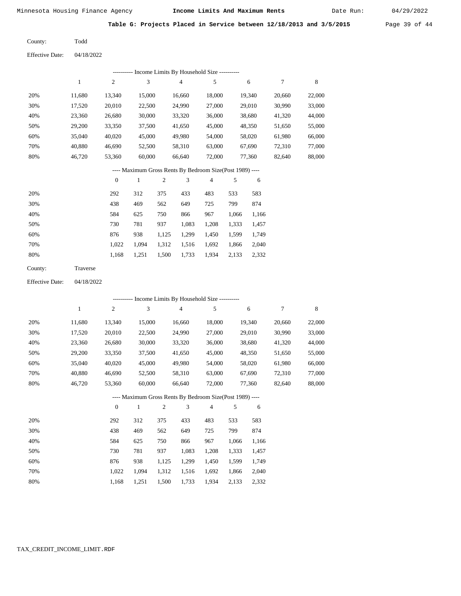Date Run:

**Table G: Projects Placed in Service between 12/18/2013 and 3/5/2015** Page 39 of 44

Todd County:

04/18/2022 Effective Date:

|                 |              |                  | ---------- Income Limits By Household Size ----------    |              |                |                |        |        |        |        |
|-----------------|--------------|------------------|----------------------------------------------------------|--------------|----------------|----------------|--------|--------|--------|--------|
|                 | $\mathbf{1}$ | $\sqrt{2}$       | 3                                                        |              | $\overline{4}$ | $\sqrt{5}$     |        | 6      | 7      | 8      |
| 20%             | 11,680       | 13,340           | 15,000                                                   |              | 16,660         | 18,000         |        | 19,340 | 20,660 | 22,000 |
| 30%             | 17,520       | 20,010           | 22,500                                                   |              | 24,990         | 27,000         |        | 29,010 | 30,990 | 33,000 |
| 40%             | 23,360       | 26,680           | 30,000                                                   |              | 33,320         | 36,000         |        | 38,680 | 41,320 | 44,000 |
| 50%             | 29,200       | 33,350           | 37,500                                                   |              | 41,650         | 45,000         |        | 48,350 | 51,650 | 55,000 |
| 60%             | 35,040       | 40,020           | 45,000                                                   |              | 49,980         | 54,000         |        | 58,020 | 61,980 | 66,000 |
| 70%             | 40,880       | 46,690           | 52,500                                                   |              | 58,310         | 63,000         |        | 67,690 | 72,310 | 77,000 |
| $80\%$          | 46,720       | 53,360           | 60,000                                                   |              | 66,640         | 72,000         | 77,360 |        | 82,640 | 88,000 |
|                 |              |                  | ---- Maximum Gross Rents By Bedroom Size(Post 1989) ---- |              |                |                |        |        |        |        |
|                 |              | $\boldsymbol{0}$ | $\mathbf{1}$                                             | $\mathbf{2}$ | 3              | $\overline{4}$ | 5      | 6      |        |        |
| 20%             |              | 292              | 312                                                      | 375          | 433            | 483            | 533    | 583    |        |        |
| 30%             |              | 438              | 469                                                      | 562          | 649            | 725            | 799    | 874    |        |        |
| 40%             |              | 584              | 625                                                      | 750          | 866            | 967            | 1,066  | 1,166  |        |        |
| 50%             |              | 730              | 781                                                      | 937          | 1,083          | 1,208          | 1,333  | 1,457  |        |        |
| 60%             |              | 876              | 938                                                      | 1,125        | 1,299          | 1,450          | 1,599  | 1,749  |        |        |
| 70%             |              | 1,022            | 1,094                                                    | 1,312        | 1,516          | 1,692          | 1,866  | 2,040  |        |        |
| 80%             |              | 1,168            | 1,251                                                    | 1,500        | 1,733          | 1,934          | 2,133  | 2,332  |        |        |
| County:         | Traverse     |                  |                                                          |              |                |                |        |        |        |        |
| Effective Date: | 04/18/2022   |                  |                                                          |              |                |                |        |        |        |        |
|                 |              |                  | --------- Income Limits By Household Size ---------      |              |                |                |        |        |        |        |
|                 | $\mathbf{1}$ | $\boldsymbol{2}$ | 3                                                        |              | $\overline{4}$ | 5              |        | 6      | 7      | 8      |
|                 |              |                  |                                                          |              |                |                |        |        |        |        |
| 20%             | 11,680       | 13,340           | 15,000                                                   |              | 16,660         | 18,000         |        | 19,340 | 20,660 | 22,000 |
| 30%             | 17,520       | 20,010           | 22,500                                                   |              | 24,990         | 27,000         |        | 29,010 | 30,990 | 33,000 |
| 40%             | 23,360       | 26,680           | 30,000                                                   |              | 33,320         | 36,000         |        | 38,680 | 41,320 | 44,000 |
| 50%             | 29,200       | 33,350           | 37,500                                                   |              | 41,650         | 45,000         |        | 48,350 | 51,650 | 55,000 |
| 60%             | 35,040       | 40,020           | 45,000                                                   |              | 49,980         | 54,000         |        | 58,020 | 61,980 | 66,000 |
| 70%             | 40,880       | 46,690           | 52,500                                                   |              | 58,310         | 63,000         |        | 67,690 | 72,310 | 77,000 |
| 80%             | 46,720       | 53,360           | 60,000                                                   |              | 66,640         | 72,000         |        | 77,360 | 82,640 | 88,000 |

---- Maximum Gross Rents By Bedroom Size(Post 1989) ----

|     | $\mathbf{0}$ |       | $\overline{c}$ | 3     | 4     | 5     | 6     |
|-----|--------------|-------|----------------|-------|-------|-------|-------|
| 20% | 292          | 312   | 375            | 433   | 483   | 533   | 583   |
| 30% | 438          | 469   | 562            | 649   | 725   | 799   | 874   |
| 40% | 584          | 625   | 750            | 866   | 967   | 1,066 | 1,166 |
| 50% | 730          | 781   | 937            | 1,083 | 1,208 | 1,333 | 1,457 |
| 60% | 876          | 938   | 1,125          | 1,299 | 1,450 | 1,599 | 1,749 |
| 70% | 1.022        | 1.094 | 1,312          | 1,516 | 1,692 | 1,866 | 2,040 |
| 80% | 1,168        | 1,251 | 1,500          | 1,733 | 1,934 | 2,133 | 2,332 |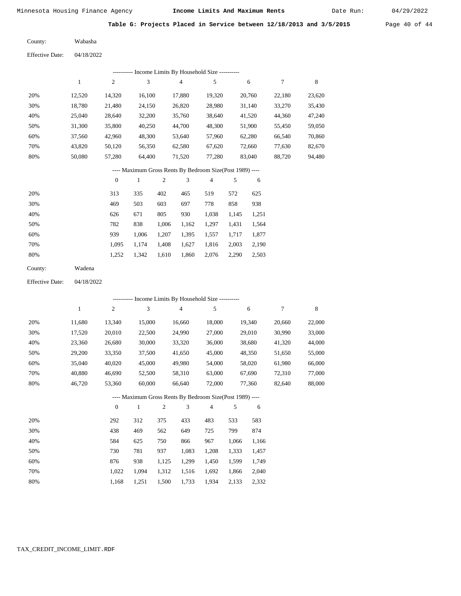Date Run:

**Table G: Projects Placed in Service between 12/18/2013 and 3/5/2015** Page 40 of 44

Wabasha County:

| <b>Effective Date:</b> | 04/18/2022 |
|------------------------|------------|
|                        |            |

|     | Income Limits By Household Size ---------- |                |        |        |        |        |        |        |  |
|-----|--------------------------------------------|----------------|--------|--------|--------|--------|--------|--------|--|
|     |                                            | $\overline{c}$ | 3      | 4      | 5      | 6      |        | 8      |  |
| 20% | 12,520                                     | 14,320         | 16,100 | 17,880 | 19,320 | 20,760 | 22,180 | 23,620 |  |
| 30% | 18.780                                     | 21,480         | 24,150 | 26,820 | 28,980 | 31,140 | 33,270 | 35,430 |  |
| 40% | 25,040                                     | 28,640         | 32,200 | 35,760 | 38,640 | 41,520 | 44,360 | 47,240 |  |
| 50% | 31,300                                     | 35,800         | 40,250 | 44,700 | 48,300 | 51,900 | 55,450 | 59,050 |  |
| 60% | 37,560                                     | 42,960         | 48,300 | 53,640 | 57,960 | 62,280 | 66,540 | 70,860 |  |
| 70% | 43,820                                     | 50,120         | 56,350 | 62,580 | 67,620 | 72,660 | 77,630 | 82,670 |  |
| 80% | 50,080                                     | 57,280         | 64,400 | 71,520 | 77,280 | 83,040 | 88,720 | 94,480 |  |

### ---- Maximum Gross Rents By Bedroom Size(Post 1989) ----

|     | 0     |       | 2     | 3     | 4     | 5     | 6     |
|-----|-------|-------|-------|-------|-------|-------|-------|
| 20% | 313   | 335   | 402   | 465   | 519   | 572   | 625   |
| 30% | 469   | 503   | 603   | 697   | 778   | 858   | 938   |
| 40% | 626   | 671   | 805   | 930   | 1,038 | 1,145 | 1,251 |
| 50% | 782   | 838   | 1,006 | 1,162 | 1,297 | 1,431 | 1,564 |
| 60% | 939   | 1,006 | 1,207 | 1,395 | 1,557 | 1,717 | 1,877 |
| 70% | 1.095 | 1.174 | 1,408 | 1,627 | 1,816 | 2,003 | 2,190 |
| 80% | 1,252 | 1,342 | 1,610 | 1,860 | 2,076 | 2,290 | 2,503 |
|     |       |       |       |       |       |       |       |

| County: | Wadena |
|---------|--------|
|---------|--------|

04/18/2022 Effective Date:

|     |        |                  |              |                |        | ---------- Income Limits By Household Size ----------    |       |        |        |             |
|-----|--------|------------------|--------------|----------------|--------|----------------------------------------------------------|-------|--------|--------|-------------|
|     | 1      | $\boldsymbol{2}$ | 3            |                | 4      | 5                                                        |       | 6      | 7      | $\,$ 8 $\,$ |
| 20% | 11,680 | 13,340           | 15,000       |                | 16,660 | 18,000                                                   |       | 19,340 | 20,660 | 22,000      |
| 30% | 17,520 | 20,010           | 22,500       |                | 24,990 | 27,000                                                   |       | 29,010 | 30,990 | 33,000      |
| 40% | 23,360 | 26,680           | 30,000       |                | 33,320 | 36,000                                                   |       | 38,680 | 41,320 | 44,000      |
| 50% | 29,200 | 33,350           | 37,500       |                | 41,650 | 45,000                                                   |       | 48,350 | 51,650 | 55,000      |
| 60% | 35,040 | 40,020           | 45,000       |                | 49,980 | 54,000                                                   |       | 58,020 | 61,980 | 66,000      |
| 70% | 40,880 | 46,690           | 52,500       |                | 58,310 | 63,000                                                   |       | 67,690 | 72,310 | 77,000      |
| 80% | 46,720 | 53,360           | 60,000       |                | 66,640 | 72,000                                                   |       | 77,360 | 82,640 | 88,000      |
|     |        |                  |              |                |        | ---- Maximum Gross Rents By Bedroom Size(Post 1989) ---- |       |        |        |             |
|     |        | $\theta$         | $\mathbf{1}$ | $\overline{2}$ | 3      | $\overline{4}$                                           | 5     | 6      |        |             |
| 20% |        | 292              | 312          | 375            | 433    | 483                                                      | 533   | 583    |        |             |
| 30% |        | 438              | 469          | 562            | 649    | 725                                                      | 799   | 874    |        |             |
| 40% |        | 584              | 625          | 750            | 866    | 967                                                      | 1,066 | 1,166  |        |             |
| 50% |        | 730              | 781          | 937            | 1,083  | 1,208                                                    | 1,333 | 1,457  |        |             |
| 60% |        | 876              | 938          | 1,125          | 1,299  | 1,450                                                    | 1,599 | 1,749  |        |             |
| 70% |        | 1,022            | 1,094        | 1,312          | 1,516  | 1,692                                                    | 1,866 | 2,040  |        |             |

1,168

1,251

1,500

1,733

1,934

2,133

2,332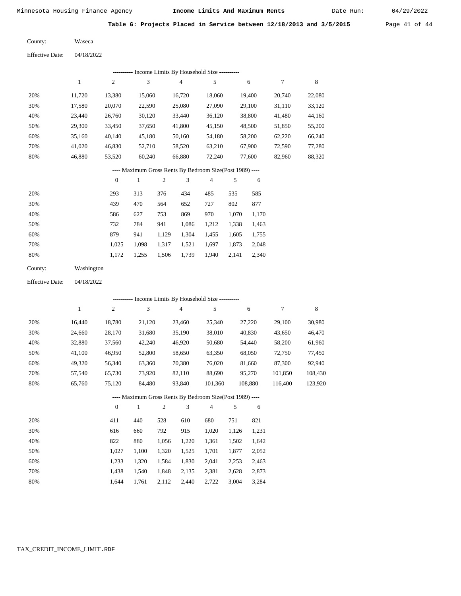Date Run:

**Table G: Projects Placed in Service between 12/18/2013 and 3/5/2015** Page 41 of 44

Waseca County:

04/18/2022 Effective Date:

|     |        |                |        | Income Limits By Household Size ---------- |        |        |        |        |
|-----|--------|----------------|--------|--------------------------------------------|--------|--------|--------|--------|
|     |        | $\overline{c}$ | 3      | 4                                          | 5      | 6      |        | 8      |
| 20% | 11.720 | 13,380         | 15,060 | 16,720                                     | 18,060 | 19.400 | 20,740 | 22,080 |
| 30% | 17,580 | 20,070         | 22,590 | 25,080                                     | 27,090 | 29,100 | 31,110 | 33,120 |
| 40% | 23.440 | 26,760         | 30,120 | 33,440                                     | 36,120 | 38,800 | 41,480 | 44,160 |
| 50% | 29,300 | 33,450         | 37,650 | 41,800                                     | 45,150 | 48,500 | 51,850 | 55,200 |
| 60% | 35,160 | 40,140         | 45,180 | 50,160                                     | 54,180 | 58,200 | 62,220 | 66,240 |
| 70% | 41.020 | 46,830         | 52,710 | 58,520                                     | 63,210 | 67,900 | 72,590 | 77,280 |
| 80% | 46,880 | 53,520         | 60,240 | 66,880                                     | 72,240 | 77,600 | 82,960 | 88,320 |

# ---- Maximum Gross Rents By Bedroom Size(Post 1989) ----

|     | $\mathbf{0}$ |       | $\overline{c}$ | 3     | 4     | 5     | 6     |
|-----|--------------|-------|----------------|-------|-------|-------|-------|
| 20% | 293          | 313   | 376            | 434   | 485   | 535   | 585   |
| 30% | 439          | 470   | 564            | 652   | 727   | 802   | 877   |
| 40% | 586          | 627   | 753            | 869   | 970   | 1,070 | 1,170 |
| 50% | 732          | 784   | 941            | 1,086 | 1,212 | 1,338 | 1,463 |
| 60% | 879          | 941   | 1,129          | 1,304 | 1,455 | 1,605 | 1,755 |
| 70% | 1.025        | 1,098 | 1,317          | 1,521 | 1,697 | 1,873 | 2,048 |
| 80% | 1,172        | 1,255 | 1,506          | 1,739 | 1,940 | 2,141 | 2,340 |

| County: | Washington |
|---------|------------|
|         |            |

04/18/2022 Effective Date:

|     |                                                          |              |        | ---------- Income Limits By Household Size ---------- |                |         |         |         |  |
|-----|----------------------------------------------------------|--------------|--------|-------------------------------------------------------|----------------|---------|---------|---------|--|
|     | 1                                                        | 2            | 3      | 4                                                     | 5              | 6       | 7       | 8       |  |
| 20% | 16.440                                                   | 18,780       | 21,120 | 23,460                                                | 25,340         | 27,220  | 29,100  | 30,980  |  |
| 30% | 24,660                                                   | 28,170       | 31,680 | 35,190                                                | 38,010         | 40,830  | 43,650  | 46,470  |  |
| 40% | 32,880                                                   | 37,560       | 42,240 | 46,920                                                | 50,680         | 54,440  | 58,200  | 61,960  |  |
| 50% | 41,100                                                   | 46,950       | 52,800 | 58,650                                                | 63,350         | 68,050  | 72,750  | 77,450  |  |
| 60% | 49,320                                                   | 56,340       | 63,360 | 70,380                                                | 76,020         | 81,660  | 87,300  | 92,940  |  |
| 70% | 57,540                                                   | 65,730       | 73,920 | 82,110                                                | 88,690         | 95,270  | 101,850 | 108,430 |  |
| 80% | 65,760                                                   | 75,120       | 84,480 | 93,840                                                | 101,360        | 108,880 | 116.400 | 123,920 |  |
|     | ---- Maximum Gross Rents By Bedroom Size(Post 1989) ---- |              |        |                                                       |                |         |         |         |  |
|     |                                                          | $\mathbf{0}$ | 1      | 3<br>2                                                | $\overline{4}$ | 5<br>6  |         |         |  |
|     |                                                          |              |        |                                                       |                |         |         |         |  |

| 20% | 411   | 440   | 528   | 610   | 680   | 751   | 821   |
|-----|-------|-------|-------|-------|-------|-------|-------|
| 30% | 616   | 660   | 792   | 915   | 1.020 | 1.126 | 1,231 |
| 40% | 822   | 880   | 1.056 | 1,220 | 1,361 | 1,502 | 1,642 |
| 50% | 1.027 | 1.100 | 1.320 | 1,525 | 1.701 | 1.877 | 2,052 |
| 60% | 1.233 | 1.320 | 1.584 | 1,830 | 2.041 | 2.253 | 2,463 |
| 70% | 1.438 | 1.540 | 1.848 | 2,135 | 2,381 | 2.628 | 2,873 |
| 80% | 1.644 | 1.761 | 2,112 | 2.440 | 2,722 | 3,004 | 3.284 |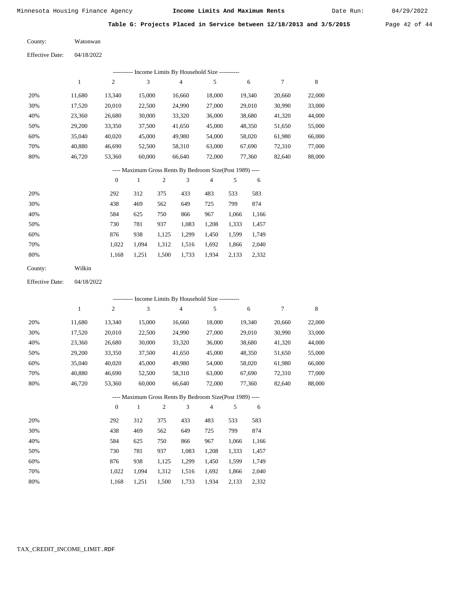Date Run:

|  | Table G: Projects Placed in Service between 12/18/2013 and 3/5/2015 | Page $42$ of $44$ |
|--|---------------------------------------------------------------------|-------------------|
|  |                                                                     |                   |

Watonwan County:

04/18/2022 Effective Date:

|                        |              |                  | --------- Income Limits By Household Size ----------     |                |                |                |       |        |                  |             |
|------------------------|--------------|------------------|----------------------------------------------------------|----------------|----------------|----------------|-------|--------|------------------|-------------|
|                        | $\mathbf{1}$ | $\mathfrak{2}$   | 3                                                        |                | $\overline{4}$ | 5              |       | 6      | $\boldsymbol{7}$ | $\,$ 8 $\,$ |
| 20%                    | 11,680       | 13,340           | 15,000                                                   |                | 16,660         | 18,000         |       | 19,340 | 20,660           | 22,000      |
| 30%                    | 17,520       | 20,010           | 22,500                                                   |                | 24.990         | 27,000         |       | 29,010 | 30,990           | 33,000      |
| 40%                    | 23,360       | 26,680           | 30,000                                                   |                | 33,320         | 36,000         |       | 38,680 | 41,320           | 44,000      |
| 50%                    | 29,200       | 33,350           | 37,500                                                   |                | 41,650         | 45,000         |       | 48,350 | 51,650           | 55,000      |
| 60%                    | 35,040       | 40,020           | 45,000                                                   |                | 49,980         | 54,000         |       | 58,020 | 61,980           | 66,000      |
| 70%                    | 40,880       | 46,690           | 52,500                                                   |                | 58,310         | 63,000         |       | 67,690 | 72,310           | 77,000      |
| 80%                    | 46,720       | 53,360           | 60,000                                                   |                | 66,640         | 72,000         |       | 77,360 | 82,640           | 88,000      |
|                        |              |                  | ---- Maximum Gross Rents By Bedroom Size(Post 1989) ---- |                |                |                |       |        |                  |             |
|                        |              | $\boldsymbol{0}$ | $\mathbf{1}$                                             | $\mathfrak{2}$ | 3              | $\overline{4}$ | 5     | 6      |                  |             |
| 20%                    |              | 292              | 312                                                      | 375            | 433            | 483            | 533   | 583    |                  |             |
| 30%                    |              | 438              | 469                                                      | 562            | 649            | 725            | 799   | 874    |                  |             |
| 40%                    |              | 584              | 625                                                      | 750            | 866            | 967            | 1,066 | 1,166  |                  |             |
| 50%                    |              | 730              | 781                                                      | 937            | 1,083          | 1,208          | 1,333 | 1,457  |                  |             |
| 60%                    |              | 876              | 938                                                      | 1,125          | 1,299          | 1,450          | 1,599 | 1,749  |                  |             |
| 70%                    |              | 1,022            | 1,094                                                    | 1,312          | 1,516          | 1,692          | 1,866 | 2,040  |                  |             |
| 80%                    |              | 1,168            | 1,251                                                    | 1,500          | 1,733          | 1,934          | 2,133 | 2,332  |                  |             |
| County:                | Wilkin       |                  |                                                          |                |                |                |       |        |                  |             |
| <b>Effective Date:</b> | 04/18/2022   |                  |                                                          |                |                |                |       |        |                  |             |
|                        |              |                  | --------- Income Limits By Household Size ----------     |                |                |                |       |        |                  |             |
|                        | $\mathbf{1}$ | $\mathfrak{2}$   | 3                                                        |                | 4              | 5              |       | 6      | 7                | $\,$ 8 $\,$ |
| 20%                    | 11,680       | 13,340           | 15,000                                                   |                | 16,660         | 18,000         |       | 19,340 | 20,660           | 22,000      |
| 30%                    | 17,520       | 20,010           | 22,500                                                   |                | 24,990         | 27,000         |       | 29,010 | 30.990           | 33,000      |

| 30% | 17.520 | 20,010 | 22,500 | 24.990 | 27,000 | 29,010 | 30,990 | 33,000 |
|-----|--------|--------|--------|--------|--------|--------|--------|--------|
| 40% | 23.360 | 26.680 | 30,000 | 33.320 | 36,000 | 38,680 | 41.320 | 44,000 |
| 50% | 29,200 | 33.350 | 37,500 | 41.650 | 45,000 | 48.350 | 51.650 | 55,000 |
| 60% | 35,040 | 40,020 | 45,000 | 49.980 | 54,000 | 58,020 | 61.980 | 66,000 |
| 70% | 40.880 | 46.690 | 52,500 | 58.310 | 63,000 | 67.690 | 72.310 | 77.000 |
| 80% | 46.720 | 53.360 | 60,000 | 66.640 | 72.000 | 77.360 | 82.640 | 88,000 |

# ---- Maximum Gross Rents By Bedroom Size(Post 1989) ----

|     | $\mathbf{0}$ |       | $\overline{c}$ | 3     | 4     | 5     | 6     |
|-----|--------------|-------|----------------|-------|-------|-------|-------|
| 20% | 292          | 312   | 375            | 433   | 483   | 533   | 583   |
| 30% | 438          | 469   | 562            | 649   | 725   | 799   | 874   |
| 40% | 584          | 625   | 750            | 866   | 967   | 1,066 | 1,166 |
| 50% | 730          | 781   | 937            | 1,083 | 1,208 | 1,333 | 1,457 |
| 60% | 876          | 938   | 1,125          | 1,299 | 1,450 | 1,599 | 1,749 |
| 70% | 1.022        | 1.094 | 1,312          | 1,516 | 1,692 | 1,866 | 2,040 |
| 80% | 1,168        | 1,251 | 1,500          | 1,733 | 1,934 | 2,133 | 2,332 |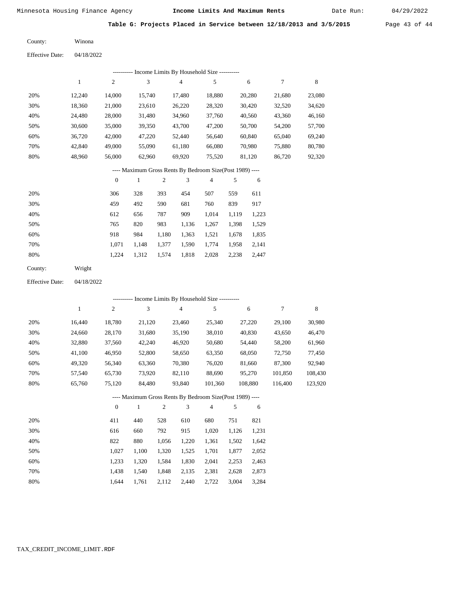2,028 2,238 2,447

Date Run:

**Table G: Projects Placed in Service between 12/18/2013 and 3/5/2015** Page 43 of 44

Winona County:

04/18/2022 Effective Date:

|     |              |                  |        |       |        | ---------- Income Limits By Household Size ----------    |       |        |        |        |
|-----|--------------|------------------|--------|-------|--------|----------------------------------------------------------|-------|--------|--------|--------|
|     | $\mathbf{1}$ | $\overline{c}$   | 3      |       | 4      | 5                                                        |       | 6      | 7      | 8      |
| 20% | 12,240       | 14,000           | 15,740 |       | 17,480 | 18,880                                                   |       | 20,280 | 21,680 | 23,080 |
| 30% | 18,360       | 21,000           | 23,610 |       | 26,220 | 28,320                                                   |       | 30,420 | 32,520 | 34,620 |
| 40% | 24,480       | 28,000           | 31,480 |       | 34,960 | 37,760                                                   |       | 40,560 | 43,360 | 46,160 |
| 50% | 30,600       | 35,000           | 39,350 |       | 43,700 | 47,200                                                   |       | 50,700 | 54,200 | 57,700 |
| 60% | 36,720       | 42,000           | 47,220 |       | 52,440 | 56,640                                                   |       | 60,840 | 65,040 | 69,240 |
| 70% | 42,840       | 49,000           | 55,090 |       | 61,180 | 66,080                                                   |       | 70,980 | 75,880 | 80,780 |
| 80% | 48,960       | 56,000           | 62,960 |       | 69,920 | 75,520                                                   |       | 81,120 | 86,720 | 92,320 |
|     |              |                  |        |       |        | ---- Maximum Gross Rents By Bedroom Size(Post 1989) ---- |       |        |        |        |
|     |              | $\boldsymbol{0}$ | 1      | 2     | 3      | $\overline{4}$                                           | 5     | 6      |        |        |
| 20% |              | 306              | 328    | 393   | 454    | 507                                                      | 559   | 611    |        |        |
| 30% |              | 459              | 492    | 590   | 681    | 760                                                      | 839   | 917    |        |        |
| 40% |              | 612              | 656    | 787   | 909    | 1,014                                                    | 1,119 | 1,223  |        |        |
| 50% |              | 765              | 820    | 983   | 1,136  | 1,267                                                    | 1,398 | 1,529  |        |        |
| 60% |              | 918              | 984    | 1,180 | 1,363  | 1,521                                                    | 1,678 | 1,835  |        |        |
| 70% |              | 1,071            | 1,148  | 1,377 | 1,590  | 1,774                                                    | 1,958 | 2,141  |        |        |

1,224

Wright County:

80%

04/18/2022 Effective Date:

|     |        |          |        |     |        | ---------- Income Limits By Household Size ----------    |       |         |         |         |
|-----|--------|----------|--------|-----|--------|----------------------------------------------------------|-------|---------|---------|---------|
|     | 1      | 2        | 3      |     | 4      | 5                                                        |       | 6       | 7       | 8       |
| 20% | 16,440 | 18,780   | 21,120 |     | 23,460 | 25,340                                                   |       | 27,220  | 29,100  | 30,980  |
| 30% | 24,660 | 28,170   | 31,680 |     | 35,190 | 38,010                                                   |       | 40,830  | 43,650  | 46,470  |
| 40% | 32,880 | 37,560   | 42,240 |     | 46,920 | 50,680                                                   |       | 54,440  | 58,200  | 61,960  |
| 50% | 41,100 | 46,950   | 52,800 |     | 58,650 | 63,350                                                   |       | 68,050  | 72,750  | 77,450  |
| 60% | 49,320 | 56,340   | 63,360 |     | 70,380 | 76,020                                                   |       | 81,660  | 87,300  | 92,940  |
| 70% | 57,540 | 65,730   | 73,920 |     | 82,110 | 88,690                                                   |       | 95,270  | 101,850 | 108,430 |
| 80% | 65,760 | 75,120   | 84,480 |     | 93,840 | 101,360                                                  |       | 108,880 | 116,400 | 123,920 |
|     |        |          |        |     |        | ---- Maximum Gross Rents By Bedroom Size(Post 1989) ---- |       |         |         |         |
|     |        | $\theta$ | 1      | 2   | 3      | $\overline{4}$                                           | 5     | 6       |         |         |
| 20% |        | 411      | 440    | 528 | 610    | 680                                                      | 751   | 821     |         |         |
| 30% |        | 616      | 660    | 792 | 915    | 1,020                                                    | 1,126 | 1,231   |         |         |

1,312 1,574 1,818

| 40% | 822   | 880                                 | 1,056 1,220 1,361 1,502 1,642 |  |  |
|-----|-------|-------------------------------------|-------------------------------|--|--|
| 50% | 1.027 | 1,100 1,320 1,525 1,701 1,877 2,052 |                               |  |  |
| 60% | 1.233 | 1,320 1,584 1,830 2,041 2,253 2,463 |                               |  |  |
| 70% | 1.438 | 1,540 1,848 2,135 2,381 2,628 2,873 |                               |  |  |
| 80% | 1.644 | 1,761 2,112 2,440 2,722 3,004 3,284 |                               |  |  |